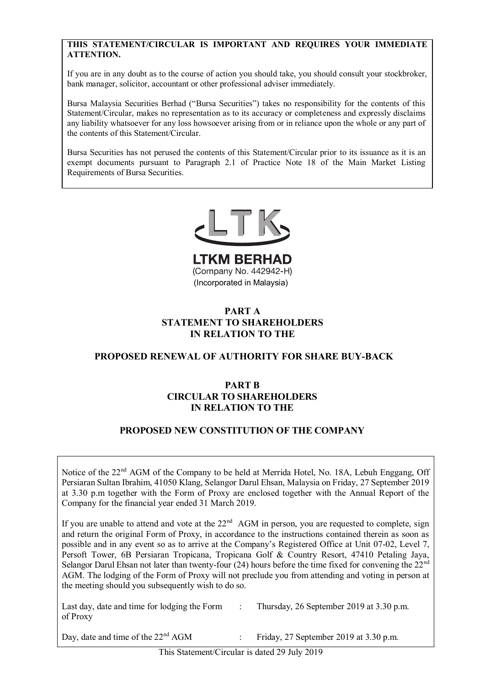## **THIS STATEMENT/CIRCULAR IS IMPORTANT AND REQUIRES YOUR IMMEDIATE ATTENTION.**

If you are in any doubt as to the course of action you should take, you should consult your stockbroker, If you are in any doubt as to the course of action you should take, you should consult your stockbroker, bank manager, solicitor, accountant or other professional adviser immediately. bank manager, solicitor, accountant or other professional adviser immediately.

Bursa Malaysia Securities Berhad ("Bursa Securities") takes no responsibility for the contents of this statement Circular, makes no representation as to its accuracy of completeness and expressly discitating<br>any liability whatsoever for any loss howsoever arising from or in reliance upon the whole or any part of the contents of this Statement/Circular. Statement/Circular, makes no representation as to its accuracy or completeness and expressly disclaims and Contents of this Statement/Circular. any naomiy whatsoever for any loss howsoever arising from or in renance upon

Bursa Securities has not perused the contents of this Statement/Circular prior to its issuance as it is an exempt documents pursuant to ranagraph 2.1 or ractice role to or the twain twarket Eisung<br>Requirements of Bursa Securities. Bursa Securities has not perused the contents of this statement/Circular prior to its issuance as it is an<br>exempt documents pursuant to Paragraph 2.1 of Practice Note 18 of the Main Market Listing exempt documents pursuant to Paragraph 2.1 of Practice Note 18 of the Main Market Listing Requirements of Bursa Securities. Bursa Securities has not perused the contents of this Statement/Circular prior to its issuance as it is an

Bursa Securities has not perused the contents of this Statement/Circular prior to its issuance as it is an

exempt documents pursuant to Paragraph 2.1 of Practice Note 18 of the Main Market Listing



(Incorporated in Malaysia) **PART A LTKM BERHAD**<br>(Company No. 442942-H) (Incorporated in Malaysia)

#### $\bf{PART}$  A **STATEMENT TO SHAREHOLDERS IN RELATION TO THE PROPOSED RESERVAL TO SHARKEHOLDERS STATEMENT TO SHAREHOLDERS IN RELATION TO THE PART A IN RELATION TO THE**

#### **PROPOSED PENEWAL OF AUTHORITY FOR SHARE BUY-BACK CIRCULAR TO SHAREHOLDERS PROPOSED RENEWAL OF AUTHORITY FOR SHARE BUY-BACK IN ARTIFICANTLY TO PROPOSED RENEWAL OF AUTHORITY FOR SHARE BUY-BACK**

#### **PART B INNTERNATION OF THE COMPANY IN RELATION TO THE CIRCULAR TO SHAREHOLDERS IN RELATION TO THE PART B**

#### PROPOSED NEW CONSTITUTION OF THE COMPANY **PROPOSED NEW CONSTITUTION OF THE COMPANY**

Notice of the 22<sup>nd</sup> AGM of the Company to be held at Merrida Hotel, No. 18A. Lebuh Enggang, Off Persiaran Sultan Ibrahim, 41050 Klang, Selangor Darul Ehsan, Malaysia on Friday, 27 September 2019 Company for the financial year ended 31 March 2019. and return the original Form of Proxy, in accordance to the instructions contained the instructions contained the instructions contained the instructions contained the instructions contained the instructions contained the at 3.30 p.m together with the Form of Proxy are enclosed together with the Annual Report of the Notice of the 22nd AGM of the Company to be held at Merrida Hotel, No. 18A, Lebuh Enggang, Off Notice of the 22<sup>nd</sup> AGM of the Company to be held at Merrida Hotel, No. 18A, Lebuh Enggang, Off

Persiaran Sultan Ibrahim, 41050 Klang, Selangor Darul Ehsan, Malaysia on Friday, 27 September 2019

 $\overline{X}$  , the 22nd AGM of the 22nd AGM of the Company to be held at  $\overline{X}$ 

If you are unable to attend and vote at the  $22<sup>nd</sup>$  AGM in person, you are requested to complete, sign and return the original Form of Proxy, in accordance to the instructions contained therein as soon as possible and in any event so as to arrive at the Company's Registered Office at Unit 07-02, Level 7, possible and in any event so as to arrive at the Company's Registered Orice at Ont 07-02, Lever 7, Persoft Tower, 6B Persiaran Tropicana, Tropicana Golf & Country Resort, 47410 Petaling Jaya, Selangor Darul Ehsan not later than twenty-four  $(24)$  hours before the time fixed for convening the  $22<sup>nd</sup>$ the meeting should you subsequently wish to do so.  $\frac{1}{30}$   $\frac{1}{20}$  p.m.  $\frac{1}{20}$  p.m.  $\frac{1}{20}$ Scialigof Dature Eisan flot fact than twenty-four  $(24)$  hours before the time fixed for convening the  $22$ <br>AGM. The lodging of the Form of Proxy will not preclude you from attending and voting in person at  $\mathcal{O}$  ,  $\mathcal{O}$  ,  $\mathcal{O}$  ,  $\mathcal{O}$  at 3.30 p.m. If you are unable to attend and vote at the 22<sup>nd</sup> AGM in person, you are requested to complete, sign  $\mathcal{L}$ : Thursday, 26 September 2019 at 3.30 p.m.  $\mathcal{L}$ 

 $\sum_{i=1}^{n}$  and  $\sum_{i=1}^{n}$  and  $\sum_{i=1}^{n}$  and  $\sum_{i=1}^{n}$  and 3.30 p.m.  $\sum_{i=1}^{n}$  september 2019 at 3.30 p.m. Last day, date and time for lodging the Form  $\therefore$  Thursday, 26 Sept of Proxy  $\mathcal{L}$  and time of the 22nd AGM  $\mathcal{L}$  separately 2019 p.m.

: Thursday, 26 September 2019 at 3.30 p.m.

 $T_{\text{total}}$  is defined 29 July 2019  $\frac{1}{2}$  and 29 July 2019  $\frac{1}{2}$ Day, date and time of the 22nd AGM : Friday, 27 September 2019 at 3.30 p.m. Day, date and time of the 22<sup>nd</sup> AGM : Friday, 27 September 2019 at 3.30 p.m.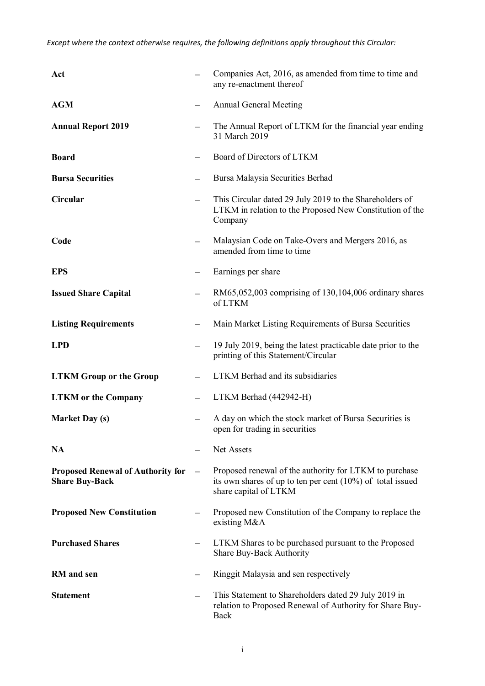*Except where the context otherwise requires, the following definitions apply throughout this Circular:* 

| Act                                                               |                          | Companies Act, 2016, as amended from time to time and<br>any re-enactment thereof                                                                |
|-------------------------------------------------------------------|--------------------------|--------------------------------------------------------------------------------------------------------------------------------------------------|
| <b>AGM</b>                                                        |                          | <b>Annual General Meeting</b>                                                                                                                    |
| <b>Annual Report 2019</b>                                         |                          | The Annual Report of LTKM for the financial year ending<br>31 March 2019                                                                         |
| <b>Board</b>                                                      | —                        | Board of Directors of LTKM                                                                                                                       |
| <b>Bursa Securities</b>                                           | $\qquad \qquad -$        | Bursa Malaysia Securities Berhad                                                                                                                 |
| Circular                                                          | $\overline{\phantom{0}}$ | This Circular dated 29 July 2019 to the Shareholders of<br>LTKM in relation to the Proposed New Constitution of the<br>Company                   |
| Code                                                              | $\overline{\phantom{0}}$ | Malaysian Code on Take-Overs and Mergers 2016, as<br>amended from time to time                                                                   |
| <b>EPS</b>                                                        |                          | Earnings per share                                                                                                                               |
| <b>Issued Share Capital</b>                                       |                          | RM65,052,003 comprising of 130,104,006 ordinary shares<br>of LTKM                                                                                |
| <b>Listing Requirements</b>                                       | $\qquad \qquad -$        | Main Market Listing Requirements of Bursa Securities                                                                                             |
| <b>LPD</b>                                                        |                          | 19 July 2019, being the latest practicable date prior to the<br>printing of this Statement/Circular                                              |
| <b>LTKM Group or the Group</b>                                    | $\overline{\phantom{0}}$ | LTKM Berhad and its subsidiaries                                                                                                                 |
| <b>LTKM</b> or the Company                                        |                          | LTKM Berhad (442942-H)                                                                                                                           |
| <b>Market Day (s)</b>                                             |                          | A day on which the stock market of Bursa Securities is<br>open for trading in securities                                                         |
| <b>NA</b>                                                         |                          | Net Assets                                                                                                                                       |
| <b>Proposed Renewal of Authority for</b><br><b>Share Buy-Back</b> | $\qquad \qquad -$        | Proposed renewal of the authority for LTKM to purchase<br>its own shares of up to ten per cent $(10\%)$ of total issued<br>share capital of LTKM |
| <b>Proposed New Constitution</b>                                  |                          | Proposed new Constitution of the Company to replace the<br>existing $M&A$                                                                        |
| <b>Purchased Shares</b>                                           |                          | LTKM Shares to be purchased pursuant to the Proposed<br><b>Share Buy-Back Authority</b>                                                          |
| <b>RM</b> and sen                                                 |                          | Ringgit Malaysia and sen respectively                                                                                                            |
| <b>Statement</b>                                                  | $\overline{\phantom{0}}$ | This Statement to Shareholders dated 29 July 2019 in<br>relation to Proposed Renewal of Authority for Share Buy-<br>Back                         |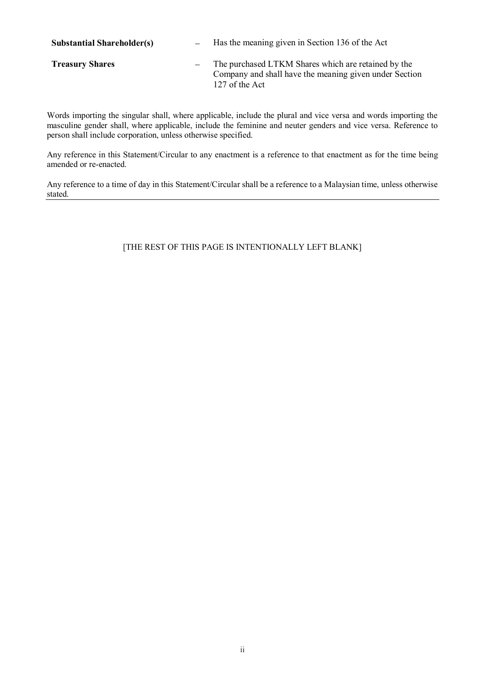| <b>Substantial Shareholder(s)</b> | Has the meaning given in Section 136 of the Act                                                                                 |
|-----------------------------------|---------------------------------------------------------------------------------------------------------------------------------|
| <b>Treasury Shares</b>            | The purchased LTKM Shares which are retained by the<br>Company and shall have the meaning given under Section<br>127 of the Act |

Words importing the singular shall, where applicable, include the plural and vice versa and words importing the masculine gender shall, where applicable, include the feminine and neuter genders and vice versa. Reference to person shall include corporation, unless otherwise specified.

Any reference in this Statement/Circular to any enactment is a reference to that enactment as for the time being amended or re-enacted.

Any reference to a time of day in this Statement/Circular shall be a reference to a Malaysian time, unless otherwise stated.

# [THE REST OF THIS PAGE IS INTENTIONALLY LEFT BLANK]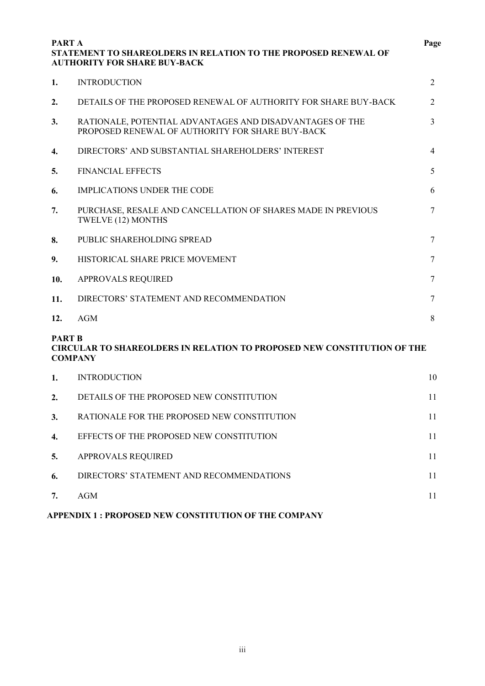| <b>PART A</b>                   | STATEMENT TO SHAREOLDERS IN RELATION TO THE PROPOSED RENEWAL OF<br><b>AUTHORITY FOR SHARE BUY-BACK</b>       | Page |
|---------------------------------|--------------------------------------------------------------------------------------------------------------|------|
| 1.                              | <b>INTRODUCTION</b>                                                                                          | 2    |
| 2.                              | DETAILS OF THE PROPOSED RENEWAL OF AUTHORITY FOR SHARE BUY-BACK                                              | 2    |
| 3.                              | RATIONALE, POTENTIAL ADVANTAGES AND DISADVANTAGES OF THE<br>PROPOSED RENEWAL OF AUTHORITY FOR SHARE BUY-BACK | 3    |
| 4.                              | DIRECTORS' AND SUBSTANTIAL SHAREHOLDERS' INTEREST                                                            | 4    |
| 5.                              | <b>FINANCIAL EFFECTS</b>                                                                                     | 5    |
| 6.                              | <b>IMPLICATIONS UNDER THE CODE</b>                                                                           | 6    |
| 7.                              | PURCHASE, RESALE AND CANCELLATION OF SHARES MADE IN PREVIOUS<br>TWELVE (12) MONTHS                           | 7    |
| 8.                              | PUBLIC SHAREHOLDING SPREAD                                                                                   | 7    |
| 9.                              | HISTORICAL SHARE PRICE MOVEMENT                                                                              | 7    |
| 10.                             | APPROVALS REQUIRED                                                                                           | 7    |
| 11.                             | DIRECTORS' STATEMENT AND RECOMMENDATION                                                                      | 7    |
| 12.                             | <b>AGM</b>                                                                                                   | 8    |
| <b>PART B</b><br><b>COMPANY</b> | <b>CIRCULAR TO SHAREOLDERS IN RELATION TO PROPOSED NEW CONSTITUTION OF THE</b>                               |      |
| 1.                              | <b>INTRODUCTION</b>                                                                                          | 10   |
| 2.                              | DETAILS OF THE PROPOSED NEW CONSTITUTION                                                                     | 11   |
| 3.                              | RATIONALE FOR THE PROPOSED NEW CONSTITUTION                                                                  | 11   |
| 4.                              | EFFECTS OF THE PROPOSED NEW CONSTITUTION                                                                     | 11   |
| 5.                              | APPROVALS REQUIRED                                                                                           | 11   |
| 6.                              | DIRECTORS' STATEMENT AND RECOMMENDATIONS                                                                     | 11   |
| 7.                              | <b>AGM</b>                                                                                                   | 11   |

# **APPENDIX 1 : PROPOSED NEW CONSTITUTION OF THE COMPANY**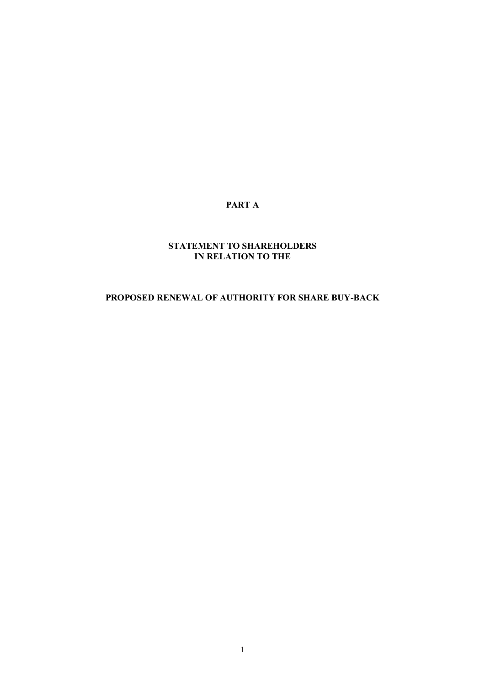# **PART A**

# **STATEMENT TO SHAREHOLDERS IN RELATION TO THE**

# **PROPOSED RENEWAL OF AUTHORITY FOR SHARE BUY-BACK**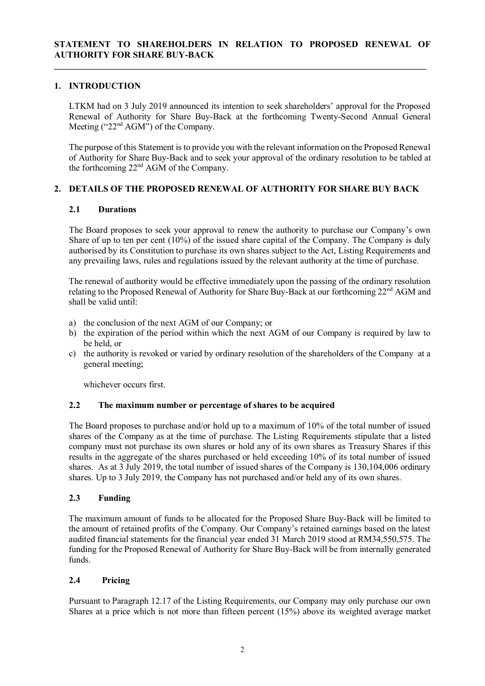**\_\_\_\_\_\_\_\_\_\_\_\_\_\_\_\_\_\_\_\_\_\_\_\_\_\_\_\_\_\_\_\_\_\_\_\_\_\_\_\_\_\_\_\_\_\_\_\_\_\_\_\_\_\_\_\_\_\_\_\_\_\_\_\_\_\_\_\_\_\_\_\_\_\_\_\_\_\_\_\_\_\_\_**

# **1. INTRODUCTION**

LTKM had on 3 July 2019 announced its intention to seek shareholders' approval for the Proposed Renewal of Authority for Share Buy-Back at the forthcoming Twenty-Second Annual General Meeting (" $22<sup>nd</sup> AGM$ ") of the Company.

The purpose of this Statement is to provide you with the relevant information on the Proposed Renewal of Authority for Share Buy-Back and to seek your approval of the ordinary resolution to be tabled at the forthcoming 22nd AGM of the Company.

# **2. DETAILS OF THE PROPOSED RENEWAL OF AUTHORITY FOR SHARE BUY BACK**

# **2.1 Durations**

The Board proposes to seek your approval to renew the authority to purchase our Company's own Share of up to ten per cent (10%) of the issued share capital of the Company. The Company is duly authorised by its Constitution to purchase its own shares subject to the Act, Listing Requirements and any prevailing laws, rules and regulations issued by the relevant authority at the time of purchase.

The renewal of authority would be effective immediately upon the passing of the ordinary resolution relating to the Proposed Renewal of Authority for Share Buy-Back at our forthcoming 22nd AGM and shall be valid until:

- a) the conclusion of the next AGM of our Company; or
- b) the expiration of the period within which the next AGM of our Company is required by law to be held, or
- c) the authority is revoked or varied by ordinary resolution of the shareholders of the Company at a general meeting;

whichever occurs first.

# **2.2 The maximum number or percentage of shares to be acquired**

The Board proposes to purchase and/or hold up to a maximum of 10% of the total number of issued shares of the Company as at the time of purchase. The Listing Requirements stipulate that a listed company must not purchase its own shares or hold any of its own shares as Treasury Shares if this results in the aggregate of the shares purchased or held exceeding 10% of its total number of issued shares. As at 3 July 2019, the total number of issued shares of the Company is 130,104,006 ordinary shares. Up to 3 July 2019, the Company has not purchased and/or held any of its own shares.

# **2.3 Funding**

The maximum amount of funds to be allocated for the Proposed Share Buy-Back will be limited to the amount of retained profits of the Company. Our Company's retained earnings based on the latest audited financial statements for the financial year ended 31 March 2019 stood at RM34,550,575. The funding for the Proposed Renewal of Authority for Share Buy-Back will be from internally generated funds.

# **2.4 Pricing**

Pursuant to Paragraph 12.17 of the Listing Requirements, our Company may only purchase our own Shares at a price which is not more than fifteen percent (15%) above its weighted average market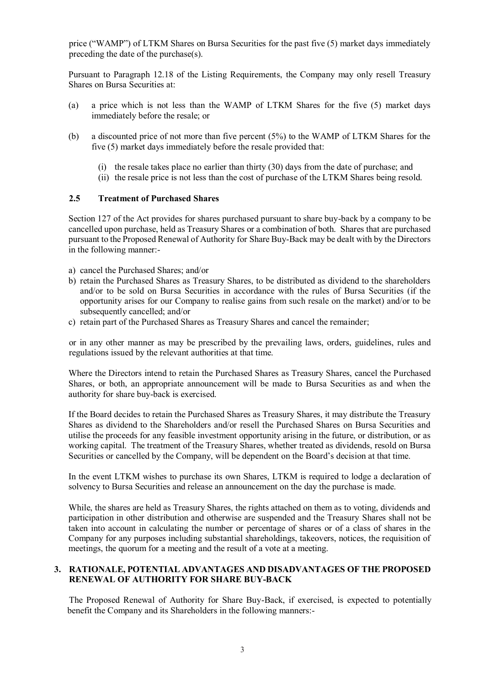price ("WAMP") of LTKM Shares on Bursa Securities for the past five (5) market days immediately preceding the date of the purchase(s).

Pursuant to Paragraph 12.18 of the Listing Requirements, the Company may only resell Treasury Shares on Bursa Securities at:

- (a) a price which is not less than the WAMP of LTKM Shares for the five (5) market days immediately before the resale; or
- (b) a discounted price of not more than five percent (5%) to the WAMP of LTKM Shares for the five (5) market days immediately before the resale provided that:
	- (i) the resale takes place no earlier than thirty (30) days from the date of purchase; and
	- (ii) the resale price is not less than the cost of purchase of the LTKM Shares being resold.

## **2.5 Treatment of Purchased Shares**

Section 127 of the Act provides for shares purchased pursuant to share buy-back by a company to be cancelled upon purchase, held as Treasury Shares or a combination of both. Shares that are purchased pursuant to the Proposed Renewal of Authority for Share Buy-Back may be dealt with by the Directors in the following manner:-

- a) cancel the Purchased Shares; and/or
- b) retain the Purchased Shares as Treasury Shares, to be distributed as dividend to the shareholders and/or to be sold on Bursa Securities in accordance with the rules of Bursa Securities (if the opportunity arises for our Company to realise gains from such resale on the market) and/or to be subsequently cancelled; and/or
- c) retain part of the Purchased Shares as Treasury Shares and cancel the remainder;

or in any other manner as may be prescribed by the prevailing laws, orders, guidelines, rules and regulations issued by the relevant authorities at that time.

Where the Directors intend to retain the Purchased Shares as Treasury Shares, cancel the Purchased Shares, or both, an appropriate announcement will be made to Bursa Securities as and when the authority for share buy-back is exercised.

If the Board decides to retain the Purchased Shares as Treasury Shares, it may distribute the Treasury Shares as dividend to the Shareholders and/or resell the Purchased Shares on Bursa Securities and utilise the proceeds for any feasible investment opportunity arising in the future, or distribution, or as working capital. The treatment of the Treasury Shares, whether treated as dividends, resold on Bursa Securities or cancelled by the Company, will be dependent on the Board's decision at that time.

In the event LTKM wishes to purchase its own Shares, LTKM is required to lodge a declaration of solvency to Bursa Securities and release an announcement on the day the purchase is made.

While, the shares are held as Treasury Shares, the rights attached on them as to voting, dividends and participation in other distribution and otherwise are suspended and the Treasury Shares shall not be taken into account in calculating the number or percentage of shares or of a class of shares in the Company for any purposes including substantial shareholdings, takeovers, notices, the requisition of meetings, the quorum for a meeting and the result of a vote at a meeting.

#### **3. RATIONALE, POTENTIAL ADVANTAGES AND DISADVANTAGES OF THE PROPOSED RENEWAL OF AUTHORITY FOR SHARE BUY-BACK**

The Proposed Renewal of Authority for Share Buy-Back, if exercised, is expected to potentially benefit the Company and its Shareholders in the following manners:-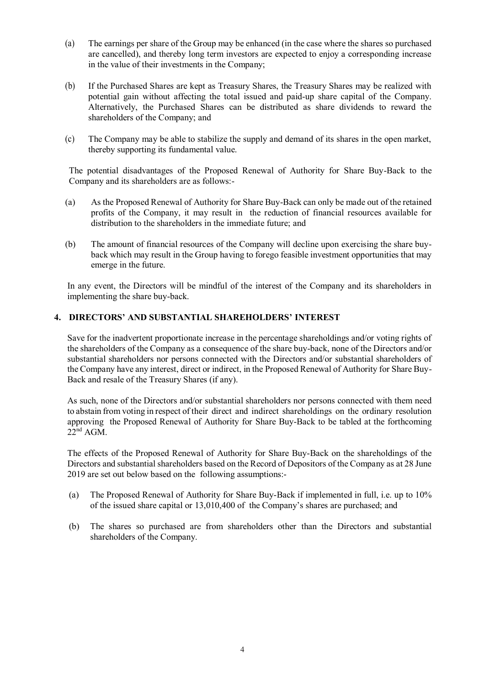- (a) The earnings per share of the Group may be enhanced (in the case where the shares so purchased are cancelled), and thereby long term investors are expected to enjoy a corresponding increase in the value of their investments in the Company;
- (b) If the Purchased Shares are kept as Treasury Shares, the Treasury Shares may be realized with potential gain without affecting the total issued and paid-up share capital of the Company. Alternatively, the Purchased Shares can be distributed as share dividends to reward the shareholders of the Company; and
- (c) The Company may be able to stabilize the supply and demand of its shares in the open market, thereby supporting its fundamental value.

The potential disadvantages of the Proposed Renewal of Authority for Share Buy-Back to the Company and its shareholders are as follows:-

- (a) As the Proposed Renewal of Authority for Share Buy-Back can only be made out of the retained profits of the Company, it may result in the reduction of financial resources available for distribution to the shareholders in the immediate future; and
- (b) The amount of financial resources of the Company will decline upon exercising the share buyback which may result in the Group having to forego feasible investment opportunities that may emerge in the future.

In any event, the Directors will be mindful of the interest of the Company and its shareholders in implementing the share buy-back.

# **4. DIRECTORS' AND SUBSTANTIAL SHAREHOLDERS' INTEREST**

Save for the inadvertent proportionate increase in the percentage shareholdings and/or voting rights of the shareholders of the Company as a consequence of the share buy-back, none of the Directors and/or substantial shareholders nor persons connected with the Directors and/or substantial shareholders of the Company have any interest, direct or indirect, in the Proposed Renewal of Authority for Share Buy-Back and resale of the Treasury Shares (if any).

As such, none of the Directors and/or substantial shareholders nor persons connected with them need to abstain from voting in respect of their direct and indirect shareholdings on the ordinary resolution approving the Proposed Renewal of Authority for Share Buy-Back to be tabled at the forthcoming  $22^{nd}$  AGM.

The effects of the Proposed Renewal of Authority for Share Buy-Back on the shareholdings of the Directors and substantial shareholders based on the Record of Depositors of the Company as at 28 June 2019 are set out below based on the following assumptions:-

- (a) The Proposed Renewal of Authority for Share Buy-Back if implemented in full, i.e. up to 10% of the issued share capital or 13,010,400 of the Company's shares are purchased; and
- (b) The shares so purchased are from shareholders other than the Directors and substantial shareholders of the Company.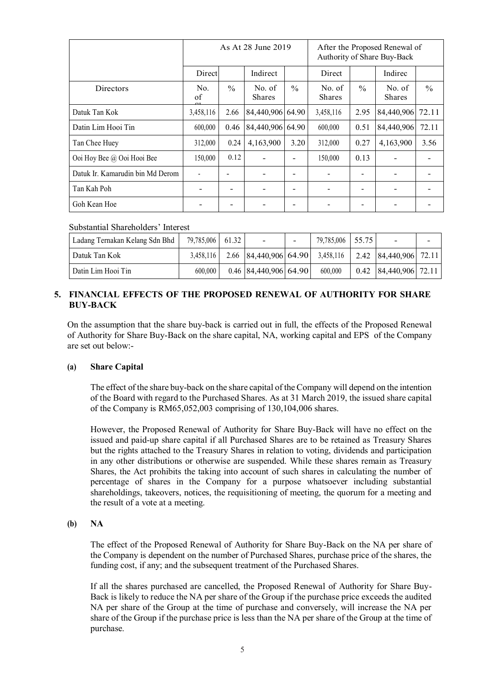|                                  | As At 28 June 2019 |               |                         | After the Proposed Renewal of<br>Authority of Share Buy-Back |                         |               |                         |       |
|----------------------------------|--------------------|---------------|-------------------------|--------------------------------------------------------------|-------------------------|---------------|-------------------------|-------|
|                                  | Direct             |               | Indirect                |                                                              | Direct                  |               | Indirec                 |       |
| <b>Directors</b>                 | No.<br>of          | $\frac{0}{0}$ | No. of<br><b>Shares</b> | $\frac{0}{0}$                                                | No. of<br><b>Shares</b> | $\frac{0}{0}$ | No. of<br><b>Shares</b> | $\%$  |
| Datuk Tan Kok                    | 3,458,116          | 2.66          | 84,440,906 64.90        |                                                              | 3,458,116               | 2.95          | 84,440,906              | 72.11 |
| Datin Lim Hooi Tin               | 600,000            | 0.46          | 84,440,906 64.90        |                                                              | 600,000                 | 0.51          | 84,440,906              | 72.11 |
| Tan Chee Huey                    | 312,000            | 0.24          | 4,163,900               | 3.20                                                         | 312,000                 | 0.27          | 4,163,900               | 3.56  |
| Ooi Hoy Bee @ Ooi Hooi Bee       | 150,000            | 0.12          |                         |                                                              | 150,000                 | 0.13          |                         |       |
| Datuk Ir. Kamarudin bin Md Derom |                    |               |                         |                                                              |                         |               |                         |       |
| Tan Kah Poh                      |                    | -             |                         |                                                              |                         |               |                         |       |
| Goh Kean Hoe                     |                    |               |                         |                                                              |                         |               |                         |       |

## Substantial Shareholders' Interest

| Ladang Ternakan Kelang Sdn Bhd | 79,785,006 61.32 |                             | - | 79,785,006 55.75 | $\overline{\phantom{a}}$                                                      |  |
|--------------------------------|------------------|-----------------------------|---|------------------|-------------------------------------------------------------------------------|--|
| Datuk Tan Kok                  |                  |                             |   |                  | 3,458,116   2.66   84,440,906   64.90   3,458,116   2.42   84,440,906   72.11 |  |
| Datin Lim Hooi Tin             | 600.000          | $0.46$   84,440,906   64.90 |   | 600.000          | $0.42$   84,440,906   72.11                                                   |  |

# **5. FINANCIAL EFFECTS OF THE PROPOSED RENEWAL OF AUTHORITY FOR SHARE BUY-BACK**

On the assumption that the share buy-back is carried out in full, the effects of the Proposed Renewal of Authority for Share Buy-Back on the share capital, NA, working capital and EPS of the Company are set out below:-

#### **(a) Share Capital**

The effect of the share buy-back on the share capital of the Company will depend on the intention of the Board with regard to the Purchased Shares. As at 31 March 2019, the issued share capital of the Company is RM65,052,003 comprising of 130,104,006 shares.

However, the Proposed Renewal of Authority for Share Buy-Back will have no effect on the issued and paid-up share capital if all Purchased Shares are to be retained as Treasury Shares but the rights attached to the Treasury Shares in relation to voting, dividends and participation in any other distributions or otherwise are suspended. While these shares remain as Treasury Shares, the Act prohibits the taking into account of such shares in calculating the number of percentage of shares in the Company for a purpose whatsoever including substantial shareholdings, takeovers, notices, the requisitioning of meeting, the quorum for a meeting and the result of a vote at a meeting.

#### **(b) NA**

The effect of the Proposed Renewal of Authority for Share Buy-Back on the NA per share of the Company is dependent on the number of Purchased Shares, purchase price of the shares, the funding cost, if any; and the subsequent treatment of the Purchased Shares.

If all the shares purchased are cancelled, the Proposed Renewal of Authority for Share Buy-Back is likely to reduce the NA per share of the Group if the purchase price exceeds the audited NA per share of the Group at the time of purchase and conversely, will increase the NA per share of the Group if the purchase price is less than the NA per share of the Group at the time of purchase.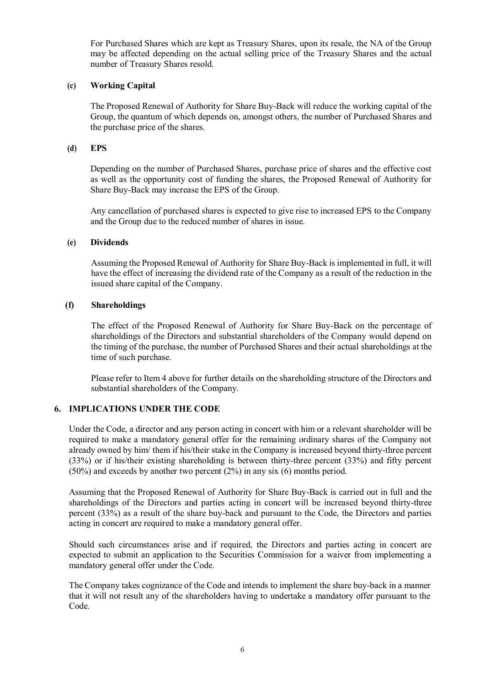For Purchased Shares which are kept as Treasury Shares, upon its resale, the NA of the Group may be affected depending on the actual selling price of the Treasury Shares and the actual number of Treasury Shares resold.

# **(c) Working Capital**

The Proposed Renewal of Authority for Share Buy-Back will reduce the working capital of the Group, the quantum of which depends on, amongst others, the number of Purchased Shares and the purchase price of the shares.

#### **(d) EPS**

Depending on the number of Purchased Shares, purchase price of shares and the effective cost as well as the opportunity cost of funding the shares, the Proposed Renewal of Authority for Share Buy-Back may increase the EPS of the Group.

Any cancellation of purchased shares is expected to give rise to increased EPS to the Company and the Group due to the reduced number of shares in issue.

#### **(e) Dividends**

Assuming the Proposed Renewal of Authority for Share Buy-Back is implemented in full, it will have the effect of increasing the dividend rate of the Company as a result of the reduction in the issued share capital of the Company.

## **(f) Shareholdings**

The effect of the Proposed Renewal of Authority for Share Buy-Back on the percentage of shareholdings of the Directors and substantial shareholders of the Company would depend on the timing of the purchase, the number of Purchased Shares and their actual shareholdings at the time of such purchase.

Please refer to Item 4 above for further details on the shareholding structure of the Directors and substantial shareholders of the Company.

# **6. IMPLICATIONS UNDER THE CODE**

Under the Code, a director and any person acting in concert with him or a relevant shareholder will be required to make a mandatory general offer for the remaining ordinary shares of the Company not already owned by him/ them if his/their stake in the Company is increased beyond thirty-three percent (33%) or if his/their existing shareholding is between thirty-three percent (33%) and fifty percent (50%) and exceeds by another two percent (2%) in any six (6) months period.

Assuming that the Proposed Renewal of Authority for Share Buy-Back is carried out in full and the shareholdings of the Directors and parties acting in concert will be increased beyond thirty-three percent (33%) as a result of the share buy-back and pursuant to the Code, the Directors and parties acting in concert are required to make a mandatory general offer.

Should such circumstances arise and if required, the Directors and parties acting in concert are expected to submit an application to the Securities Commission for a waiver from implementing a mandatory general offer under the Code.

The Company takes cognizance of the Code and intends to implement the share buy-back in a manner that it will not result any of the shareholders having to undertake a mandatory offer pursuant to the Code.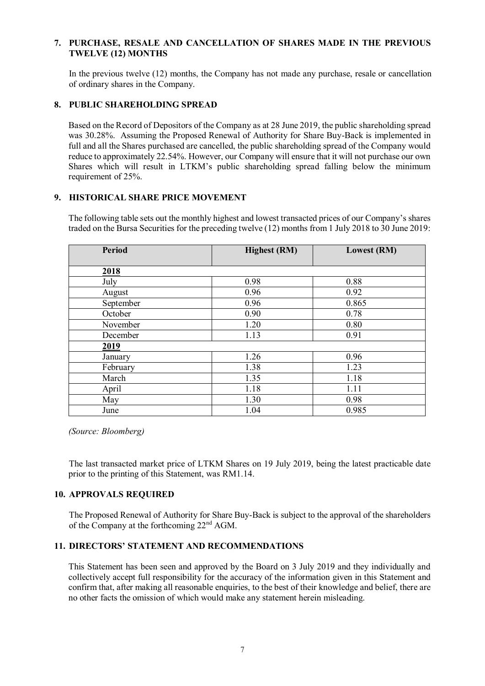### **7. PURCHASE, RESALE AND CANCELLATION OF SHARES MADE IN THE PREVIOUS TWELVE (12) MONTHS**

In the previous twelve (12) months, the Company has not made any purchase, resale or cancellation of ordinary shares in the Company.

#### **8. PUBLIC SHAREHOLDING SPREAD**

Based on the Record of Depositors of the Company as at 28 June 2019, the public shareholding spread was 30.28%. Assuming the Proposed Renewal of Authority for Share Buy-Back is implemented in full and all the Shares purchased are cancelled, the public shareholding spread of the Company would reduce to approximately 22.54%. However, our Company will ensure that it will not purchase our own Shares which will result in LTKM's public shareholding spread falling below the minimum requirement of 25%.

#### **9. HISTORICAL SHARE PRICE MOVEMENT**

The following table sets out the monthly highest and lowest transacted prices of our Company's shares traded on the Bursa Securities for the preceding twelve (12) months from 1 July 2018 to 30 June 2019:

| <b>Period</b> | <b>Highest</b> (RM) | <b>Lowest (RM)</b> |
|---------------|---------------------|--------------------|
| 2018          |                     |                    |
| July          | 0.98                | 0.88               |
| August        | 0.96                | 0.92               |
| September     | 0.96                | 0.865              |
| October       | 0.90                | 0.78               |
| November      | 1.20                | 0.80               |
| December      | 1.13                | 0.91               |
| 2019          |                     |                    |
| January       | 1.26                | 0.96               |
| February      | 1.38                | 1.23               |
| March         | 1.35                | 1.18               |
| April         | 1.18                | 1.11               |
| May           | 1.30                | 0.98               |
| June          | 1.04                | 0.985              |

*(Source: Bloomberg)* 

 The last transacted market price of LTKM Shares on 19 July 2019, being the latest practicable date prior to the printing of this Statement, was RM1.14.

#### **10. APPROVALS REQUIRED**

The Proposed Renewal of Authority for Share Buy-Back is subject to the approval of the shareholders of the Company at the forthcoming 22nd AGM.

#### **11. DIRECTORS' STATEMENT AND RECOMMENDATIONS**

This Statement has been seen and approved by the Board on 3 July 2019 and they individually and collectively accept full responsibility for the accuracy of the information given in this Statement and confirm that, after making all reasonable enquiries, to the best of their knowledge and belief, there are no other facts the omission of which would make any statement herein misleading.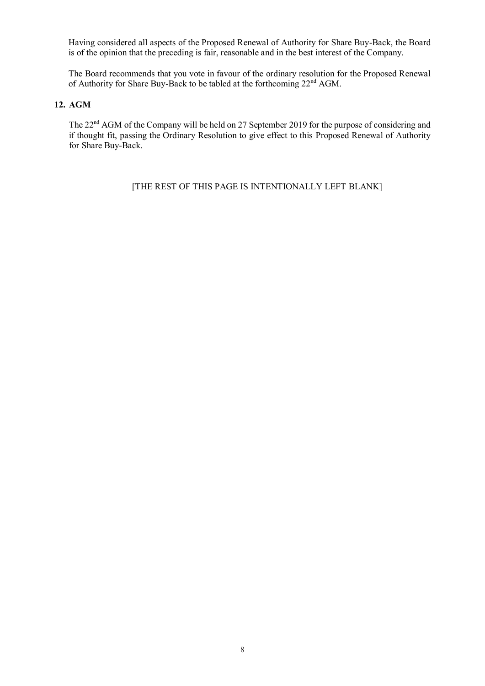Having considered all aspects of the Proposed Renewal of Authority for Share Buy-Back, the Board is of the opinion that the preceding is fair, reasonable and in the best interest of the Company.

The Board recommends that you vote in favour of the ordinary resolution for the Proposed Renewal of Authority for Share Buy-Back to be tabled at the forthcoming 22nd AGM.

## **12. AGM**

The 22<sup>nd</sup> AGM of the Company will be held on 27 September 2019 for the purpose of considering and if thought fit, passing the Ordinary Resolution to give effect to this Proposed Renewal of Authority for Share Buy-Back.

[THE REST OF THIS PAGE IS INTENTIONALLY LEFT BLANK]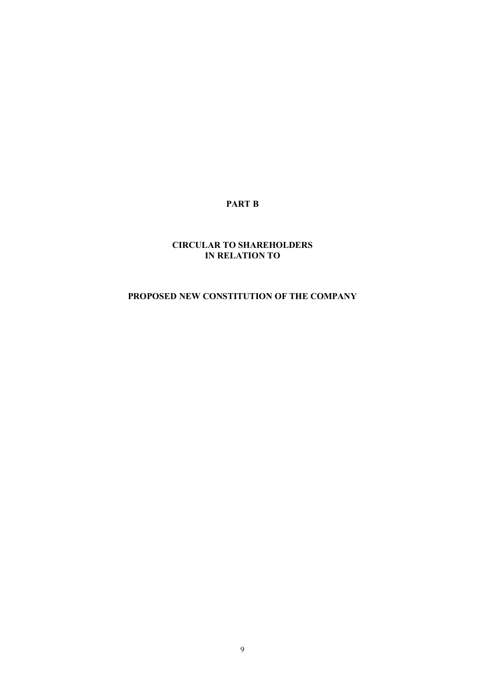# **PART B**

# **CIRCULAR TO SHAREHOLDERS IN RELATION TO**

# **PROPOSED NEW CONSTITUTION OF THE COMPANY**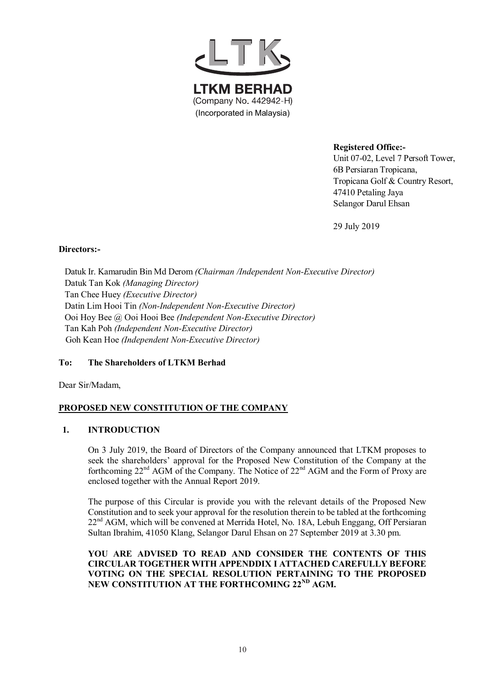

**Registered Office:-**

Unit 07-02, Level 7 Persoft Tower, 6B Persiaran Tropicana, Tropicana Golf & Country Resort, 47410 Petaling Jaya Selangor Darul Ehsan

29 July 2019

## **Directors:-**

Datuk Ir. Kamarudin Bin Md Derom *(Chairman /Independent Non-Executive Director)* Datuk Tan Kok *(Managing Director)* Tan Chee Huey *(Executive Director)* Datin Lim Hooi Tin *(Non-Independent Non-Executive Director)* Ooi Hoy Bee @ Ooi Hooi Bee *(Independent Non-Executive Director)* Tan Kah Poh *(Independent Non-Executive Director)* Goh Kean Hoe *(Independent Non-Executive Director)*

# **To: The Shareholders of LTKM Berhad**

Dear Sir/Madam,

# **PROPOSED NEW CONSTITUTION OF THE COMPANY**

# **1. INTRODUCTION**

On 3 July 2019, the Board of Directors of the Company announced that LTKM proposes to seek the shareholders' approval for the Proposed New Constitution of the Company at the forthcoming 22nd AGM of the Company. The Notice of 22nd AGM and the Form of Proxy are enclosed together with the Annual Report 2019.

The purpose of this Circular is provide you with the relevant details of the Proposed New Constitution and to seek your approval for the resolution therein to be tabled at the forthcoming 22<sup>nd</sup> AGM, which will be convened at Merrida Hotel, No. 18A, Lebuh Enggang, Off Persiaran Sultan Ibrahim, 41050 Klang, Selangor Darul Ehsan on 27 September 2019 at 3.30 pm.

# **YOU ARE ADVISED TO READ AND CONSIDER THE CONTENTS OF THIS CIRCULAR TOGETHER WITH APPENDDIX I ATTACHED CAREFULLY BEFORE VOTING ON THE SPECIAL RESOLUTION PERTAINING TO THE PROPOSED NEW CONSTITUTION AT THE FORTHCOMING 22ND AGM.**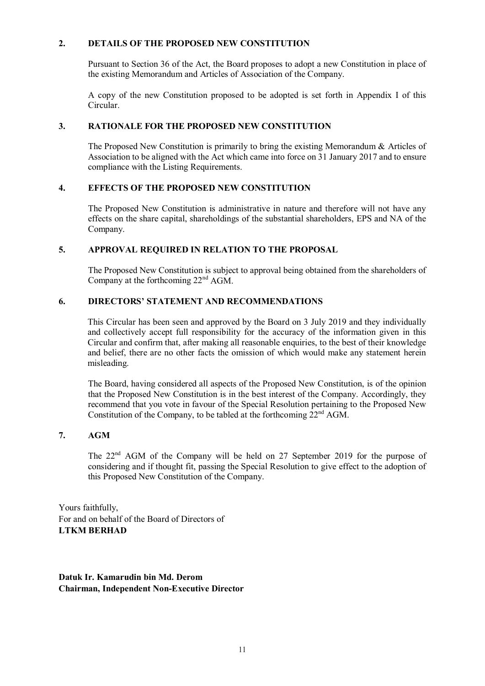## **2. DETAILS OF THE PROPOSED NEW CONSTITUTION**

Pursuant to Section 36 of the Act, the Board proposes to adopt a new Constitution in place of the existing Memorandum and Articles of Association of the Company.

A copy of the new Constitution proposed to be adopted is set forth in Appendix I of this Circular.

## **3. RATIONALE FOR THE PROPOSED NEW CONSTITUTION**

The Proposed New Constitution is primarily to bring the existing Memorandum & Articles of Association to be aligned with the Act which came into force on 31 January 2017 and to ensure compliance with the Listing Requirements.

## **4. EFFECTS OF THE PROPOSED NEW CONSTITUTION**

The Proposed New Constitution is administrative in nature and therefore will not have any effects on the share capital, shareholdings of the substantial shareholders, EPS and NA of the Company.

## **5. APPROVAL REQUIRED IN RELATION TO THE PROPOSAL**

The Proposed New Constitution is subject to approval being obtained from the shareholders of Company at the forthcoming 22nd AGM.

# **6. DIRECTORS' STATEMENT AND RECOMMENDATIONS**

This Circular has been seen and approved by the Board on 3 July 2019 and they individually and collectively accept full responsibility for the accuracy of the information given in this Circular and confirm that, after making all reasonable enquiries, to the best of their knowledge and belief, there are no other facts the omission of which would make any statement herein misleading.

The Board, having considered all aspects of the Proposed New Constitution, is of the opinion that the Proposed New Constitution is in the best interest of the Company. Accordingly, they recommend that you vote in favour of the Special Resolution pertaining to the Proposed New Constitution of the Company, to be tabled at the forthcoming  $22<sup>nd</sup> AGM$ .

# **7. AGM**

The 22nd AGM of the Company will be held on 27 September 2019 for the purpose of considering and if thought fit, passing the Special Resolution to give effect to the adoption of this Proposed New Constitution of the Company.

Yours faithfully, For and on behalf of the Board of Directors of **LTKM BERHAD**

# **Datuk Ir. Kamarudin bin Md. Derom Chairman, Independent Non-Executive Director**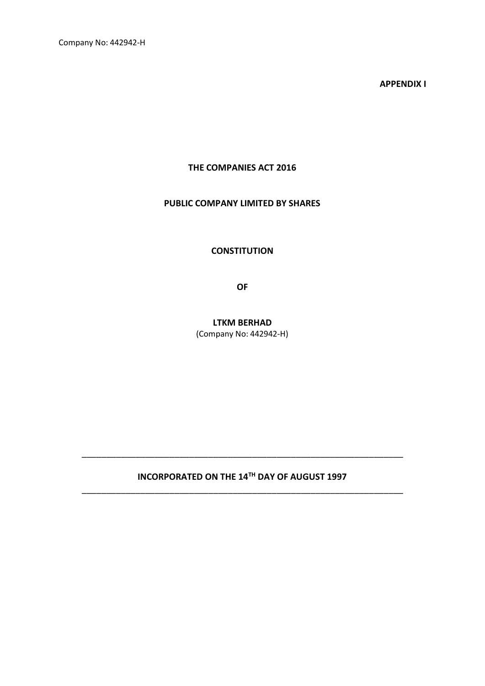Company No: 442942-H

**APPENDIX I**

# **THE COMPANIES ACT 2016**

# **PUBLIC COMPANY LIMITED BY SHARES**

**CONSTITUTION** 

**OF**

**LTKM BERHAD** (Company No: 442942-H)

# **INCORPORATED ON THE 14TH DAY OF AUGUST 1997** \_\_\_\_\_\_\_\_\_\_\_\_\_\_\_\_\_\_\_\_\_\_\_\_\_\_\_\_\_\_\_\_\_\_\_\_\_\_\_\_\_\_\_\_\_\_\_\_\_\_\_\_\_\_\_\_\_\_\_\_\_\_\_\_\_\_

\_\_\_\_\_\_\_\_\_\_\_\_\_\_\_\_\_\_\_\_\_\_\_\_\_\_\_\_\_\_\_\_\_\_\_\_\_\_\_\_\_\_\_\_\_\_\_\_\_\_\_\_\_\_\_\_\_\_\_\_\_\_\_\_\_\_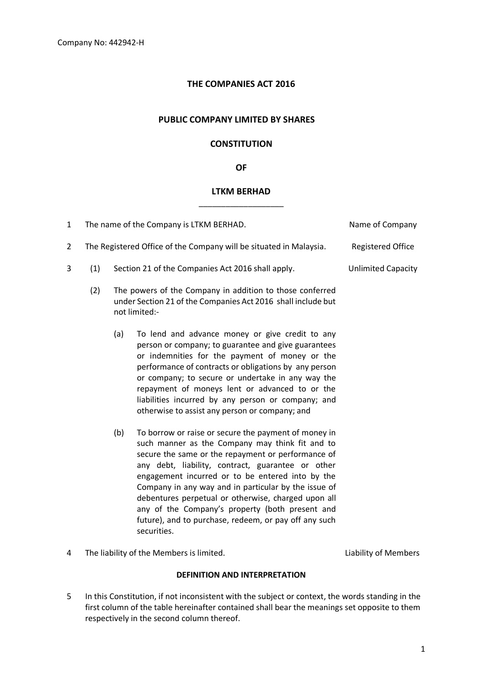# **THE COMPANIES ACT 2016**

#### **PUBLIC COMPANY LIMITED BY SHARES**

# **CONSTITUTION**

#### **OF**

# **LTKM BERHAD** \_\_\_\_\_\_\_\_\_\_\_\_\_\_\_\_\_\_\_

| $\mathbf{1}$   |     |     | The name of the Company is LTKM BERHAD.                                                                                                                                                                                                                                                                                                                                                                                                                                                                          | Name of Company           |
|----------------|-----|-----|------------------------------------------------------------------------------------------------------------------------------------------------------------------------------------------------------------------------------------------------------------------------------------------------------------------------------------------------------------------------------------------------------------------------------------------------------------------------------------------------------------------|---------------------------|
| $\overline{2}$ |     |     | The Registered Office of the Company will be situated in Malaysia.                                                                                                                                                                                                                                                                                                                                                                                                                                               | <b>Registered Office</b>  |
| 3              | (1) |     | Section 21 of the Companies Act 2016 shall apply.                                                                                                                                                                                                                                                                                                                                                                                                                                                                | <b>Unlimited Capacity</b> |
|                | (2) |     | The powers of the Company in addition to those conferred<br>under Section 21 of the Companies Act 2016 shall include but<br>not limited:-                                                                                                                                                                                                                                                                                                                                                                        |                           |
|                |     | (a) | To lend and advance money or give credit to any<br>person or company; to guarantee and give guarantees<br>or indemnities for the payment of money or the<br>performance of contracts or obligations by any person<br>or company; to secure or undertake in any way the<br>repayment of moneys lent or advanced to or the<br>liabilities incurred by any person or company; and<br>otherwise to assist any person or company; and                                                                                 |                           |
|                |     | (b) | To borrow or raise or secure the payment of money in<br>such manner as the Company may think fit and to<br>secure the same or the repayment or performance of<br>any debt, liability, contract, guarantee or other<br>engagement incurred or to be entered into by the<br>Company in any way and in particular by the issue of<br>debentures perpetual or otherwise, charged upon all<br>any of the Company's property (both present and<br>future), and to purchase, redeem, or pay off any such<br>securities. |                           |

4 The liability of the Members is limited. Liability of Members

#### **DEFINITION AND INTERPRETATION**

5 In this Constitution, if not inconsistent with the subject or context, the words standing in the first column of the table hereinafter contained shall bear the meanings set opposite to them respectively in the second column thereof.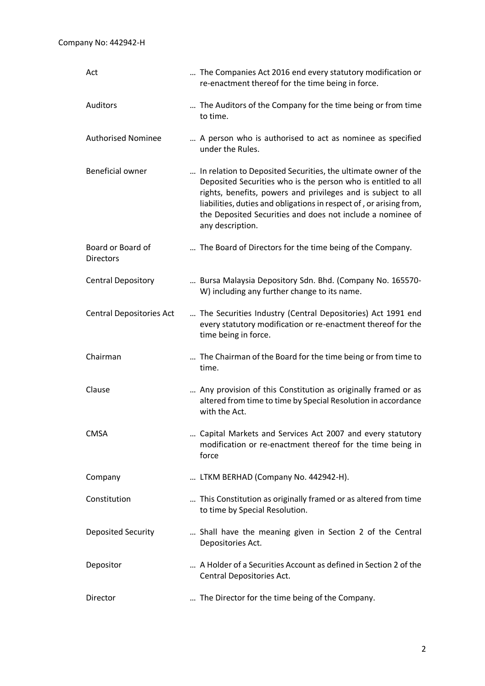| Act                                   | The Companies Act 2016 end every statutory modification or<br>re-enactment thereof for the time being in force.                                                                                                                                                                                                                                           |
|---------------------------------------|-----------------------------------------------------------------------------------------------------------------------------------------------------------------------------------------------------------------------------------------------------------------------------------------------------------------------------------------------------------|
| Auditors                              | The Auditors of the Company for the time being or from time<br>to time.                                                                                                                                                                                                                                                                                   |
| <b>Authorised Nominee</b>             | A person who is authorised to act as nominee as specified<br>under the Rules.                                                                                                                                                                                                                                                                             |
| <b>Beneficial owner</b>               | In relation to Deposited Securities, the ultimate owner of the<br>Deposited Securities who is the person who is entitled to all<br>rights, benefits, powers and privileges and is subject to all<br>liabilities, duties and obligations in respect of, or arising from,<br>the Deposited Securities and does not include a nominee of<br>any description. |
| Board or Board of<br><b>Directors</b> | The Board of Directors for the time being of the Company.                                                                                                                                                                                                                                                                                                 |
| <b>Central Depository</b>             | Bursa Malaysia Depository Sdn. Bhd. (Company No. 165570-<br>W) including any further change to its name.                                                                                                                                                                                                                                                  |
| <b>Central Depositories Act</b>       | The Securities Industry (Central Depositories) Act 1991 end<br>every statutory modification or re-enactment thereof for the<br>time being in force.                                                                                                                                                                                                       |
| Chairman                              | The Chairman of the Board for the time being or from time to<br>time.                                                                                                                                                                                                                                                                                     |
| Clause                                | Any provision of this Constitution as originally framed or as<br>altered from time to time by Special Resolution in accordance<br>with the Act.                                                                                                                                                                                                           |
| <b>CMSA</b>                           | Capital Markets and Services Act 2007 and every statutory<br>modification or re-enactment thereof for the time being in<br>force                                                                                                                                                                                                                          |
| Company                               | LTKM BERHAD (Company No. 442942-H).                                                                                                                                                                                                                                                                                                                       |
| Constitution                          | This Constitution as originally framed or as altered from time<br>to time by Special Resolution.                                                                                                                                                                                                                                                          |
| Deposited Security                    | Shall have the meaning given in Section 2 of the Central<br>Depositories Act.                                                                                                                                                                                                                                                                             |
| Depositor                             | A Holder of a Securities Account as defined in Section 2 of the<br>Central Depositories Act.                                                                                                                                                                                                                                                              |
| Director                              | The Director for the time being of the Company.                                                                                                                                                                                                                                                                                                           |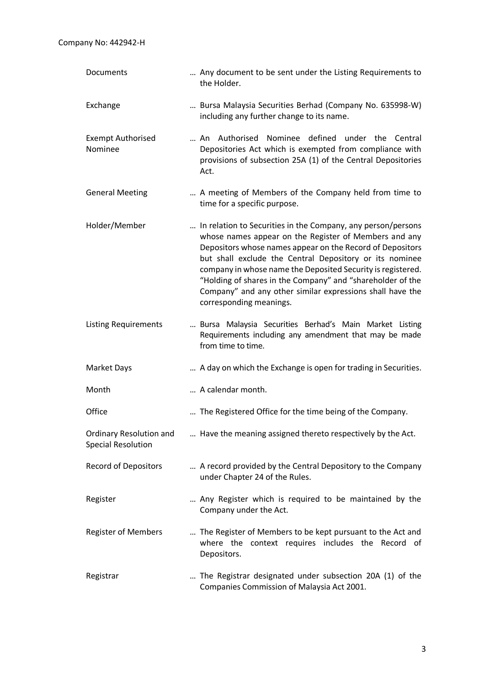| Documents                                            | Any document to be sent under the Listing Requirements to<br>the Holder.                                                                                                                                                                                                                                                                                                                                                                                           |
|------------------------------------------------------|--------------------------------------------------------------------------------------------------------------------------------------------------------------------------------------------------------------------------------------------------------------------------------------------------------------------------------------------------------------------------------------------------------------------------------------------------------------------|
| Exchange                                             | Bursa Malaysia Securities Berhad (Company No. 635998-W)<br>including any further change to its name.                                                                                                                                                                                                                                                                                                                                                               |
| <b>Exempt Authorised</b><br>Nominee                  | An Authorised Nominee defined under the Central<br>Depositories Act which is exempted from compliance with<br>provisions of subsection 25A (1) of the Central Depositories<br>Act.                                                                                                                                                                                                                                                                                 |
| <b>General Meeting</b>                               | A meeting of Members of the Company held from time to<br>time for a specific purpose.                                                                                                                                                                                                                                                                                                                                                                              |
| Holder/Member                                        | In relation to Securities in the Company, any person/persons<br>whose names appear on the Register of Members and any<br>Depositors whose names appear on the Record of Depositors<br>but shall exclude the Central Depository or its nominee<br>company in whose name the Deposited Security is registered.<br>"Holding of shares in the Company" and "shareholder of the<br>Company" and any other similar expressions shall have the<br>corresponding meanings. |
| <b>Listing Requirements</b>                          | Bursa Malaysia Securities Berhad's Main Market Listing<br>Requirements including any amendment that may be made<br>from time to time.                                                                                                                                                                                                                                                                                                                              |
| <b>Market Days</b>                                   | A day on which the Exchange is open for trading in Securities.                                                                                                                                                                                                                                                                                                                                                                                                     |
| Month                                                | A calendar month.                                                                                                                                                                                                                                                                                                                                                                                                                                                  |
| Office                                               | The Registered Office for the time being of the Company.                                                                                                                                                                                                                                                                                                                                                                                                           |
| Ordinary Resolution and<br><b>Special Resolution</b> | Have the meaning assigned thereto respectively by the Act.                                                                                                                                                                                                                                                                                                                                                                                                         |
| <b>Record of Depositors</b>                          | A record provided by the Central Depository to the Company<br>under Chapter 24 of the Rules.                                                                                                                                                                                                                                                                                                                                                                       |
| Register                                             | Any Register which is required to be maintained by the<br>Company under the Act.                                                                                                                                                                                                                                                                                                                                                                                   |
| <b>Register of Members</b>                           | The Register of Members to be kept pursuant to the Act and<br>where the context requires includes the Record of<br>Depositors.                                                                                                                                                                                                                                                                                                                                     |
| Registrar                                            | The Registrar designated under subsection 20A (1) of the<br>Companies Commission of Malaysia Act 2001.                                                                                                                                                                                                                                                                                                                                                             |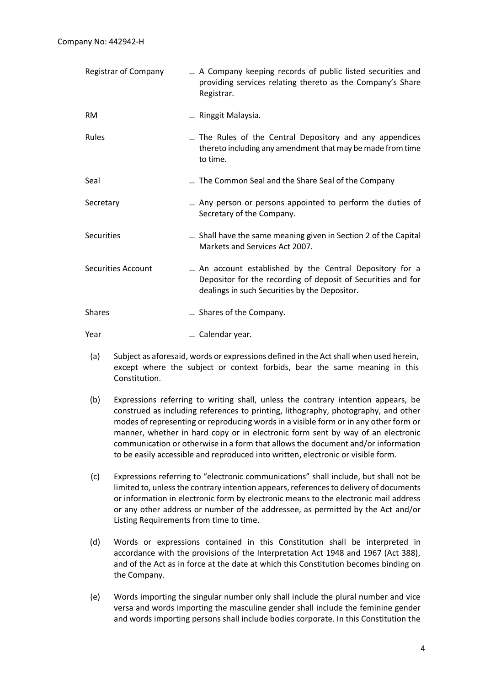| Registrar of Company      | A Company keeping records of public listed securities and<br>providing services relating thereto as the Company's Share<br>Registrar.                                   |
|---------------------------|-------------------------------------------------------------------------------------------------------------------------------------------------------------------------|
| <b>RM</b>                 | Ringgit Malaysia.                                                                                                                                                       |
| Rules                     | The Rules of the Central Depository and any appendices<br>thereto including any amendment that may be made from time<br>to time.                                        |
| Seal                      | The Common Seal and the Share Seal of the Company                                                                                                                       |
| Secretary                 | Any person or persons appointed to perform the duties of<br>Secretary of the Company.                                                                                   |
| <b>Securities</b>         | Shall have the same meaning given in Section 2 of the Capital<br>Markets and Services Act 2007.                                                                         |
| <b>Securities Account</b> | An account established by the Central Depository for a<br>Depositor for the recording of deposit of Securities and for<br>dealings in such Securities by the Depositor. |
| <b>Shares</b>             | Shares of the Company.                                                                                                                                                  |
| Year                      | Calendar year.                                                                                                                                                          |

- (a) Subject as aforesaid, words or expressions defined in the Act shall when used herein, except where the subject or context forbids, bear the same meaning in this Constitution.
- (b) Expressions referring to writing shall, unless the contrary intention appears, be construed as including references to printing, lithography, photography, and other modes of representing or reproducing words in a visible form or in any other form or manner, whether in hard copy or in electronic form sent by way of an electronic communication or otherwise in a form that allows the document and/or information to be easily accessible and reproduced into written, electronic or visible form.
- (c) Expressions referring to "electronic communications" shall include, but shall not be limited to, unless the contrary intention appears, references to delivery of documents or information in electronic form by electronic means to the electronic mail address or any other address or number of the addressee, as permitted by the Act and/or Listing Requirements from time to time.
- (d) Words or expressions contained in this Constitution shall be interpreted in accordance with the provisions of the Interpretation Act 1948 and 1967 (Act 388), and of the Act as in force at the date at which this Constitution becomes binding on the Company.
- (e) Words importing the singular number only shall include the plural number and vice versa and words importing the masculine gender shall include the feminine gender and words importing persons shall include bodies corporate. In this Constitution the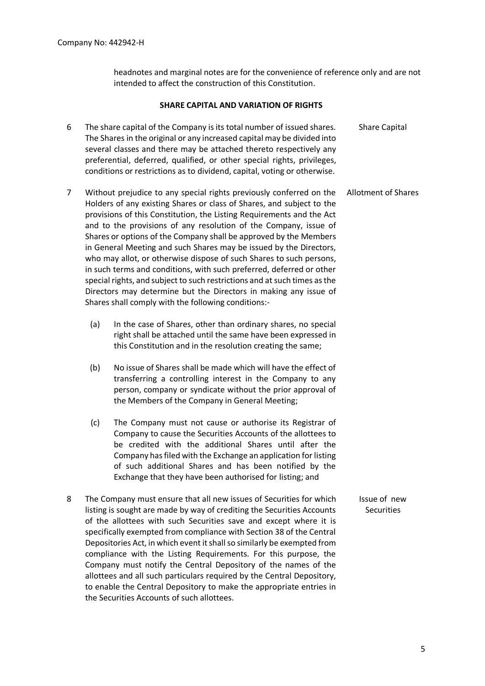headnotes and marginal notes are for the convenience of reference only and are not intended to affect the construction of this Constitution.

#### **SHARE CAPITAL AND VARIATION OF RIGHTS**

- 6 The share capital of the Company is its total number of issued shares. The Shares in the original or any increased capital may be divided into several classes and there may be attached thereto respectively any preferential, deferred, qualified, or other special rights, privileges, conditions or restrictions as to dividend, capital, voting or otherwise. Share Capital
- 7 Without prejudice to any special rights previously conferred on the Holders of any existing Shares or class of Shares, and subject to the provisions of this Constitution, the Listing Requirements and the Act and to the provisions of any resolution of the Company, issue of Shares or options of the Company shall be approved by the Members in General Meeting and such Shares may be issued by the Directors, who may allot, or otherwise dispose of such Shares to such persons, in such terms and conditions, with such preferred, deferred or other special rights, and subject to such restrictions and at such times as the Directors may determine but the Directors in making any issue of Shares shall comply with the following conditions:- Allotment of Shares
	- (a) In the case of Shares, other than ordinary shares, no special right shall be attached until the same have been expressed in this Constitution and in the resolution creating the same;
	- (b) No issue of Shares shall be made which will have the effect of transferring a controlling interest in the Company to any person, company or syndicate without the prior approval of the Members of the Company in General Meeting;
	- (c) The Company must not cause or authorise its Registrar of Company to cause the Securities Accounts of the allottees to be credited with the additional Shares until after the Company has filed with the Exchange an application for listing of such additional Shares and has been notified by the Exchange that they have been authorised for listing; and
- 8 The Company must ensure that all new issues of Securities for which listing is sought are made by way of crediting the Securities Accounts of the allottees with such Securities save and except where it is specifically exempted from compliance with Section 38 of the Central Depositories Act, in which event it shall so similarly be exempted from compliance with the Listing Requirements. For this purpose, the Company must notify the Central Depository of the names of the allottees and all such particulars required by the Central Depository, to enable the Central Depository to make the appropriate entries in the Securities Accounts of such allottees. Issue of new **Securities**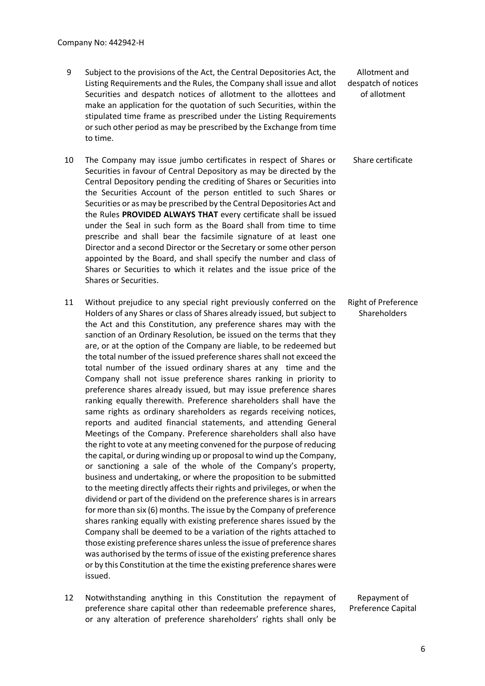- 9 Subject to the provisions of the Act, the Central Depositories Act, the Listing Requirements and the Rules, the Company shall issue and allot Securities and despatch notices of allotment to the allottees and make an application for the quotation of such Securities, within the stipulated time frame as prescribed under the Listing Requirements or such other period as may be prescribed by the Exchange from time to time.
- 10 The Company may issue jumbo certificates in respect of Shares or Securities in favour of Central Depository as may be directed by the Central Depository pending the crediting of Shares or Securities into the Securities Account of the person entitled to such Shares or Securities or as may be prescribed by the Central Depositories Act and the Rules **PROVIDED ALWAYS THAT** every certificate shall be issued under the Seal in such form as the Board shall from time to time prescribe and shall bear the facsimile signature of at least one Director and a second Director or the Secretary or some other person appointed by the Board, and shall specify the number and class of Shares or Securities to which it relates and the issue price of the Shares or Securities.
- 11 Without prejudice to any special right previously conferred on the Holders of any Shares or class of Shares already issued, but subject to the Act and this Constitution, any preference shares may with the sanction of an Ordinary Resolution, be issued on the terms that they are, or at the option of the Company are liable, to be redeemed but the total number of the issued preference shares shall not exceed the total number of the issued ordinary shares at any time and the Company shall not issue preference shares ranking in priority to preference shares already issued, but may issue preference shares ranking equally therewith. Preference shareholders shall have the same rights as ordinary shareholders as regards receiving notices, reports and audited financial statements, and attending General Meetings of the Company. Preference shareholders shall also have the right to vote at any meeting convened for the purpose of reducing the capital, or during winding up or proposal to wind up the Company, or sanctioning a sale of the whole of the Company's property, business and undertaking, or where the proposition to be submitted to the meeting directly affects their rights and privileges, or when the dividend or part of the dividend on the preference shares is in arrears for more than six (6) months. The issue by the Company of preference shares ranking equally with existing preference shares issued by the Company shall be deemed to be a variation of the rights attached to those existing preference shares unless the issue of preference shares was authorised by the terms of issue of the existing preference shares or by this Constitution at the time the existing preference shares were issued.
- 12 Notwithstanding anything in this Constitution the repayment of preference share capital other than redeemable preference shares, or any alteration of preference shareholders' rights shall only be

Allotment and despatch of notices of allotment

Share certificate

Right of Preference Shareholders

Repayment of Preference Capital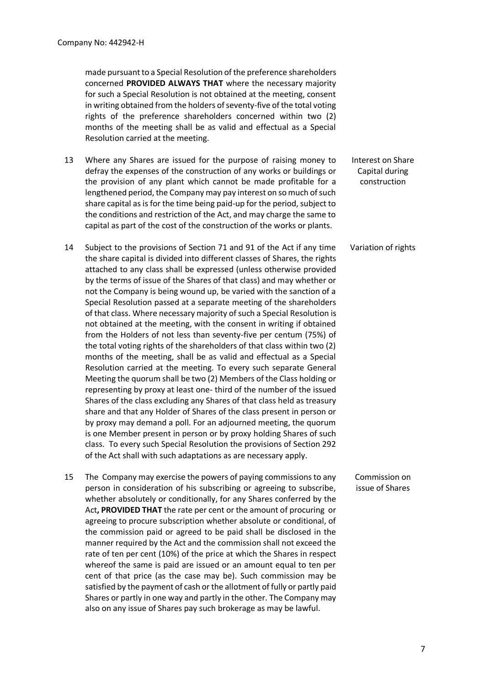made pursuant to a Special Resolution of the preference shareholders concerned **PROVIDED ALWAYS THAT** where the necessary majority for such a Special Resolution is not obtained at the meeting, consent in writing obtained from the holders of seventy-five of the total voting rights of the preference shareholders concerned within two (2) months of the meeting shall be as valid and effectual as a Special Resolution carried at the meeting.

- 13 Where any Shares are issued for the purpose of raising money to defray the expenses of the construction of any works or buildings or the provision of any plant which cannot be made profitable for a lengthened period, the Company may pay interest on so much of such share capital as is for the time being paid-up for the period, subject to the conditions and restriction of the Act, and may charge the same to capital as part of the cost of the construction of the works or plants. Interest on Share Capital during construction
- 14 Subject to the provisions of Section 71 and 91 of the Act if any time the share capital is divided into different classes of Shares, the rights attached to any class shall be expressed (unless otherwise provided by the terms of issue of the Shares of that class) and may whether or not the Company is being wound up, be varied with the sanction of a Special Resolution passed at a separate meeting of the shareholders of that class. Where necessary majority of such a Special Resolution is not obtained at the meeting, with the consent in writing if obtained from the Holders of not less than seventy-five per centum (75%) of the total voting rights of the shareholders of that class within two (2) months of the meeting, shall be as valid and effectual as a Special Resolution carried at the meeting. To every such separate General Meeting the quorum shall be two (2) Members of the Class holding or representing by proxy at least one- third of the number of the issued Shares of the class excluding any Shares of that class held as treasury share and that any Holder of Shares of the class present in person or by proxy may demand a poll. For an adjourned meeting, the quorum is one Member present in person or by proxy holding Shares of such class. To every such Special Resolution the provisions of Section 292 of the Act shall with such adaptations as are necessary apply. Variation of rights
- 15 The Company may exercise the powers of paying commissions to any person in consideration of his subscribing or agreeing to subscribe, whether absolutely or conditionally, for any Shares conferred by the Act**, PROVIDED THAT** the rate per cent or the amount of procuring or agreeing to procure subscription whether absolute or conditional, of the commission paid or agreed to be paid shall be disclosed in the manner required by the Act and the commission shall not exceed the rate of ten per cent (10%) of the price at which the Shares in respect whereof the same is paid are issued or an amount equal to ten per cent of that price (as the case may be). Such commission may be satisfied by the payment of cash or the allotment of fully or partly paid Shares or partly in one way and partly in the other. The Company may also on any issue of Shares pay such brokerage as may be lawful.
- Commission on issue of Shares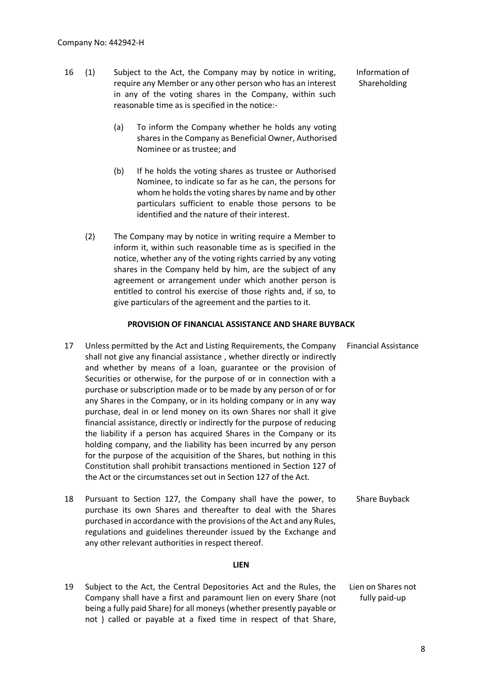- 16 (1) Subject to the Act, the Company may by notice in writing, require any Member or any other person who has an interest in any of the voting shares in the Company, within such reasonable time as is specified in the notice:- Information of Shareholding
	- (a) To inform the Company whether he holds any voting shares in the Company as Beneficial Owner, Authorised Nominee or as trustee; and
	- (b) If he holds the voting shares as trustee or Authorised Nominee, to indicate so far as he can, the persons for whom he holds the voting shares by name and by other particulars sufficient to enable those persons to be identified and the nature of their interest.
	- (2) The Company may by notice in writing require a Member to inform it, within such reasonable time as is specified in the notice, whether any of the voting rights carried by any voting shares in the Company held by him, are the subject of any agreement or arrangement under which another person is entitled to control his exercise of those rights and, if so, to give particulars of the agreement and the parties to it.

#### **PROVISION OF FINANCIAL ASSISTANCE AND SHARE BUYBACK**

- 17 Unless permitted by the Act and Listing Requirements, the Company shall not give any financial assistance , whether directly or indirectly and whether by means of a loan, guarantee or the provision of Securities or otherwise, for the purpose of or in connection with a purchase or subscription made or to be made by any person of or for any Shares in the Company, or in its holding company or in any way purchase, deal in or lend money on its own Shares nor shall it give financial assistance, directly or indirectly for the purpose of reducing the liability if a person has acquired Shares in the Company or its holding company, and the liability has been incurred by any person for the purpose of the acquisition of the Shares, but nothing in this Constitution shall prohibit transactions mentioned in Section 127 of the Act or the circumstances set out in Section 127 of the Act. Financial Assistance
- 18 Pursuant to Section 127, the Company shall have the power, to purchase its own Shares and thereafter to deal with the Shares purchased in accordance with the provisions of the Act and any Rules, regulations and guidelines thereunder issued by the Exchange and any other relevant authorities in respect thereof. Share Buyback

#### **LIEN**

19 Subject to the Act, the Central Depositories Act and the Rules, the Company shall have a first and paramount lien on every Share (not being a fully paid Share) for all moneys (whether presently payable or not ) called or payable at a fixed time in respect of that Share, Lien on Shares not fully paid-up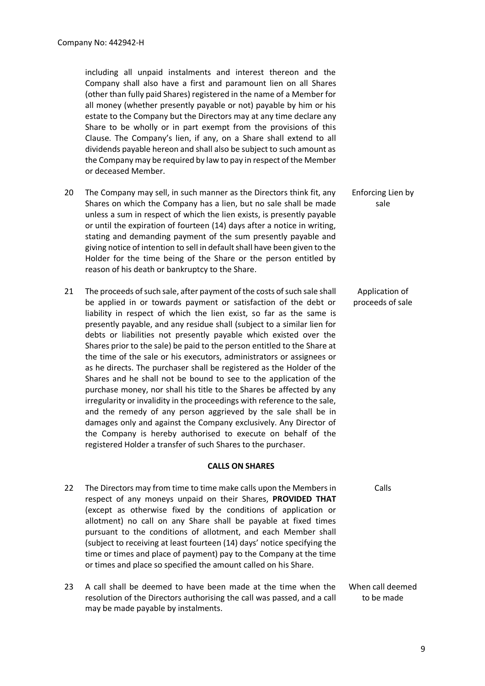including all unpaid instalments and interest thereon and the Company shall also have a first and paramount lien on all Shares (other than fully paid Shares) registered in the name of a Member for all money (whether presently payable or not) payable by him or his estate to the Company but the Directors may at any time declare any Share to be wholly or in part exempt from the provisions of this Clause. The Company's lien, if any, on a Share shall extend to all dividends payable hereon and shall also be subject to such amount as the Company may be required by law to pay in respect of the Member or deceased Member.

- 20 The Company may sell, in such manner as the Directors think fit, any Shares on which the Company has a lien, but no sale shall be made unless a sum in respect of which the lien exists, is presently payable or until the expiration of fourteen (14) days after a notice in writing, stating and demanding payment of the sum presently payable and giving notice of intention to sell in default shall have been given to the Holder for the time being of the Share or the person entitled by reason of his death or bankruptcy to the Share. Enforcing Lien by sale
- 21 The proceeds of such sale, after payment of the costs of such sale shall be applied in or towards payment or satisfaction of the debt or liability in respect of which the lien exist, so far as the same is presently payable, and any residue shall (subject to a similar lien for debts or liabilities not presently payable which existed over the Shares prior to the sale) be paid to the person entitled to the Share at the time of the sale or his executors, administrators or assignees or as he directs. The purchaser shall be registered as the Holder of the Shares and he shall not be bound to see to the application of the purchase money, nor shall his title to the Shares be affected by any irregularity or invalidity in the proceedings with reference to the sale, and the remedy of any person aggrieved by the sale shall be in damages only and against the Company exclusively. Any Director of the Company is hereby authorised to execute on behalf of the registered Holder a transfer of such Shares to the purchaser.

#### **CALLS ON SHARES**

- 22 The Directors may from time to time make calls upon the Members in respect of any moneys unpaid on their Shares, **PROVIDED THAT** (except as otherwise fixed by the conditions of application or allotment) no call on any Share shall be payable at fixed times pursuant to the conditions of allotment, and each Member shall (subject to receiving at least fourteen (14) days' notice specifying the time or times and place of payment) pay to the Company at the time or times and place so specified the amount called on his Share.
- 23 A call shall be deemed to have been made at the time when the resolution of the Directors authorising the call was passed, and a call may be made payable by instalments.

Application of proceeds of sale

Calls

When call deemed to be made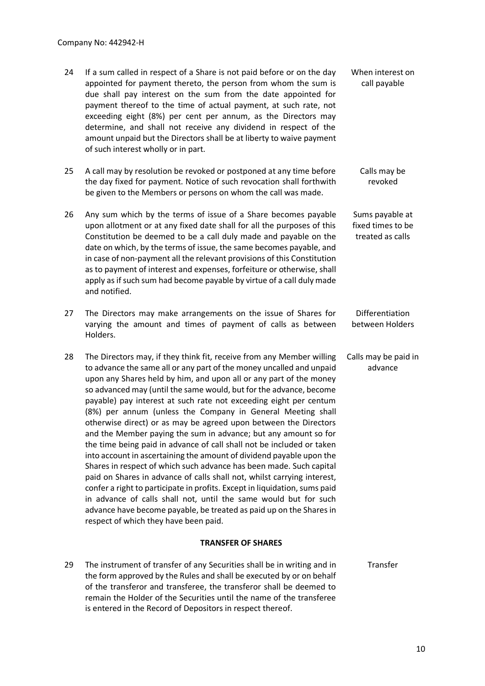| 24 | If a sum called in respect of a Share is not paid before or on the day<br>appointed for payment thereto, the person from whom the sum is<br>due shall pay interest on the sum from the date appointed for<br>payment thereof to the time of actual payment, at such rate, not<br>exceeding eight (8%) per cent per annum, as the Directors may<br>determine, and shall not receive any dividend in respect of the<br>amount unpaid but the Directors shall be at liberty to waive payment<br>of such interest wholly or in part.                                                                                                                                                                                                                                                                                                                                                                                                                                                                                                                                                                                                          | When interest on<br>call payable                         |
|----|-------------------------------------------------------------------------------------------------------------------------------------------------------------------------------------------------------------------------------------------------------------------------------------------------------------------------------------------------------------------------------------------------------------------------------------------------------------------------------------------------------------------------------------------------------------------------------------------------------------------------------------------------------------------------------------------------------------------------------------------------------------------------------------------------------------------------------------------------------------------------------------------------------------------------------------------------------------------------------------------------------------------------------------------------------------------------------------------------------------------------------------------|----------------------------------------------------------|
| 25 | A call may by resolution be revoked or postponed at any time before<br>the day fixed for payment. Notice of such revocation shall forthwith<br>be given to the Members or persons on whom the call was made.                                                                                                                                                                                                                                                                                                                                                                                                                                                                                                                                                                                                                                                                                                                                                                                                                                                                                                                              | Calls may be<br>revoked                                  |
| 26 | Any sum which by the terms of issue of a Share becomes payable<br>upon allotment or at any fixed date shall for all the purposes of this<br>Constitution be deemed to be a call duly made and payable on the<br>date on which, by the terms of issue, the same becomes payable, and<br>in case of non-payment all the relevant provisions of this Constitution<br>as to payment of interest and expenses, forfeiture or otherwise, shall<br>apply as if such sum had become payable by virtue of a call duly made<br>and notified.                                                                                                                                                                                                                                                                                                                                                                                                                                                                                                                                                                                                        | Sums payable at<br>fixed times to be<br>treated as calls |
| 27 | The Directors may make arrangements on the issue of Shares for<br>varying the amount and times of payment of calls as between<br>Holders.                                                                                                                                                                                                                                                                                                                                                                                                                                                                                                                                                                                                                                                                                                                                                                                                                                                                                                                                                                                                 | Differentiation<br>between Holders                       |
| 28 | The Directors may, if they think fit, receive from any Member willing<br>to advance the same all or any part of the money uncalled and unpaid<br>upon any Shares held by him, and upon all or any part of the money<br>so advanced may (until the same would, but for the advance, become<br>payable) pay interest at such rate not exceeding eight per centum<br>(8%) per annum (unless the Company in General Meeting shall<br>otherwise direct) or as may be agreed upon between the Directors<br>and the Member paying the sum in advance; but any amount so for<br>the time being paid in advance of call shall not be included or taken<br>into account in ascertaining the amount of dividend payable upon the<br>Shares in respect of which such advance has been made. Such capital<br>paid on Shares in advance of calls shall not, whilst carrying interest,<br>confer a right to participate in profits. Except in liquidation, sums paid<br>in advance of calls shall not, until the same would but for such<br>advance have become payable, be treated as paid up on the Shares in<br>respect of which they have been paid. | Calls may be paid in<br>advance                          |
|    |                                                                                                                                                                                                                                                                                                                                                                                                                                                                                                                                                                                                                                                                                                                                                                                                                                                                                                                                                                                                                                                                                                                                           |                                                          |

# **TRANSFER OF SHARES**

29 The instrument of transfer of any Securities shall be in writing and in the form approved by the Rules and shall be executed by or on behalf of the transferor and transferee, the transferor shall be deemed to remain the Holder of the Securities until the name of the transferee is entered in the Record of Depositors in respect thereof. Transfer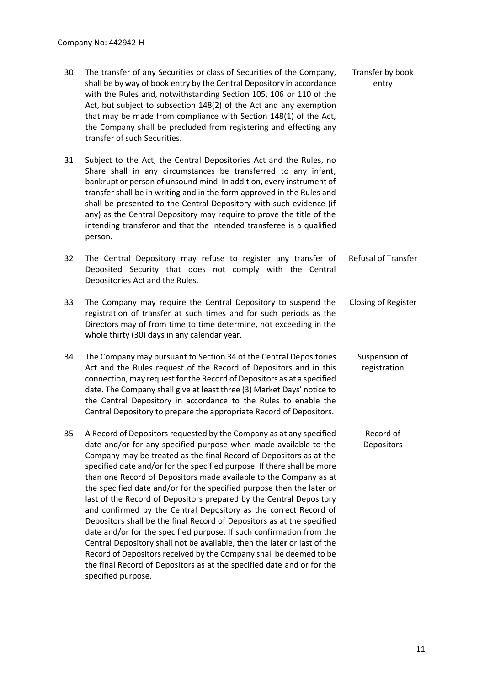| 30 | The transfer of any Securities or class of Securities of the Company,<br>shall be by way of book entry by the Central Depository in accordance<br>with the Rules and, notwithstanding Section 105, 106 or 110 of the<br>Act, but subject to subsection 148(2) of the Act and any exemption<br>that may be made from compliance with Section 148(1) of the Act,<br>the Company shall be precluded from registering and effecting any<br>transfer of such Securities.                                                                                                                                                                                                                                                                                                                                                                                                                                                                                                                   | Transfer by book<br>entry     |
|----|---------------------------------------------------------------------------------------------------------------------------------------------------------------------------------------------------------------------------------------------------------------------------------------------------------------------------------------------------------------------------------------------------------------------------------------------------------------------------------------------------------------------------------------------------------------------------------------------------------------------------------------------------------------------------------------------------------------------------------------------------------------------------------------------------------------------------------------------------------------------------------------------------------------------------------------------------------------------------------------|-------------------------------|
| 31 | Subject to the Act, the Central Depositories Act and the Rules, no<br>Share shall in any circumstances be transferred to any infant,<br>bankrupt or person of unsound mind. In addition, every instrument of<br>transfer shall be in writing and in the form approved in the Rules and<br>shall be presented to the Central Depository with such evidence (if<br>any) as the Central Depository may require to prove the title of the<br>intending transferor and that the intended transferee is a qualified<br>person.                                                                                                                                                                                                                                                                                                                                                                                                                                                              |                               |
| 32 | The Central Depository may refuse to register any transfer of<br>Deposited Security that does not comply with the Central<br>Depositories Act and the Rules.                                                                                                                                                                                                                                                                                                                                                                                                                                                                                                                                                                                                                                                                                                                                                                                                                          | <b>Refusal of Transfer</b>    |
| 33 | The Company may require the Central Depository to suspend the<br>registration of transfer at such times and for such periods as the<br>Directors may of from time to time determine, not exceeding in the<br>whole thirty (30) days in any calendar year.                                                                                                                                                                                                                                                                                                                                                                                                                                                                                                                                                                                                                                                                                                                             | <b>Closing of Register</b>    |
| 34 | The Company may pursuant to Section 34 of the Central Depositories<br>Act and the Rules request of the Record of Depositors and in this<br>connection, may request for the Record of Depositors as at a specified<br>date. The Company shall give at least three (3) Market Days' notice to<br>the Central Depository in accordance to the Rules to enable the<br>Central Depository to prepare the appropriate Record of Depositors.                                                                                                                                                                                                                                                                                                                                                                                                                                                                                                                                                 | Suspension of<br>registration |
| 35 | A Record of Depositors requested by the Company as at any specified<br>date and/or for any specified purpose when made available to the<br>Company may be treated as the final Record of Depositors as at the<br>specified date and/or for the specified purpose. If there shall be more<br>than one Record of Depositors made available to the Company as at<br>the specified date and/or for the specified purpose then the later or<br>last of the Record of Depositors prepared by the Central Depository<br>and confirmed by the Central Depository as the correct Record of<br>Depositors shall be the final Record of Depositors as at the specified<br>date and/or for the specified purpose. If such confirmation from the<br>Central Depository shall not be available, then the later or last of the<br>Record of Depositors received by the Company shall be deemed to be<br>the final Record of Depositors as at the specified date and or for the<br>specified purpose. | Record of<br>Depositors       |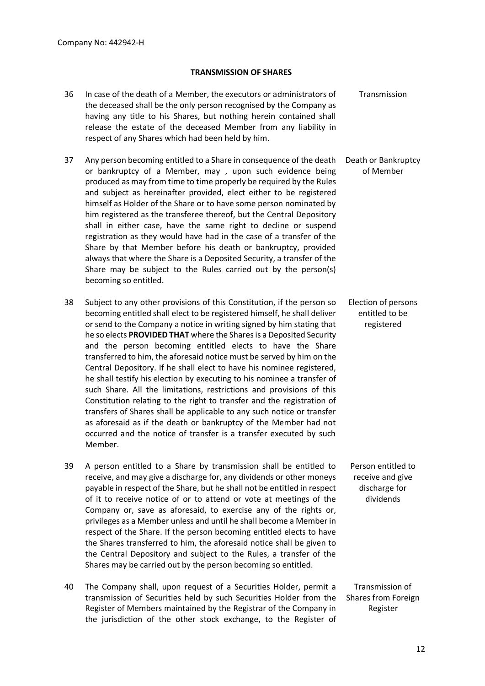### **TRANSMISSION OF SHARES**

- 36 In case of the death of a Member, the executors or administrators of the deceased shall be the only person recognised by the Company as having any title to his Shares, but nothing herein contained shall release the estate of the deceased Member from any liability in respect of any Shares which had been held by him. Transmission
- 37 Any person becoming entitled to a Share in consequence of the death or bankruptcy of a Member, may , upon such evidence being produced as may from time to time properly be required by the Rules and subject as hereinafter provided, elect either to be registered himself as Holder of the Share or to have some person nominated by him registered as the transferee thereof, but the Central Depository shall in either case, have the same right to decline or suspend registration as they would have had in the case of a transfer of the Share by that Member before his death or bankruptcy, provided always that where the Share is a Deposited Security, a transfer of the Share may be subject to the Rules carried out by the person(s) becoming so entitled. Death or Bankruptcy of Member
- 38 Subject to any other provisions of this Constitution, if the person so becoming entitled shall elect to be registered himself, he shall deliver or send to the Company a notice in writing signed by him stating that he so elects **PROVIDED THAT** where the Shares is a Deposited Security and the person becoming entitled elects to have the Share transferred to him, the aforesaid notice must be served by him on the Central Depository. If he shall elect to have his nominee registered, he shall testify his election by executing to his nominee a transfer of such Share. All the limitations, restrictions and provisions of this Constitution relating to the right to transfer and the registration of transfers of Shares shall be applicable to any such notice or transfer as aforesaid as if the death or bankruptcy of the Member had not occurred and the notice of transfer is a transfer executed by such Member. Election of persons entitled to be registered
- 39 A person entitled to a Share by transmission shall be entitled to receive, and may give a discharge for, any dividends or other moneys payable in respect of the Share, but he shall not be entitled in respect of it to receive notice of or to attend or vote at meetings of the Company or, save as aforesaid, to exercise any of the rights or, privileges as a Member unless and until he shall become a Member in respect of the Share. If the person becoming entitled elects to have the Shares transferred to him, the aforesaid notice shall be given to the Central Depository and subject to the Rules, a transfer of the Shares may be carried out by the person becoming so entitled.
- 40 The Company shall, upon request of a Securities Holder, permit a transmission of Securities held by such Securities Holder from the Register of Members maintained by the Registrar of the Company in the jurisdiction of the other stock exchange, to the Register of Transmission of Shares from Foreign Register

Person entitled to receive and give discharge for dividends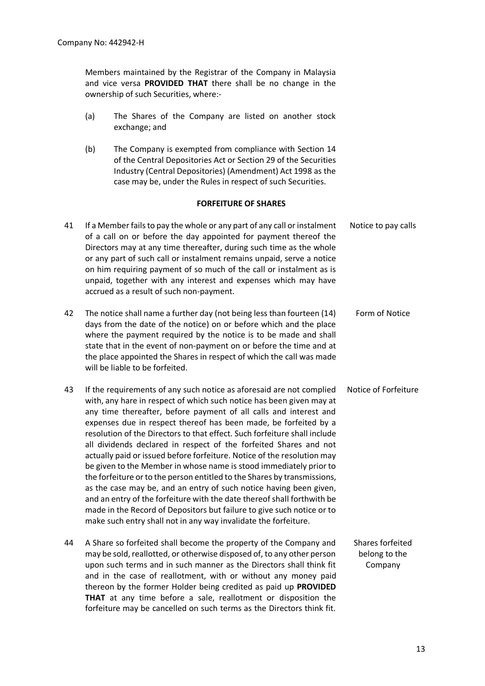Members maintained by the Registrar of the Company in Malaysia and vice versa **PROVIDED THAT** there shall be no change in the ownership of such Securities, where:-

- (a) The Shares of the Company are listed on another stock exchange; and
- (b) The Company is exempted from compliance with Section 14 of the Central Depositories Act or Section 29 of the Securities Industry (Central Depositories) (Amendment) Act 1998 as the case may be, under the Rules in respect of such Securities.

#### **FORFEITURE OF SHARES**

| 41 | If a Member fails to pay the whole or any part of any call or instalment<br>of a call on or before the day appointed for payment thereof the<br>Directors may at any time thereafter, during such time as the whole<br>or any part of such call or instalment remains unpaid, serve a notice<br>on him requiring payment of so much of the call or instalment as is<br>unpaid, together with any interest and expenses which may have<br>accrued as a result of such non-payment.                                                                                                                                                                                                                                                                                                                                                                                                                                                                                  | Notice to pay calls                          |
|----|--------------------------------------------------------------------------------------------------------------------------------------------------------------------------------------------------------------------------------------------------------------------------------------------------------------------------------------------------------------------------------------------------------------------------------------------------------------------------------------------------------------------------------------------------------------------------------------------------------------------------------------------------------------------------------------------------------------------------------------------------------------------------------------------------------------------------------------------------------------------------------------------------------------------------------------------------------------------|----------------------------------------------|
| 42 | The notice shall name a further day (not being less than fourteen (14)<br>days from the date of the notice) on or before which and the place<br>where the payment required by the notice is to be made and shall<br>state that in the event of non-payment on or before the time and at<br>the place appointed the Shares in respect of which the call was made<br>will be liable to be forfeited.                                                                                                                                                                                                                                                                                                                                                                                                                                                                                                                                                                 | Form of Notice                               |
| 43 | If the requirements of any such notice as aforesaid are not complied<br>with, any hare in respect of which such notice has been given may at<br>any time thereafter, before payment of all calls and interest and<br>expenses due in respect thereof has been made, be forfeited by a<br>resolution of the Directors to that effect. Such forfeiture shall include<br>all dividends declared in respect of the forfeited Shares and not<br>actually paid or issued before forfeiture. Notice of the resolution may<br>be given to the Member in whose name is stood immediately prior to<br>the forfeiture or to the person entitled to the Shares by transmissions,<br>as the case may be, and an entry of such notice having been given,<br>and an entry of the forfeiture with the date thereof shall forthwith be<br>made in the Record of Depositors but failure to give such notice or to<br>make such entry shall not in any way invalidate the forfeiture. | Notice of Forfeiture                         |
| 44 | A Share so forfeited shall become the property of the Company and<br>may be sold, reallotted, or otherwise disposed of, to any other person<br>upon such terms and in such manner as the Directors shall think fit<br>and in the case of reallotment, with or without any money paid<br>thereon by the former Holder being credited as paid up PROVIDED                                                                                                                                                                                                                                                                                                                                                                                                                                                                                                                                                                                                            | Shares forfeited<br>belong to the<br>Company |

**THAT** at any time before a sale, reallotment or disposition the forfeiture may be cancelled on such terms as the Directors think fit.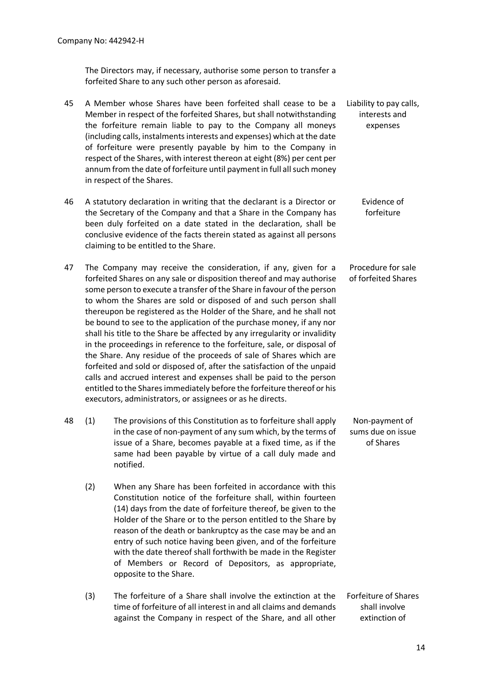The Directors may, if necessary, authorise some person to transfer a forfeited Share to any such other person as aforesaid.

- 45 A Member whose Shares have been forfeited shall cease to be a Member in respect of the forfeited Shares, but shall notwithstanding the forfeiture remain liable to pay to the Company all moneys (including calls, instalments interests and expenses) which at the date of forfeiture were presently payable by him to the Company in respect of the Shares, with interest thereon at eight (8%) per cent per annum from the date of forfeiture until payment in full all such money in respect of the Shares. Liability to pay calls, interests and expenses
- 46 A statutory declaration in writing that the declarant is a Director or the Secretary of the Company and that a Share in the Company has been duly forfeited on a date stated in the declaration, shall be conclusive evidence of the facts therein stated as against all persons claiming to be entitled to the Share. Evidence of forfeiture
- 47 The Company may receive the consideration, if any, given for a forfeited Shares on any sale or disposition thereof and may authorise some person to execute a transfer of the Share in favour of the person to whom the Shares are sold or disposed of and such person shall thereupon be registered as the Holder of the Share, and he shall not be bound to see to the application of the purchase money, if any nor shall his title to the Share be affected by any irregularity or invalidity in the proceedings in reference to the forfeiture, sale, or disposal of the Share. Any residue of the proceeds of sale of Shares which are forfeited and sold or disposed of, after the satisfaction of the unpaid calls and accrued interest and expenses shall be paid to the person entitled to the Shares immediately before the forfeiture thereof or his executors, administrators, or assignees or as he directs. Procedure for sale of forfeited Shares
- 48 (1) The provisions of this Constitution as to forfeiture shall apply in the case of non-payment of any sum which, by the terms of issue of a Share, becomes payable at a fixed time, as if the same had been payable by virtue of a call duly made and notified. Non-payment of sums due on issue of Shares
	- (2) When any Share has been forfeited in accordance with this Constitution notice of the forfeiture shall, within fourteen (14) days from the date of forfeiture thereof, be given to the Holder of the Share or to the person entitled to the Share by reason of the death or bankruptcy as the case may be and an entry of such notice having been given, and of the forfeiture with the date thereof shall forthwith be made in the Register of Members or Record of Depositors, as appropriate, opposite to the Share.
	- (3) The forfeiture of a Share shall involve the extinction at the time of forfeiture of all interest in and all claims and demands against the Company in respect of the Share, and all other Forfeiture of Shares shall involve extinction of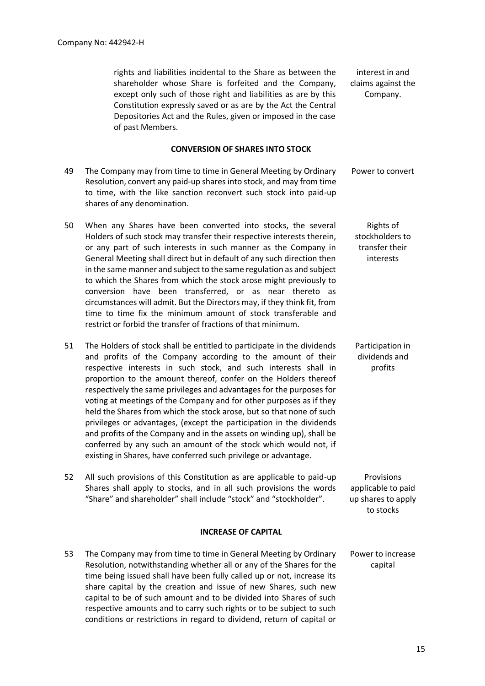rights and liabilities incidental to the Share as between the shareholder whose Share is forfeited and the Company, except only such of those right and liabilities as are by this Constitution expressly saved or as are by the Act the Central Depositories Act and the Rules, given or imposed in the case of past Members.

#### **CONVERSION OF SHARES INTO STOCK**

- 49 The Company may from time to time in General Meeting by Ordinary Resolution, convert any paid-up shares into stock, and may from time to time, with the like sanction reconvert such stock into paid-up shares of any denomination. Power to convert
- 50 When any Shares have been converted into stocks, the several Holders of such stock may transfer their respective interests therein, or any part of such interests in such manner as the Company in General Meeting shall direct but in default of any such direction then in the same manner and subject to the same regulation as and subject to which the Shares from which the stock arose might previously to conversion have been transferred, or as near thereto as circumstances will admit. But the Directors may, if they think fit, from time to time fix the minimum amount of stock transferable and restrict or forbid the transfer of fractions of that minimum.
- 51 The Holders of stock shall be entitled to participate in the dividends and profits of the Company according to the amount of their respective interests in such stock, and such interests shall in proportion to the amount thereof, confer on the Holders thereof respectively the same privileges and advantages for the purposes for voting at meetings of the Company and for other purposes as if they held the Shares from which the stock arose, but so that none of such privileges or advantages, (except the participation in the dividends and profits of the Company and in the assets on winding up), shall be conferred by any such an amount of the stock which would not, if existing in Shares, have conferred such privilege or advantage.
- 52 All such provisions of this Constitution as are applicable to paid-up Shares shall apply to stocks, and in all such provisions the words "Share" and shareholder" shall include "stock" and "stockholder".

#### **INCREASE OF CAPITAL**

53 The Company may from time to time in General Meeting by Ordinary Resolution, notwithstanding whether all or any of the Shares for the time being issued shall have been fully called up or not, increase its share capital by the creation and issue of new Shares, such new capital to be of such amount and to be divided into Shares of such respective amounts and to carry such rights or to be subject to such conditions or restrictions in regard to dividend, return of capital or Power to increase capital

interest in and claims against the Company.

Rights of stockholders to transfer their interests

Participation in dividends and profits

Provisions applicable to paid up shares to apply to stocks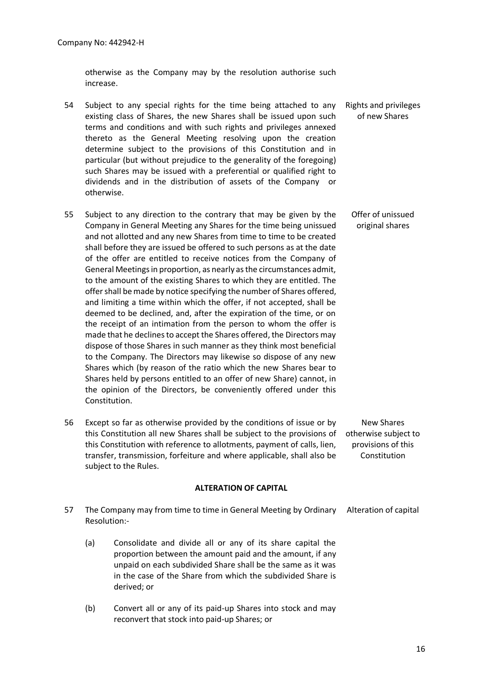otherwise as the Company may by the resolution authorise such increase.

- 54 Subject to any special rights for the time being attached to any existing class of Shares, the new Shares shall be issued upon such terms and conditions and with such rights and privileges annexed thereto as the General Meeting resolving upon the creation determine subject to the provisions of this Constitution and in particular (but without prejudice to the generality of the foregoing) such Shares may be issued with a preferential or qualified right to dividends and in the distribution of assets of the Company or otherwise. Rights and privileges of new Shares
- 55 Subject to any direction to the contrary that may be given by the Company in General Meeting any Shares for the time being unissued and not allotted and any new Shares from time to time to be created shall before they are issued be offered to such persons as at the date of the offer are entitled to receive notices from the Company of General Meetings in proportion, as nearly as the circumstances admit, to the amount of the existing Shares to which they are entitled. The offer shall be made by notice specifying the number of Shares offered, and limiting a time within which the offer, if not accepted, shall be deemed to be declined, and, after the expiration of the time, or on the receipt of an intimation from the person to whom the offer is made that he declines to accept the Shares offered, the Directors may dispose of those Shares in such manner as they think most beneficial to the Company. The Directors may likewise so dispose of any new Shares which (by reason of the ratio which the new Shares bear to Shares held by persons entitled to an offer of new Share) cannot, in the opinion of the Directors, be conveniently offered under this Constitution. Offer of unissued original shares
- 56 Except so far as otherwise provided by the conditions of issue or by this Constitution all new Shares shall be subject to the provisions of this Constitution with reference to allotments, payment of calls, lien, transfer, transmission, forfeiture and where applicable, shall also be subject to the Rules. New Shares otherwise subject to provisions of this Constitution

#### **ALTERATION OF CAPITAL**

- 57 The Company may from time to time in General Meeting by Ordinary Resolution:- Alteration of capital
	- (a) Consolidate and divide all or any of its share capital the proportion between the amount paid and the amount, if any unpaid on each subdivided Share shall be the same as it was in the case of the Share from which the subdivided Share is derived; or
	- (b) Convert all or any of its paid-up Shares into stock and may reconvert that stock into paid-up Shares; or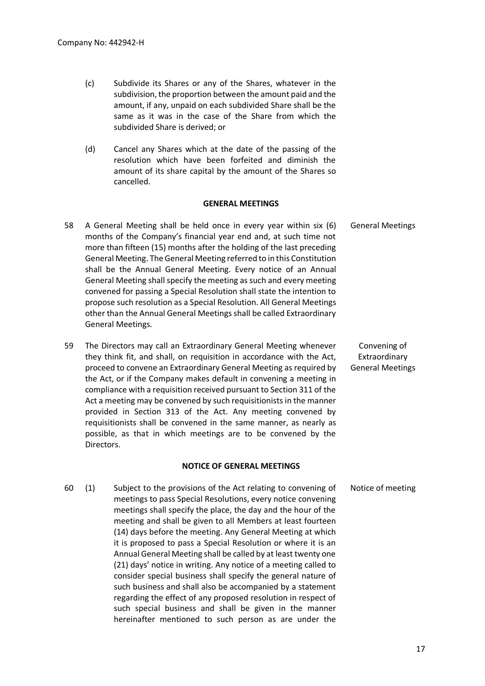- (c) Subdivide its Shares or any of the Shares, whatever in the subdivision, the proportion between the amount paid and the amount, if any, unpaid on each subdivided Share shall be the same as it was in the case of the Share from which the subdivided Share is derived; or
- (d) Cancel any Shares which at the date of the passing of the resolution which have been forfeited and diminish the amount of its share capital by the amount of the Shares so cancelled.

#### **GENERAL MEETINGS**

- 58 A General Meeting shall be held once in every year within six (6) months of the Company's financial year end and, at such time not more than fifteen (15) months after the holding of the last preceding General Meeting. The General Meeting referred to in this Constitution shall be the Annual General Meeting. Every notice of an Annual General Meeting shall specify the meeting as such and every meeting convened for passing a Special Resolution shall state the intention to propose such resolution as a Special Resolution. All General Meetings other than the Annual General Meetings shall be called Extraordinary General Meetings. General Meetings
- 59 The Directors may call an Extraordinary General Meeting whenever they think fit, and shall, on requisition in accordance with the Act, proceed to convene an Extraordinary General Meeting as required by the Act, or if the Company makes default in convening a meeting in compliance with a requisition received pursuant to Section 311 of the Act a meeting may be convened by such requisitionists in the manner provided in Section 313 of the Act. Any meeting convened by requisitionists shall be convened in the same manner, as nearly as possible, as that in which meetings are to be convened by the Directors.

#### **NOTICE OF GENERAL MEETINGS**

60 (1) Subject to the provisions of the Act relating to convening of meetings to pass Special Resolutions, every notice convening meetings shall specify the place, the day and the hour of the meeting and shall be given to all Members at least fourteen (14) days before the meeting. Any General Meeting at which it is proposed to pass a Special Resolution or where it is an Annual General Meeting shall be called by at least twenty one (21) days' notice in writing. Any notice of a meeting called to consider special business shall specify the general nature of such business and shall also be accompanied by a statement regarding the effect of any proposed resolution in respect of such special business and shall be given in the manner hereinafter mentioned to such person as are under the Notice of meeting

Convening of Extraordinary General Meetings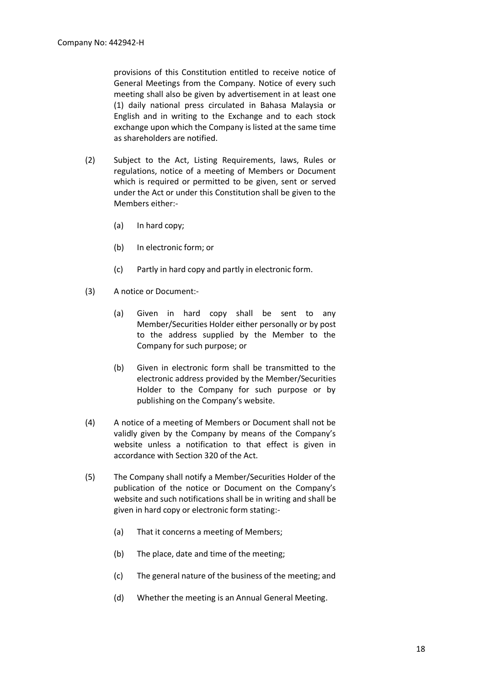provisions of this Constitution entitled to receive notice of General Meetings from the Company. Notice of every such meeting shall also be given by advertisement in at least one (1) daily national press circulated in Bahasa Malaysia or English and in writing to the Exchange and to each stock exchange upon which the Company is listed at the same time as shareholders are notified.

- (2) Subject to the Act, Listing Requirements, laws, Rules or regulations, notice of a meeting of Members or Document which is required or permitted to be given, sent or served under the Act or under this Constitution shall be given to the Members either:-
	- (a) In hard copy;
	- (b) In electronic form; or
	- (c) Partly in hard copy and partly in electronic form.
- (3) A notice or Document:-
	- (a) Given in hard copy shall be sent to any Member/Securities Holder either personally or by post to the address supplied by the Member to the Company for such purpose; or
	- (b) Given in electronic form shall be transmitted to the electronic address provided by the Member/Securities Holder to the Company for such purpose or by publishing on the Company's website.
- (4) A notice of a meeting of Members or Document shall not be validly given by the Company by means of the Company's website unless a notification to that effect is given in accordance with Section 320 of the Act.
- (5) The Company shall notify a Member/Securities Holder of the publication of the notice or Document on the Company's website and such notifications shall be in writing and shall be given in hard copy or electronic form stating:-
	- (a) That it concerns a meeting of Members;
	- (b) The place, date and time of the meeting;
	- (c) The general nature of the business of the meeting; and
	- (d) Whether the meeting is an Annual General Meeting.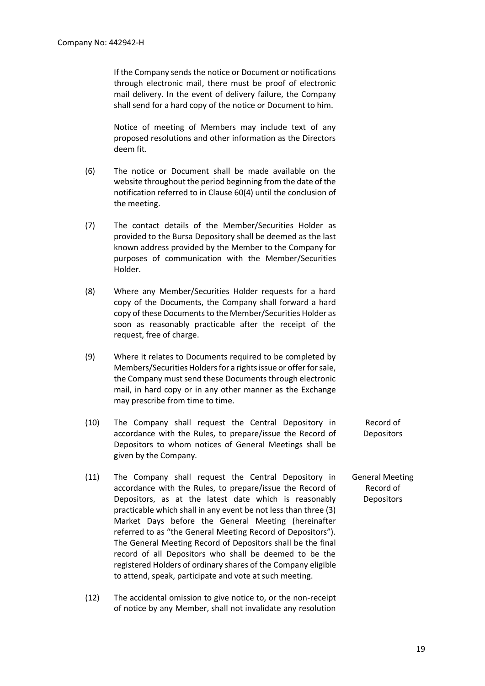If the Company sends the notice or Document or notifications through electronic mail, there must be proof of electronic mail delivery. In the event of delivery failure, the Company shall send for a hard copy of the notice or Document to him.

Notice of meeting of Members may include text of any proposed resolutions and other information as the Directors deem fit.

- (6) The notice or Document shall be made available on the website throughout the period beginning from the date of the notification referred to in Clause 60(4) until the conclusion of the meeting.
- (7) The contact details of the Member/Securities Holder as provided to the Bursa Depository shall be deemed as the last known address provided by the Member to the Company for purposes of communication with the Member/Securities Holder.
- (8) Where any Member/Securities Holder requests for a hard copy of the Documents, the Company shall forward a hard copy of these Documents to the Member/Securities Holder as soon as reasonably practicable after the receipt of the request, free of charge.
- (9) Where it relates to Documents required to be completed by Members/Securities Holders for a rights issue or offer for sale, the Company must send these Documents through electronic mail, in hard copy or in any other manner as the Exchange may prescribe from time to time.
- (10) The Company shall request the Central Depository in accordance with the Rules, to prepare/issue the Record of Depositors to whom notices of General Meetings shall be given by the Company. Record of **Depositors**
- (11) The Company shall request the Central Depository in accordance with the Rules, to prepare/issue the Record of Depositors, as at the latest date which is reasonably practicable which shall in any event be not less than three (3) Market Days before the General Meeting (hereinafter referred to as "the General Meeting Record of Depositors"). The General Meeting Record of Depositors shall be the final record of all Depositors who shall be deemed to be the registered Holders of ordinary shares of the Company eligible to attend, speak, participate and vote at such meeting. General Meeting Record of **Depositors**
- (12) The accidental omission to give notice to, or the non-receipt of notice by any Member, shall not invalidate any resolution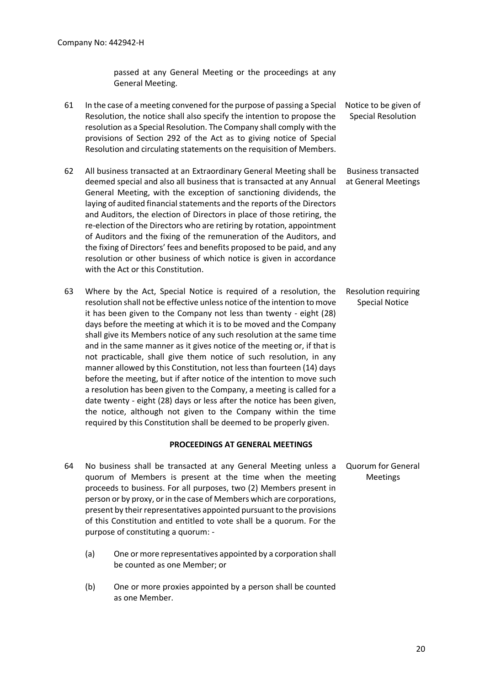passed at any General Meeting or the proceedings at any General Meeting.

- 61 In the case of a meeting convened for the purpose of passing a Special Resolution, the notice shall also specify the intention to propose the resolution as a Special Resolution. The Company shall comply with the provisions of Section 292 of the Act as to giving notice of Special Resolution and circulating statements on the requisition of Members. Notice to be given of Special Resolution
- 62 All business transacted at an Extraordinary General Meeting shall be deemed special and also all business that is transacted at any Annual General Meeting, with the exception of sanctioning dividends, the laying of audited financial statements and the reports of the Directors and Auditors, the election of Directors in place of those retiring, the re-election of the Directors who are retiring by rotation, appointment of Auditors and the fixing of the remuneration of the Auditors, and the fixing of Directors' fees and benefits proposed to be paid, and any resolution or other business of which notice is given in accordance with the Act or this Constitution. Business transacted at General Meetings
- 63 Where by the Act, Special Notice is required of a resolution, the resolution shall not be effective unless notice of the intention to move it has been given to the Company not less than twenty - eight (28) days before the meeting at which it is to be moved and the Company shall give its Members notice of any such resolution at the same time and in the same manner as it gives notice of the meeting or, if that is not practicable, shall give them notice of such resolution, in any manner allowed by this Constitution, not less than fourteen (14) days before the meeting, but if after notice of the intention to move such a resolution has been given to the Company, a meeting is called for a date twenty - eight (28) days or less after the notice has been given, the notice, although not given to the Company within the time required by this Constitution shall be deemed to be properly given. Resolution requiring Special Notice

#### **PROCEEDINGS AT GENERAL MEETINGS**

- 64 No business shall be transacted at any General Meeting unless a quorum of Members is present at the time when the meeting proceeds to business. For all purposes, two (2) Members present in person or by proxy, or in the case of Members which are corporations, present by their representatives appointed pursuant to the provisions of this Constitution and entitled to vote shall be a quorum. For the purpose of constituting a quorum: - Quorum for General Meetings
	- (a) One or more representatives appointed by a corporation shall be counted as one Member; or
	- (b) One or more proxies appointed by a person shall be counted as one Member.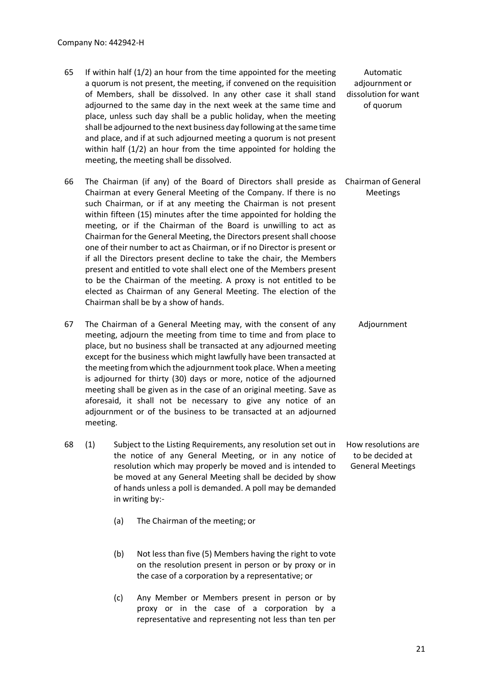- 65 If within half (1/2) an hour from the time appointed for the meeting a quorum is not present, the meeting, if convened on the requisition of Members, shall be dissolved. In any other case it shall stand adjourned to the same day in the next week at the same time and place, unless such day shall be a public holiday, when the meeting shall be adjourned to the next business day following at the same time and place, and if at such adjourned meeting a quorum is not present within half (1/2) an hour from the time appointed for holding the meeting, the meeting shall be dissolved. Automatic adjournment or dissolution for want of quorum
- 66 The Chairman (if any) of the Board of Directors shall preside as Chairman at every General Meeting of the Company. If there is no such Chairman, or if at any meeting the Chairman is not present within fifteen (15) minutes after the time appointed for holding the meeting, or if the Chairman of the Board is unwilling to act as Chairman for the General Meeting, the Directors present shall choose one of their number to act as Chairman, or if no Director is present or if all the Directors present decline to take the chair, the Members present and entitled to vote shall elect one of the Members present to be the Chairman of the meeting. A proxy is not entitled to be elected as Chairman of any General Meeting. The election of the Chairman shall be by a show of hands. Chairman of General Meetings
- 67 The Chairman of a General Meeting may, with the consent of any meeting, adjourn the meeting from time to time and from place to place, but no business shall be transacted at any adjourned meeting except for the business which might lawfully have been transacted at the meeting from which the adjournment took place. When a meeting is adjourned for thirty (30) days or more, notice of the adjourned meeting shall be given as in the case of an original meeting. Save as aforesaid, it shall not be necessary to give any notice of an adjournment or of the business to be transacted at an adjourned meeting. Adjournment
- 68 (1) Subject to the Listing Requirements, any resolution set out in the notice of any General Meeting, or in any notice of resolution which may properly be moved and is intended to be moved at any General Meeting shall be decided by show of hands unless a poll is demanded. A poll may be demanded in writing by:- How resolutions are to be decided at General Meetings

(a) The Chairman of the meeting; or

- (b) Not less than five (5) Members having the right to vote on the resolution present in person or by proxy or in the case of a corporation by a representative; or
- (c) Any Member or Members present in person or by proxy or in the case of a corporation by a representative and representing not less than ten per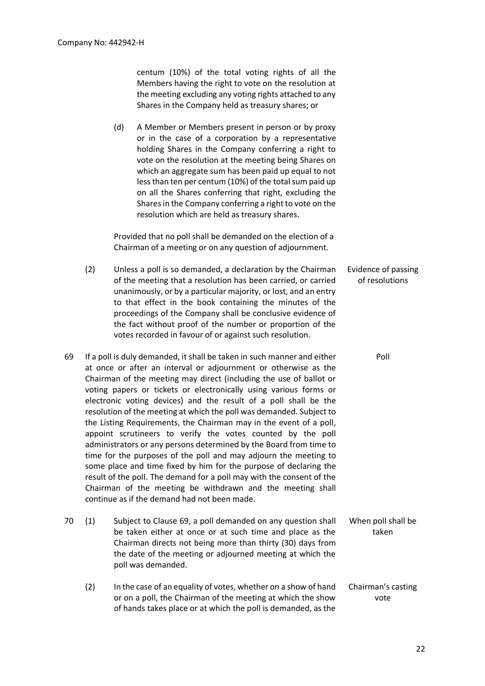centum (10%) of the total voting rights of all the Members having the right to vote on the resolution at the meeting excluding any voting rights attached to any Shares in the Company held as treasury shares; or

(d) A Member or Members present in person or by proxy or in the case of a corporation by a representative holding Shares in the Company conferring a right to vote on the resolution at the meeting being Shares on which an aggregate sum has been paid up equal to not less than ten per centum (10%) of the total sum paid up on all the Shares conferring that right, excluding the Shares in the Company conferring a right to vote on the resolution which are held as treasury shares.

Provided that no poll shall be demanded on the election of a Chairman of a meeting or on any question of adjournment.

- (2) Unless a poll is so demanded, a declaration by the Chairman of the meeting that a resolution has been carried, or carried unanimously, or by a particular majority, or lost, and an entry to that effect in the book containing the minutes of the proceedings of the Company shall be conclusive evidence of the fact without proof of the number or proportion of the votes recorded in favour of or against such resolution. Evidence of passing of resolutions
- 69 If a poll is duly demanded, it shall be taken in such manner and either at once or after an interval or adjournment or otherwise as the Chairman of the meeting may direct (including the use of ballot or voting papers or tickets or electronically using various forms or electronic voting devices) and the result of a poll shall be the resolution of the meeting at which the poll was demanded. Subject to the Listing Requirements, the Chairman may in the event of a poll, appoint scrutineers to verify the votes counted by the poll administrators or any persons determined by the Board from time to time for the purposes of the poll and may adjourn the meeting to some place and time fixed by him for the purpose of declaring the result of the poll. The demand for a poll may with the consent of the Chairman of the meeting be withdrawn and the meeting shall continue as if the demand had not been made.
- 70 (1) Subject to Clause 69, a poll demanded on any question shall be taken either at once or at such time and place as the Chairman directs not being more than thirty (30) days from the date of the meeting or adjourned meeting at which the poll was demanded. When poll shall be taken
	- (2) In the case of an equality of votes, whether on a show of hand or on a poll, the Chairman of the meeting at which the show of hands takes place or at which the poll is demanded, as the Chairman's casting vote

Poll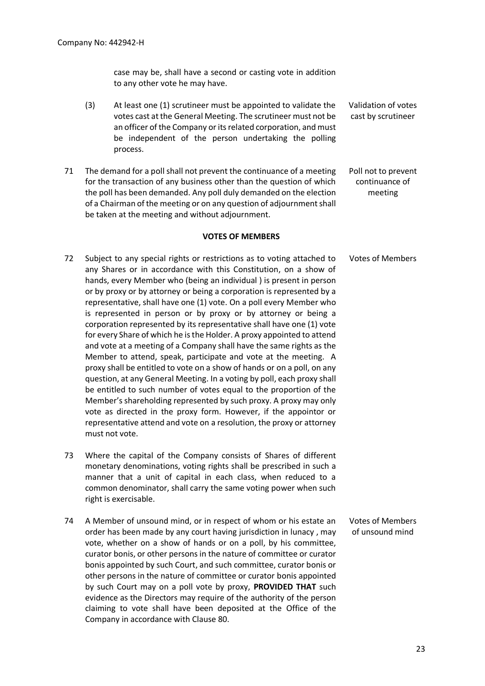case may be, shall have a second or casting vote in addition to any other vote he may have.

- (3) At least one (1) scrutineer must be appointed to validate the votes cast at the General Meeting. The scrutineer must not be an officer of the Company or its related corporation, and must be independent of the person undertaking the polling process. Validation of votes cast by scrutineer
- 71 The demand for a poll shall not prevent the continuance of a meeting for the transaction of any business other than the question of which the poll has been demanded. Any poll duly demanded on the election of a Chairman of the meeting or on any question of adjournment shall be taken at the meeting and without adjournment. Poll not to prevent continuance of meeting

#### **VOTES OF MEMBERS**

- 72 Subject to any special rights or restrictions as to voting attached to any Shares or in accordance with this Constitution, on a show of hands, every Member who (being an individual ) is present in person or by proxy or by attorney or being a corporation is represented by a representative, shall have one (1) vote. On a poll every Member who is represented in person or by proxy or by attorney or being a corporation represented by its representative shall have one (1) vote for every Share of which he is the Holder. A proxy appointed to attend and vote at a meeting of a Company shall have the same rights as the Member to attend, speak, participate and vote at the meeting. A proxy shall be entitled to vote on a show of hands or on a poll, on any question, at any General Meeting. In a voting by poll, each proxy shall be entitled to such number of votes equal to the proportion of the Member's shareholding represented by such proxy. A proxy may only vote as directed in the proxy form. However, if the appointor or representative attend and vote on a resolution, the proxy or attorney must not vote. Votes of Members
- 73 Where the capital of the Company consists of Shares of different monetary denominations, voting rights shall be prescribed in such a manner that a unit of capital in each class, when reduced to a common denominator, shall carry the same voting power when such right is exercisable.
- 74 A Member of unsound mind, or in respect of whom or his estate an order has been made by any court having jurisdiction in lunacy , may vote, whether on a show of hands or on a poll, by his committee, curator bonis, or other persons in the nature of committee or curator bonis appointed by such Court, and such committee, curator bonis or other persons in the nature of committee or curator bonis appointed by such Court may on a poll vote by proxy, **PROVIDED THAT** such evidence as the Directors may require of the authority of the person claiming to vote shall have been deposited at the Office of the Company in accordance with Clause 80. Votes of Members of unsound mind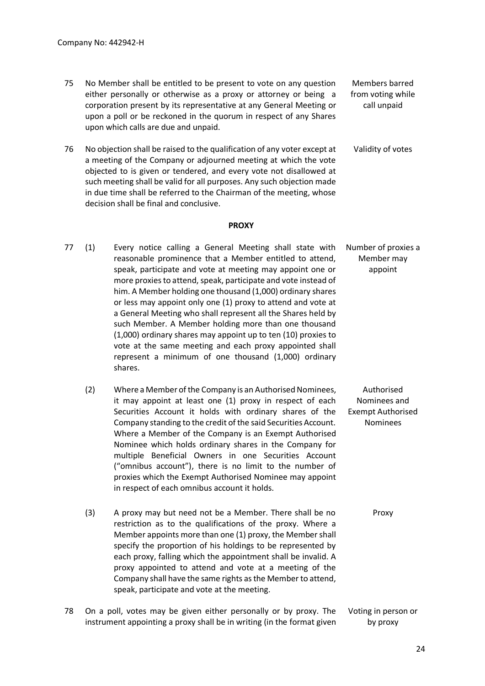- 75 No Member shall be entitled to be present to vote on any question either personally or otherwise as a proxy or attorney or being a corporation present by its representative at any General Meeting or upon a poll or be reckoned in the quorum in respect of any Shares upon which calls are due and unpaid. Members barred from voting while call unpaid
- 76 No objection shall be raised to the qualification of any voter except at a meeting of the Company or adjourned meeting at which the vote objected to is given or tendered, and every vote not disallowed at such meeting shall be valid for all purposes. Any such objection made in due time shall be referred to the Chairman of the meeting, whose decision shall be final and conclusive. Validity of votes

#### **PROXY**

- 77 (1) Every notice calling a General Meeting shall state with reasonable prominence that a Member entitled to attend, speak, participate and vote at meeting may appoint one or more proxies to attend, speak, participate and vote instead of him. A Member holding one thousand (1,000) ordinary shares or less may appoint only one (1) proxy to attend and vote at a General Meeting who shall represent all the Shares held by such Member. A Member holding more than one thousand (1,000) ordinary shares may appoint up to ten (10) proxies to vote at the same meeting and each proxy appointed shall represent a minimum of one thousand (1,000) ordinary shares. Number of proxies a Member may appoint
	- (2) Where a Member of the Company is an Authorised Nominees, it may appoint at least one (1) proxy in respect of each Securities Account it holds with ordinary shares of the Company standing to the credit of the said Securities Account. Where a Member of the Company is an Exempt Authorised Nominee which holds ordinary shares in the Company for multiple Beneficial Owners in one Securities Account ("omnibus account"), there is no limit to the number of proxies which the Exempt Authorised Nominee may appoint in respect of each omnibus account it holds. Authorised Nominees and Exempt Authorised Nominees
	- (3) A proxy may but need not be a Member. There shall be no restriction as to the qualifications of the proxy. Where a Member appoints more than one (1) proxy, the Member shall specify the proportion of his holdings to be represented by each proxy, falling which the appointment shall be invalid. A proxy appointed to attend and vote at a meeting of the Company shall have the same rights as the Member to attend, speak, participate and vote at the meeting. Proxy
- 78 On a poll, votes may be given either personally or by proxy. The instrument appointing a proxy shall be in writing (in the format given Voting in person or by proxy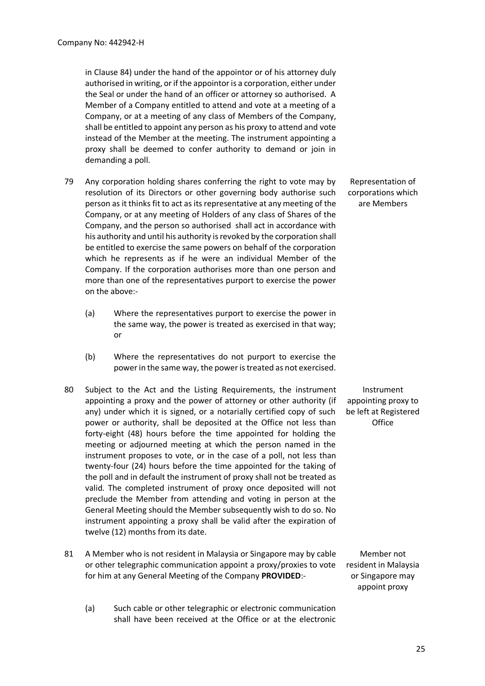in Clause 84) under the hand of the appointor or of his attorney duly authorised in writing, or if the appointor is a corporation, either under the Seal or under the hand of an officer or attorney so authorised. A Member of a Company entitled to attend and vote at a meeting of a Company, or at a meeting of any class of Members of the Company, shall be entitled to appoint any person as his proxy to attend and vote instead of the Member at the meeting. The instrument appointing a proxy shall be deemed to confer authority to demand or join in demanding a poll.

- 79 Any corporation holding shares conferring the right to vote may by resolution of its Directors or other governing body authorise such person as it thinks fit to act as its representative at any meeting of the Company, or at any meeting of Holders of any class of Shares of the Company, and the person so authorised shall act in accordance with his authority and until his authority is revoked by the corporation shall be entitled to exercise the same powers on behalf of the corporation which he represents as if he were an individual Member of the Company. If the corporation authorises more than one person and more than one of the representatives purport to exercise the power on the above:-
	- (a) Where the representatives purport to exercise the power in the same way, the power is treated as exercised in that way; or
	- (b) Where the representatives do not purport to exercise the power in the same way, the power is treated as not exercised.
- 80 Subject to the Act and the Listing Requirements, the instrument appointing a proxy and the power of attorney or other authority (if any) under which it is signed, or a notarially certified copy of such power or authority, shall be deposited at the Office not less than forty-eight (48) hours before the time appointed for holding the meeting or adjourned meeting at which the person named in the instrument proposes to vote, or in the case of a poll, not less than twenty-four (24) hours before the time appointed for the taking of the poll and in default the instrument of proxy shall not be treated as valid. The completed instrument of proxy once deposited will not preclude the Member from attending and voting in person at the General Meeting should the Member subsequently wish to do so. No instrument appointing a proxy shall be valid after the expiration of twelve (12) months from its date.
- 81 A Member who is not resident in Malaysia or Singapore may by cable or other telegraphic communication appoint a proxy/proxies to vote for him at any General Meeting of the Company **PROVIDED**:-
	- (a) Such cable or other telegraphic or electronic communication shall have been received at the Office or at the electronic

Representation of corporations which are Members

Instrument appointing proxy to be left at Registered **Office** 

Member not resident in Malaysia or Singapore may appoint proxy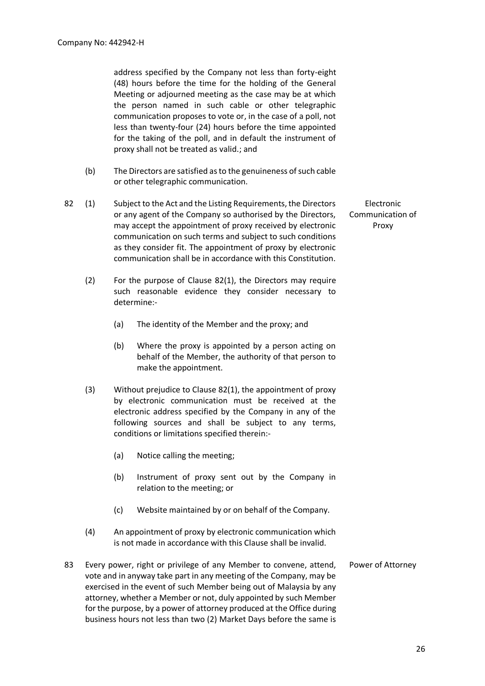address specified by the Company not less than forty-eight (48) hours before the time for the holding of the General Meeting or adjourned meeting as the case may be at which the person named in such cable or other telegraphic communication proposes to vote or, in the case of a poll, not less than twenty-four (24) hours before the time appointed for the taking of the poll, and in default the instrument of proxy shall not be treated as valid.; and

- (b) The Directors are satisfied as to the genuineness of such cable or other telegraphic communication.
- 82 (1) Subject to the Act and the Listing Requirements, the Directors or any agent of the Company so authorised by the Directors, may accept the appointment of proxy received by electronic communication on such terms and subject to such conditions as they consider fit. The appointment of proxy by electronic communication shall be in accordance with this Constitution.
	- (2) For the purpose of Clause 82(1), the Directors may require such reasonable evidence they consider necessary to determine:-
		- (a) The identity of the Member and the proxy; and
		- (b) Where the proxy is appointed by a person acting on behalf of the Member, the authority of that person to make the appointment.
	- (3) Without prejudice to Clause 82(1), the appointment of proxy by electronic communication must be received at the electronic address specified by the Company in any of the following sources and shall be subject to any terms, conditions or limitations specified therein:-
		- (a) Notice calling the meeting;
		- (b) Instrument of proxy sent out by the Company in relation to the meeting; or
		- (c) Website maintained by or on behalf of the Company.
	- (4) An appointment of proxy by electronic communication which is not made in accordance with this Clause shall be invalid.
- 83 Every power, right or privilege of any Member to convene, attend, vote and in anyway take part in any meeting of the Company, may be exercised in the event of such Member being out of Malaysia by any attorney, whether a Member or not, duly appointed by such Member for the purpose, by a power of attorney produced at the Office during business hours not less than two (2) Market Days before the same is Power of Attorney

Electronic Communication of Proxy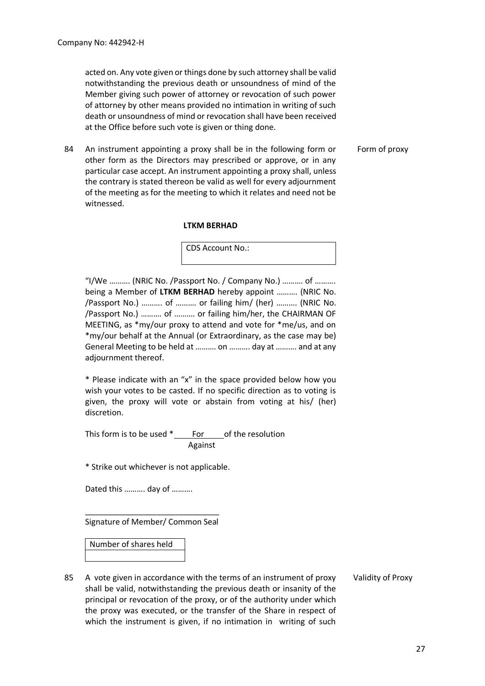acted on. Any vote given or things done by such attorney shall be valid notwithstanding the previous death or unsoundness of mind of the Member giving such power of attorney or revocation of such power of attorney by other means provided no intimation in writing of such death or unsoundness of mind or revocation shall have been received at the Office before such vote is given or thing done.

Form of proxy

84 An instrument appointing a proxy shall be in the following form or other form as the Directors may prescribed or approve, or in any particular case accept. An instrument appointing a proxy shall, unless the contrary is stated thereon be valid as well for every adjournment of the meeting as for the meeting to which it relates and need not be witnessed.

## **LTKM BERHAD**

CDS Account No.:

"I/We ………. (NRIC No. /Passport No. / Company No.) ………. of ………. being a Member of **LTKM BERHAD** hereby appoint ………. (NRIC No. /Passport No.) ………. of ………. or failing him/ (her) ………. (NRIC No. /Passport No.) ………. of ………. or failing him/her, the CHAIRMAN OF MEETING, as \*my/our proxy to attend and vote for \*me/us, and on \*my/our behalf at the Annual (or Extraordinary, as the case may be) General Meeting to be held at ………. on ………. day at ………. and at any adjournment thereof.

\* Please indicate with an "x" in the space provided below how you wish your votes to be casted. If no specific direction as to voting is given, the proxy will vote or abstain from voting at his/ (her) discretion.

This form is to be used \* For of the resolution Against

\* Strike out whichever is not applicable.

Dated this ………. day of ……….

\_\_\_\_\_\_\_\_\_\_\_\_\_\_\_\_\_\_\_\_\_\_\_\_\_\_\_\_\_\_ Signature of Member/ Common Seal

## Number of shares held

85 A vote given in accordance with the terms of an instrument of proxy shall be valid, notwithstanding the previous death or insanity of the principal or revocation of the proxy, or of the authority under which the proxy was executed, or the transfer of the Share in respect of which the instrument is given, if no intimation in writing of such Validity of Proxy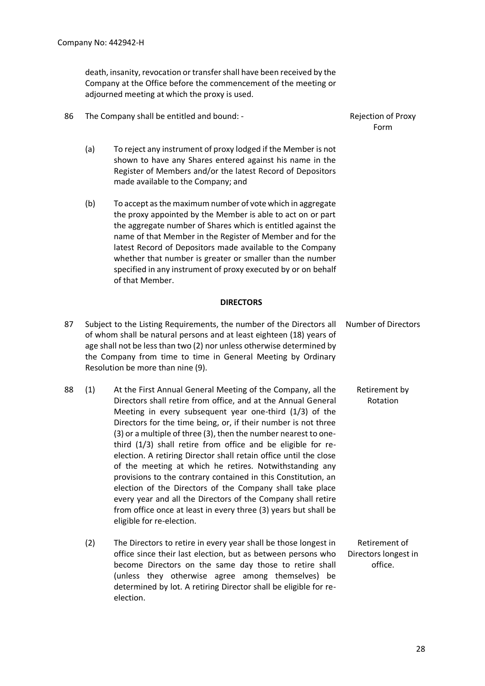election.

death, insanity, revocation or transfer shall have been received by the Company at the Office before the commencement of the meeting or adjourned meeting at which the proxy is used.

86 The Company shall be entitled and bound: - The Rejection of Proxy

- (a) To reject any instrument of proxy lodged if the Member is not shown to have any Shares entered against his name in the Register of Members and/or the latest Record of Depositors made available to the Company; and
	- (b) To accept as the maximum number of vote which in aggregate the proxy appointed by the Member is able to act on or part the aggregate number of Shares which is entitled against the name of that Member in the Register of Member and for the latest Record of Depositors made available to the Company whether that number is greater or smaller than the number specified in any instrument of proxy executed by or on behalf of that Member.

#### **DIRECTORS**

87 Subject to the Listing Requirements, the number of the Directors all of whom shall be natural persons and at least eighteen (18) years of age shall not be less than two (2) nor unless otherwise determined by the Company from time to time in General Meeting by Ordinary Resolution be more than nine (9). Number of Directors 88 (1) At the First Annual General Meeting of the Company, all the Directors shall retire from office, and at the Annual General Meeting in every subsequent year one-third (1/3) of the Directors for the time being, or, if their number is not three (3) or a multiple of three (3), then the number nearest to onethird (1/3) shall retire from office and be eligible for reelection. A retiring Director shall retain office until the close of the meeting at which he retires. Notwithstanding any provisions to the contrary contained in this Constitution, an election of the Directors of the Company shall take place every year and all the Directors of the Company shall retire from office once at least in every three (3) years but shall be eligible for re-election. Retirement by Rotation (2) The Directors to retire in every year shall be those longest in office since their last election, but as between persons who become Directors on the same day those to retire shall (unless they otherwise agree among themselves) be determined by lot. A retiring Director shall be eligible for re-Retirement of Directors longest in office.

Form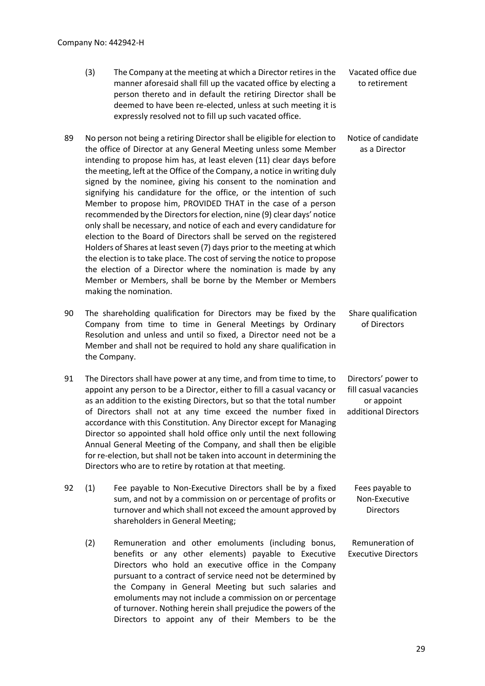| (3) | The Company at the meeting at which a Director retires in the   | Vacated office due |
|-----|-----------------------------------------------------------------|--------------------|
|     | manner aforesaid shall fill up the vacated office by electing a | to retirement      |
|     | person thereto and in default the retiring Director shall be    |                    |
|     | deemed to have been re-elected, unless at such meeting it is    |                    |
|     | expressly resolved not to fill up such vacated office.          |                    |

- 89 No person not being a retiring Director shall be eligible for election to the office of Director at any General Meeting unless some Member intending to propose him has, at least eleven (11) clear days before the meeting, left at the Office of the Company, a notice in writing duly signed by the nominee, giving his consent to the nomination and signifying his candidature for the office, or the intention of such Member to propose him, PROVIDED THAT in the case of a person recommended by the Directors for election, nine (9) clear days' notice only shall be necessary, and notice of each and every candidature for election to the Board of Directors shall be served on the registered Holders of Shares at least seven (7) days prior to the meeting at which the election is to take place. The cost of serving the notice to propose the election of a Director where the nomination is made by any Member or Members, shall be borne by the Member or Members making the nomination. Notice of candidate as a Director
- 90 The shareholding qualification for Directors may be fixed by the Company from time to time in General Meetings by Ordinary Resolution and unless and until so fixed, a Director need not be a Member and shall not be required to hold any share qualification in the Company. Share qualification of Directors
- 91 The Directors shall have power at any time, and from time to time, to appoint any person to be a Director, either to fill a casual vacancy or as an addition to the existing Directors, but so that the total number of Directors shall not at any time exceed the number fixed in accordance with this Constitution. Any Director except for Managing Director so appointed shall hold office only until the next following Annual General Meeting of the Company, and shall then be eligible for re-election, but shall not be taken into account in determining the Directors who are to retire by rotation at that meeting. Directors' power to fill casual vacancies or appoint additional Directors
- 92 (1) Fee payable to Non-Executive Directors shall be by a fixed sum, and not by a commission on or percentage of profits or turnover and which shall not exceed the amount approved by shareholders in General Meeting; Fees payable to Non-Executive **Directors** 
	- (2) Remuneration and other emoluments (including bonus, benefits or any other elements) payable to Executive Directors who hold an executive office in the Company pursuant to a contract of service need not be determined by the Company in General Meeting but such salaries and emoluments may not include a commission on or percentage of turnover. Nothing herein shall prejudice the powers of the Directors to appoint any of their Members to be the Executive Directors

Remuneration of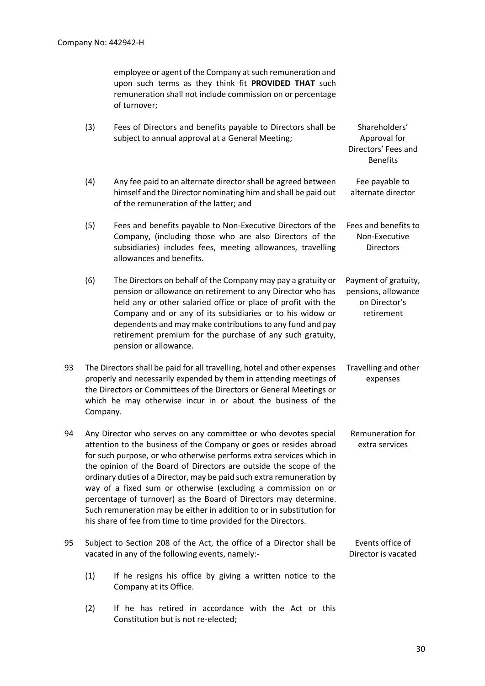employee or agent of the Company at such remuneration and upon such terms as they think fit **PROVIDED THAT** such remuneration shall not include commission on or percentage of turnover;

- (3) Fees of Directors and benefits payable to Directors shall be subject to annual approval at a General Meeting; Shareholders' Approval for Directors' Fees and Benefits (4) Any fee paid to an alternate director shall be agreed between himself and the Director nominating him and shall be paid out of the remuneration of the latter; and Fee payable to alternate director
- (5) Fees and benefits payable to Non-Executive Directors of the Company, (including those who are also Directors of the subsidiaries) includes fees, meeting allowances, travelling allowances and benefits. Fees and benefits to Non-Executive **Directors**
- (6) The Directors on behalf of the Company may pay a gratuity or pension or allowance on retirement to any Director who has held any or other salaried office or place of profit with the Company and or any of its subsidiaries or to his widow or dependents and may make contributions to any fund and pay retirement premium for the purchase of any such gratuity, pension or allowance. Payment of gratuity, pensions, allowance on Director's retirement
- 93 The Directors shall be paid for all travelling, hotel and other expenses properly and necessarily expended by them in attending meetings of the Directors or Committees of the Directors or General Meetings or which he may otherwise incur in or about the business of the Company. Travelling and other expenses
- 94 Any Director who serves on any committee or who devotes special attention to the business of the Company or goes or resides abroad for such purpose, or who otherwise performs extra services which in the opinion of the Board of Directors are outside the scope of the ordinary duties of a Director, may be paid such extra remuneration by way of a fixed sum or otherwise (excluding a commission on or percentage of turnover) as the Board of Directors may determine. Such remuneration may be either in addition to or in substitution for his share of fee from time to time provided for the Directors. Remuneration for extra services
- 95 Subject to Section 208 of the Act, the office of a Director shall be vacated in any of the following events, namely:- Events office of Director is vacated
	- (1) If he resigns his office by giving a written notice to the Company at its Office.
	- (2) If he has retired in accordance with the Act or this Constitution but is not re-elected;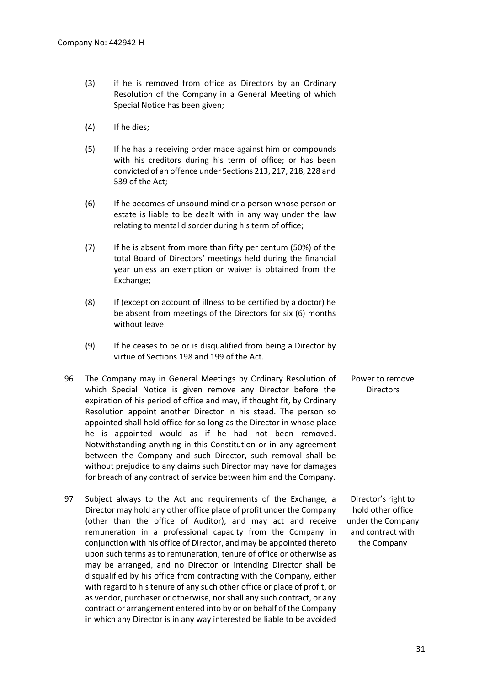- (3) if he is removed from office as Directors by an Ordinary Resolution of the Company in a General Meeting of which Special Notice has been given;
- (4) If he dies;
- (5) If he has a receiving order made against him or compounds with his creditors during his term of office; or has been convicted of an offence under Sections 213, 217, 218, 228 and 539 of the Act;
- (6) If he becomes of unsound mind or a person whose person or estate is liable to be dealt with in any way under the law relating to mental disorder during his term of office;
- (7) If he is absent from more than fifty per centum (50%) of the total Board of Directors' meetings held during the financial year unless an exemption or waiver is obtained from the Exchange;
- (8) If (except on account of illness to be certified by a doctor) he be absent from meetings of the Directors for six (6) months without leave.
- (9) If he ceases to be or is disqualified from being a Director by virtue of Sections 198 and 199 of the Act.
- 96 The Company may in General Meetings by Ordinary Resolution of which Special Notice is given remove any Director before the expiration of his period of office and may, if thought fit, by Ordinary Resolution appoint another Director in his stead. The person so appointed shall hold office for so long as the Director in whose place he is appointed would as if he had not been removed. Notwithstanding anything in this Constitution or in any agreement between the Company and such Director, such removal shall be without prejudice to any claims such Director may have for damages for breach of any contract of service between him and the Company. Power to remove **Directors**
- 97 Subject always to the Act and requirements of the Exchange, a Director may hold any other office place of profit under the Company (other than the office of Auditor), and may act and receive remuneration in a professional capacity from the Company in conjunction with his office of Director, and may be appointed thereto upon such terms as to remuneration, tenure of office or otherwise as may be arranged, and no Director or intending Director shall be disqualified by his office from contracting with the Company, either with regard to his tenure of any such other office or place of profit, or as vendor, purchaser or otherwise, nor shall any such contract, or any contract or arrangement entered into by or on behalf of the Company in which any Director is in any way interested be liable to be avoided Director's right to hold other office under the Company and contract with the Company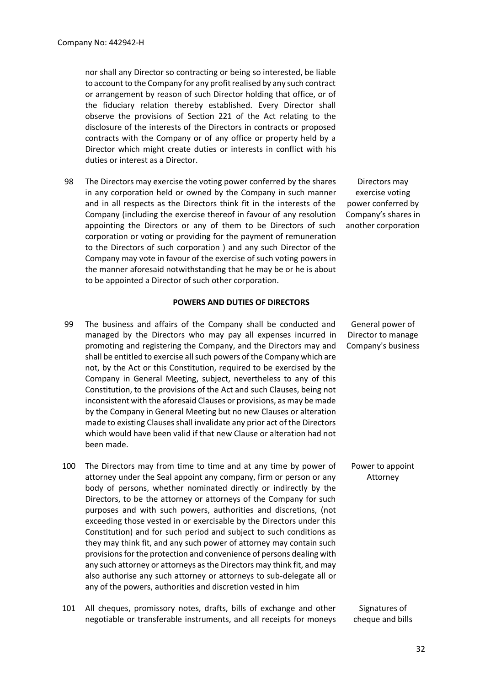nor shall any Director so contracting or being so interested, be liable to account to the Company for any profit realised by any such contract or arrangement by reason of such Director holding that office, or of the fiduciary relation thereby established. Every Director shall observe the provisions of Section 221 of the Act relating to the disclosure of the interests of the Directors in contracts or proposed contracts with the Company or of any office or property held by a Director which might create duties or interests in conflict with his duties or interest as a Director.

98 The Directors may exercise the voting power conferred by the shares in any corporation held or owned by the Company in such manner and in all respects as the Directors think fit in the interests of the Company (including the exercise thereof in favour of any resolution appointing the Directors or any of them to be Directors of such corporation or voting or providing for the payment of remuneration to the Directors of such corporation ) and any such Director of the Company may vote in favour of the exercise of such voting powers in the manner aforesaid notwithstanding that he may be or he is about to be appointed a Director of such other corporation.

#### **POWERS AND DUTIES OF DIRECTORS**

- 99 The business and affairs of the Company shall be conducted and managed by the Directors who may pay all expenses incurred in promoting and registering the Company, and the Directors may and shall be entitled to exercise all such powers of the Company which are not, by the Act or this Constitution, required to be exercised by the Company in General Meeting, subject, nevertheless to any of this Constitution, to the provisions of the Act and such Clauses, being not inconsistent with the aforesaid Clauses or provisions, as may be made by the Company in General Meeting but no new Clauses or alteration made to existing Clauses shall invalidate any prior act of the Directors which would have been valid if that new Clause or alteration had not been made.
- 100 The Directors may from time to time and at any time by power of attorney under the Seal appoint any company, firm or person or any body of persons, whether nominated directly or indirectly by the Directors, to be the attorney or attorneys of the Company for such purposes and with such powers, authorities and discretions, (not exceeding those vested in or exercisable by the Directors under this Constitution) and for such period and subject to such conditions as they may think fit, and any such power of attorney may contain such provisions for the protection and convenience of persons dealing with any such attorney or attorneys as the Directors may think fit, and may also authorise any such attorney or attorneys to sub-delegate all or any of the powers, authorities and discretion vested in him Attorney
- 101 All cheques, promissory notes, drafts, bills of exchange and other negotiable or transferable instruments, and all receipts for moneys Signatures of cheque and bills

Directors may exercise voting power conferred by Company's shares in another corporation

General power of Director to manage Company's business

Power to appoint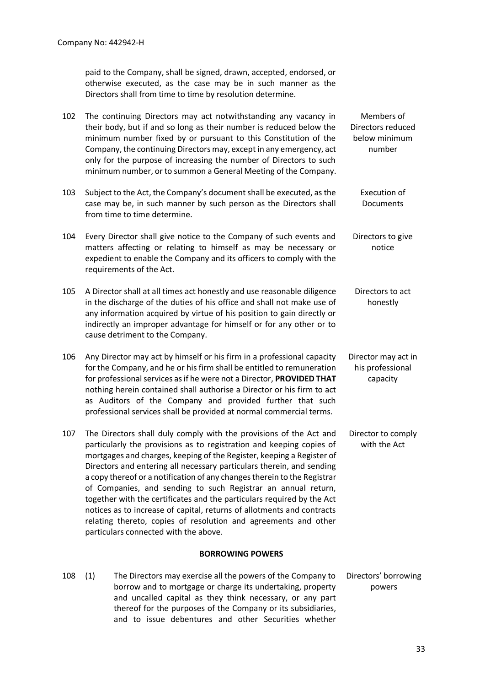paid to the Company, shall be signed, drawn, accepted, endorsed, or otherwise executed, as the case may be in such manner as the Directors shall from time to time by resolution determine.

| 102 | The continuing Directors may act notwithstanding any vacancy in<br>their body, but if and so long as their number is reduced below the<br>minimum number fixed by or pursuant to this Constitution of the<br>Company, the continuing Directors may, except in any emergency, act<br>only for the purpose of increasing the number of Directors to such<br>minimum number, or to summon a General Meeting of the Company.                                                                                                                                                                                                                                                                                  | Members of<br>Directors reduced<br>below minimum<br>number |
|-----|-----------------------------------------------------------------------------------------------------------------------------------------------------------------------------------------------------------------------------------------------------------------------------------------------------------------------------------------------------------------------------------------------------------------------------------------------------------------------------------------------------------------------------------------------------------------------------------------------------------------------------------------------------------------------------------------------------------|------------------------------------------------------------|
| 103 | Subject to the Act, the Company's document shall be executed, as the<br>case may be, in such manner by such person as the Directors shall<br>from time to time determine.                                                                                                                                                                                                                                                                                                                                                                                                                                                                                                                                 | Execution of<br>Documents                                  |
| 104 | Every Director shall give notice to the Company of such events and<br>matters affecting or relating to himself as may be necessary or<br>expedient to enable the Company and its officers to comply with the<br>requirements of the Act.                                                                                                                                                                                                                                                                                                                                                                                                                                                                  | Directors to give<br>notice                                |
| 105 | A Director shall at all times act honestly and use reasonable diligence<br>in the discharge of the duties of his office and shall not make use of<br>any information acquired by virtue of his position to gain directly or<br>indirectly an improper advantage for himself or for any other or to<br>cause detriment to the Company.                                                                                                                                                                                                                                                                                                                                                                     | Directors to act<br>honestly                               |
| 106 | Any Director may act by himself or his firm in a professional capacity<br>for the Company, and he or his firm shall be entitled to remuneration<br>for professional services as if he were not a Director, PROVIDED THAT<br>nothing herein contained shall authorise a Director or his firm to act<br>as Auditors of the Company and provided further that such<br>professional services shall be provided at normal commercial terms.                                                                                                                                                                                                                                                                    | Director may act in<br>his professional<br>capacity        |
| 107 | The Directors shall duly comply with the provisions of the Act and<br>particularly the provisions as to registration and keeping copies of<br>mortgages and charges, keeping of the Register, keeping a Register of<br>Directors and entering all necessary particulars therein, and sending<br>a copy thereof or a notification of any changes therein to the Registrar<br>of Companies, and sending to such Registrar an annual return,<br>together with the certificates and the particulars required by the Act<br>notices as to increase of capital, returns of allotments and contracts<br>relating thereto, copies of resolution and agreements and other<br>particulars connected with the above. | Director to comply<br>with the Act                         |
|     | <b>BORROWING POWERS</b>                                                                                                                                                                                                                                                                                                                                                                                                                                                                                                                                                                                                                                                                                   |                                                            |
| 108 | (1)<br>The Directors may exercise all the powers of the Company to                                                                                                                                                                                                                                                                                                                                                                                                                                                                                                                                                                                                                                        | Directors' borrowing                                       |

borrow and to mortgage or charge its undertaking, property and uncalled capital as they think necessary, or any part thereof for the purposes of the Company or its subsidiaries, and to issue debentures and other Securities whether

powers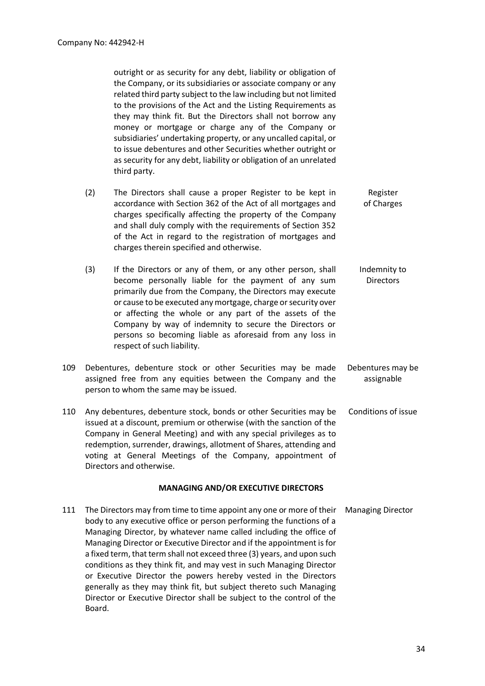outright or as security for any debt, liability or obligation of the Company, or its subsidiaries or associate company or any related third party subject to the law including but not limited to the provisions of the Act and the Listing Requirements as they may think fit. But the Directors shall not borrow any money or mortgage or charge any of the Company or subsidiaries' undertaking property, or any uncalled capital, or to issue debentures and other Securities whether outright or as security for any debt, liability or obligation of an unrelated third party.

- (2) The Directors shall cause a proper Register to be kept in accordance with Section 362 of the Act of all mortgages and charges specifically affecting the property of the Company and shall duly comply with the requirements of Section 352 of the Act in regard to the registration of mortgages and charges therein specified and otherwise. Register of Charges
- (3) If the Directors or any of them, or any other person, shall become personally liable for the payment of any sum primarily due from the Company, the Directors may execute or cause to be executed any mortgage, charge or security over or affecting the whole or any part of the assets of the Company by way of indemnity to secure the Directors or persons so becoming liable as aforesaid from any loss in respect of such liability. Indemnity to **Directors**
- 109 Debentures, debenture stock or other Securities may be made assigned free from any equities between the Company and the person to whom the same may be issued. Debentures may be assignable
- 110 Any debentures, debenture stock, bonds or other Securities may be issued at a discount, premium or otherwise (with the sanction of the Company in General Meeting) and with any special privileges as to redemption, surrender, drawings, allotment of Shares, attending and voting at General Meetings of the Company, appointment of Directors and otherwise. Conditions of issue

#### **MANAGING AND/OR EXECUTIVE DIRECTORS**

111 The Directors may from time to time appoint any one or more of their body to any executive office or person performing the functions of a Managing Director, by whatever name called including the office of Managing Director or Executive Director and if the appointment is for a fixed term, that term shall not exceed three (3) years, and upon such conditions as they think fit, and may vest in such Managing Director or Executive Director the powers hereby vested in the Directors generally as they may think fit, but subject thereto such Managing Director or Executive Director shall be subject to the control of the Board. Managing Director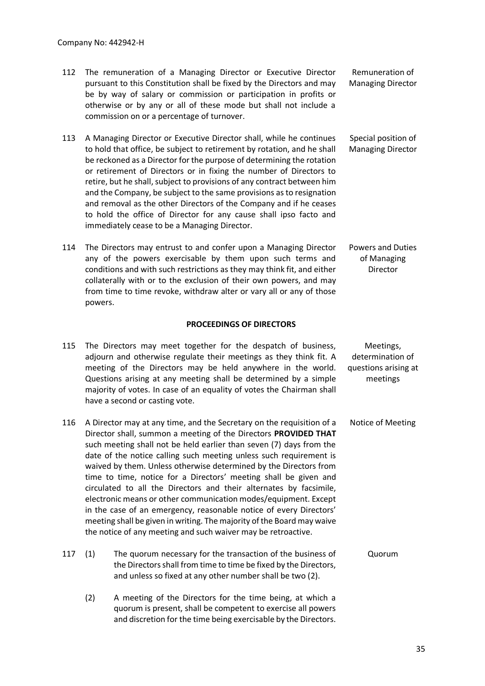- 112 The remuneration of a Managing Director or Executive Director pursuant to this Constitution shall be fixed by the Directors and may be by way of salary or commission or participation in profits or otherwise or by any or all of these mode but shall not include a commission on or a percentage of turnover. Remuneration of Managing Director
- 113 A Managing Director or Executive Director shall, while he continues to hold that office, be subject to retirement by rotation, and he shall be reckoned as a Director for the purpose of determining the rotation or retirement of Directors or in fixing the number of Directors to retire, but he shall, subject to provisions of any contract between him and the Company, be subject to the same provisions as to resignation and removal as the other Directors of the Company and if he ceases to hold the office of Director for any cause shall ipso facto and immediately cease to be a Managing Director. Special position of Managing Director
- 114 The Directors may entrust to and confer upon a Managing Director any of the powers exercisable by them upon such terms and conditions and with such restrictions as they may think fit, and either collaterally with or to the exclusion of their own powers, and may from time to time revoke, withdraw alter or vary all or any of those powers. Powers and Duties of Managing Director

## **PROCEEDINGS OF DIRECTORS**

| 115 |                                                                                                                                                                                                                                                                                                                                                                                                                                                                                                                                                                                                                                                                                                                                                                                          | The Directors may meet together for the despatch of business,<br>adjourn and otherwise regulate their meetings as they think fit. A<br>meeting of the Directors may be held anywhere in the world.<br>Questions arising at any meeting shall be determined by a simple<br>majority of votes. In case of an equality of votes the Chairman shall<br>have a second or casting vote. | Meetings,<br>determination of<br>questions arising at<br>meetings |
|-----|------------------------------------------------------------------------------------------------------------------------------------------------------------------------------------------------------------------------------------------------------------------------------------------------------------------------------------------------------------------------------------------------------------------------------------------------------------------------------------------------------------------------------------------------------------------------------------------------------------------------------------------------------------------------------------------------------------------------------------------------------------------------------------------|-----------------------------------------------------------------------------------------------------------------------------------------------------------------------------------------------------------------------------------------------------------------------------------------------------------------------------------------------------------------------------------|-------------------------------------------------------------------|
| 116 | A Director may at any time, and the Secretary on the requisition of a<br>Director shall, summon a meeting of the Directors PROVIDED THAT<br>such meeting shall not be held earlier than seven (7) days from the<br>date of the notice calling such meeting unless such requirement is<br>waived by them. Unless otherwise determined by the Directors from<br>time to time, notice for a Directors' meeting shall be given and<br>circulated to all the Directors and their alternates by facsimile,<br>electronic means or other communication modes/equipment. Except<br>in the case of an emergency, reasonable notice of every Directors'<br>meeting shall be given in writing. The majority of the Board may waive<br>the notice of any meeting and such waiver may be retroactive. |                                                                                                                                                                                                                                                                                                                                                                                   | Notice of Meeting                                                 |
| 117 | (1)                                                                                                                                                                                                                                                                                                                                                                                                                                                                                                                                                                                                                                                                                                                                                                                      | The quorum necessary for the transaction of the business of<br>the Directors shall from time to time be fixed by the Directors,<br>and unless so fixed at any other number shall be two (2).                                                                                                                                                                                      | Quorum                                                            |
|     | (2)                                                                                                                                                                                                                                                                                                                                                                                                                                                                                                                                                                                                                                                                                                                                                                                      | A meeting of the Directors for the time being, at which a                                                                                                                                                                                                                                                                                                                         |                                                                   |

quorum is present, shall be competent to exercise all powers and discretion for the time being exercisable by the Directors.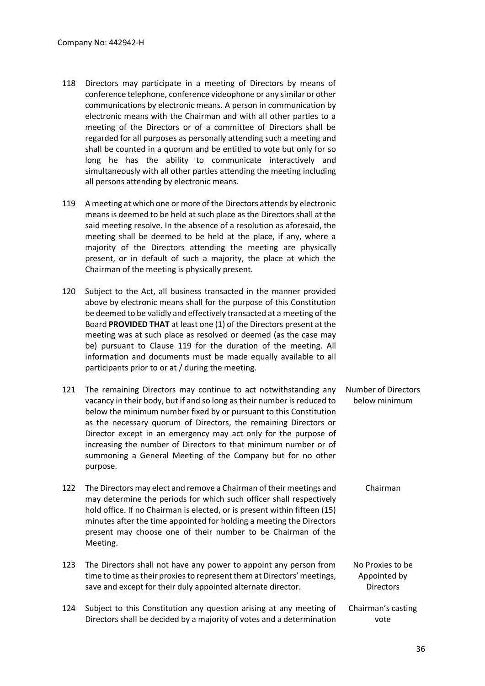- 118 Directors may participate in a meeting of Directors by means of conference telephone, conference videophone or any similar or other communications by electronic means. A person in communication by electronic means with the Chairman and with all other parties to a meeting of the Directors or of a committee of Directors shall be regarded for all purposes as personally attending such a meeting and shall be counted in a quorum and be entitled to vote but only for so long he has the ability to communicate interactively and simultaneously with all other parties attending the meeting including all persons attending by electronic means.
- 119 A meeting at which one or more of the Directors attends by electronic means is deemed to be held at such place as the Directors shall at the said meeting resolve. In the absence of a resolution as aforesaid, the meeting shall be deemed to be held at the place, if any, where a majority of the Directors attending the meeting are physically present, or in default of such a majority, the place at which the Chairman of the meeting is physically present.
- 120 Subject to the Act, all business transacted in the manner provided above by electronic means shall for the purpose of this Constitution be deemed to be validly and effectively transacted at a meeting of the Board **PROVIDED THAT** at least one (1) of the Directors present at the meeting was at such place as resolved or deemed (as the case may be) pursuant to Clause 119 for the duration of the meeting. All information and documents must be made equally available to all participants prior to or at / during the meeting.
- 121 The remaining Directors may continue to act notwithstanding any vacancy in their body, but if and so long as their number is reduced to below the minimum number fixed by or pursuant to this Constitution as the necessary quorum of Directors, the remaining Directors or Director except in an emergency may act only for the purpose of increasing the number of Directors to that minimum number or of summoning a General Meeting of the Company but for no other purpose. Number of Directors below minimum
- 122 The Directors may elect and remove a Chairman of their meetings and may determine the periods for which such officer shall respectively hold office. If no Chairman is elected, or is present within fifteen (15) minutes after the time appointed for holding a meeting the Directors present may choose one of their number to be Chairman of the Meeting. Chairman
- 123 The Directors shall not have any power to appoint any person from time to time as their proxies to represent them at Directors' meetings, save and except for their duly appointed alternate director. No Proxies to be Appointed by **Directors**
- 124 Subject to this Constitution any question arising at any meeting of Directors shall be decided by a majority of votes and a determination Chairman's casting vote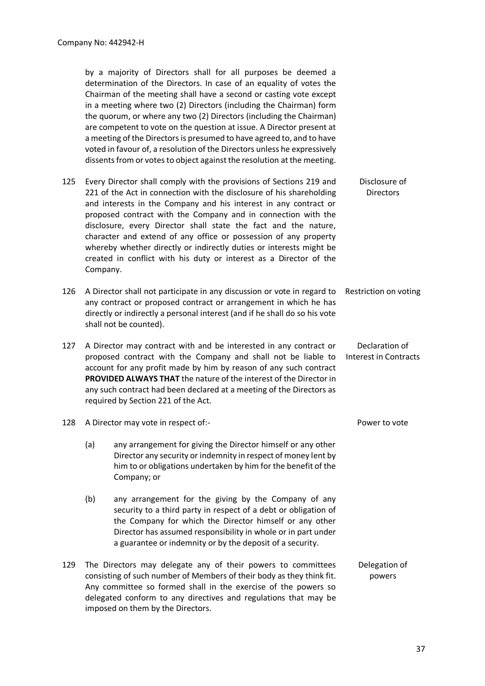by a majority of Directors shall for all purposes be deemed a determination of the Directors. In case of an equality of votes the Chairman of the meeting shall have a second or casting vote except in a meeting where two (2) Directors (including the Chairman) form the quorum, or where any two (2) Directors (including the Chairman) are competent to vote on the question at issue. A Director present at a meeting of the Directors is presumed to have agreed to, and to have voted in favour of, a resolution of the Directors unless he expressively dissents from or votes to object against the resolution at the meeting. 125 Every Director shall comply with the provisions of Sections 219 and 221 of the Act in connection with the disclosure of his shareholding and interests in the Company and his interest in any contract or proposed contract with the Company and in connection with the disclosure, every Director shall state the fact and the nature, character and extend of any office or possession of any property whereby whether directly or indirectly duties or interests might be created in conflict with his duty or interest as a Director of the Company. Disclosure of **Directors** 126 A Director shall not participate in any discussion or vote in regard to any contract or proposed contract or arrangement in which he has directly or indirectly a personal interest (and if he shall do so his vote shall not be counted). Restriction on voting 127 A Director may contract with and be interested in any contract or proposed contract with the Company and shall not be liable to account for any profit made by him by reason of any such contract **PROVIDED ALWAYS THAT** the nature of the interest of the Director in any such contract had been declared at a meeting of the Directors as required by Section 221 of the Act. Declaration of Interest in Contracts 128 A Director may vote in respect of:- Power to vote (a) any arrangement for giving the Director himself or any other Director any security or indemnity in respect of money lent by him to or obligations undertaken by him for the benefit of the Company; or (b) any arrangement for the giving by the Company of any security to a third party in respect of a debt or obligation of the Company for which the Director himself or any other Director has assumed responsibility in whole or in part under a guarantee or indemnity or by the deposit of a security. 129 The Directors may delegate any of their powers to committees consisting of such number of Members of their body as they think fit. Any committee so formed shall in the exercise of the powers so delegated conform to any directives and regulations that may be Delegation of powers

imposed on them by the Directors.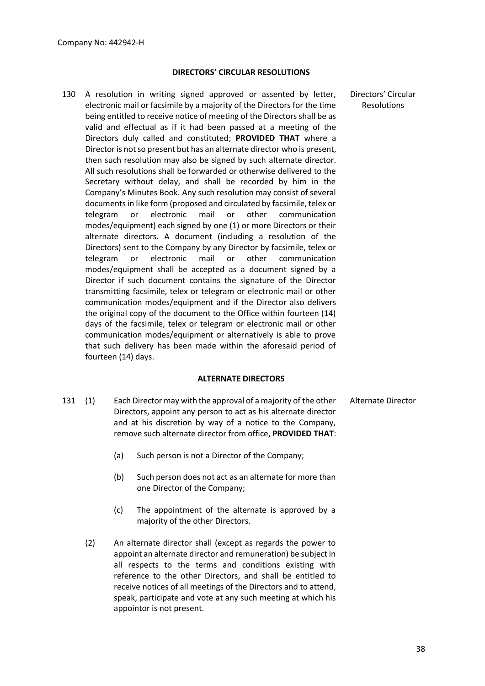#### **DIRECTORS' CIRCULAR RESOLUTIONS**

130 A resolution in writing signed approved or assented by letter, electronic mail or facsimile by a majority of the Directors for the time being entitled to receive notice of meeting of the Directors shall be as valid and effectual as if it had been passed at a meeting of the Directors duly called and constituted; **PROVIDED THAT** where a Director is not so present but has an alternate director who is present, then such resolution may also be signed by such alternate director. All such resolutions shall be forwarded or otherwise delivered to the Secretary without delay, and shall be recorded by him in the Company's Minutes Book. Any such resolution may consist of several documents in like form (proposed and circulated by facsimile, telex or telegram or electronic mail or other communication modes/equipment) each signed by one (1) or more Directors or their alternate directors. A document (including a resolution of the Directors) sent to the Company by any Director by facsimile, telex or telegram or electronic mail or other communication modes/equipment shall be accepted as a document signed by a Director if such document contains the signature of the Director transmitting facsimile, telex or telegram or electronic mail or other communication modes/equipment and if the Director also delivers the original copy of the document to the Office within fourteen (14) days of the facsimile, telex or telegram or electronic mail or other communication modes/equipment or alternatively is able to prove that such delivery has been made within the aforesaid period of fourteen (14) days.

#### **ALTERNATE DIRECTORS**

- 131 (1) Each Director may with the approval of a majority of the other Directors, appoint any person to act as his alternate director and at his discretion by way of a notice to the Company, remove such alternate director from office, **PROVIDED THAT**: Alternate Director
	- (a) Such person is not a Director of the Company;
	- (b) Such person does not act as an alternate for more than one Director of the Company;
	- (c) The appointment of the alternate is approved by a majority of the other Directors.
	- (2) An alternate director shall (except as regards the power to appoint an alternate director and remuneration) be subject in all respects to the terms and conditions existing with reference to the other Directors, and shall be entitled to receive notices of all meetings of the Directors and to attend, speak, participate and vote at any such meeting at which his appointor is not present.

Directors' Circular Resolutions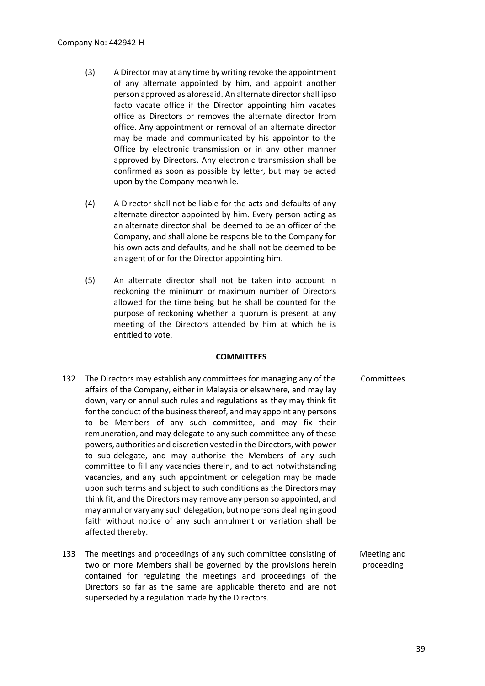- (3) A Director may at any time by writing revoke the appointment of any alternate appointed by him, and appoint another person approved as aforesaid. An alternate director shall ipso facto vacate office if the Director appointing him vacates office as Directors or removes the alternate director from office. Any appointment or removal of an alternate director may be made and communicated by his appointor to the Office by electronic transmission or in any other manner approved by Directors. Any electronic transmission shall be confirmed as soon as possible by letter, but may be acted upon by the Company meanwhile.
- (4) A Director shall not be liable for the acts and defaults of any alternate director appointed by him. Every person acting as an alternate director shall be deemed to be an officer of the Company, and shall alone be responsible to the Company for his own acts and defaults, and he shall not be deemed to be an agent of or for the Director appointing him.
- (5) An alternate director shall not be taken into account in reckoning the minimum or maximum number of Directors allowed for the time being but he shall be counted for the purpose of reckoning whether a quorum is present at any meeting of the Directors attended by him at which he is entitled to vote.

#### **COMMITTEES**

- 132 The Directors may establish any committees for managing any of the affairs of the Company, either in Malaysia or elsewhere, and may lay down, vary or annul such rules and regulations as they may think fit for the conduct of the business thereof, and may appoint any persons to be Members of any such committee, and may fix their remuneration, and may delegate to any such committee any of these powers, authorities and discretion vested in the Directors, with power to sub-delegate, and may authorise the Members of any such committee to fill any vacancies therein, and to act notwithstanding vacancies, and any such appointment or delegation may be made upon such terms and subject to such conditions as the Directors may think fit, and the Directors may remove any person so appointed, and may annul or vary any such delegation, but no persons dealing in good faith without notice of any such annulment or variation shall be affected thereby. Committees
- 133 The meetings and proceedings of any such committee consisting of two or more Members shall be governed by the provisions herein contained for regulating the meetings and proceedings of the Directors so far as the same are applicable thereto and are not superseded by a regulation made by the Directors. Meeting and proceeding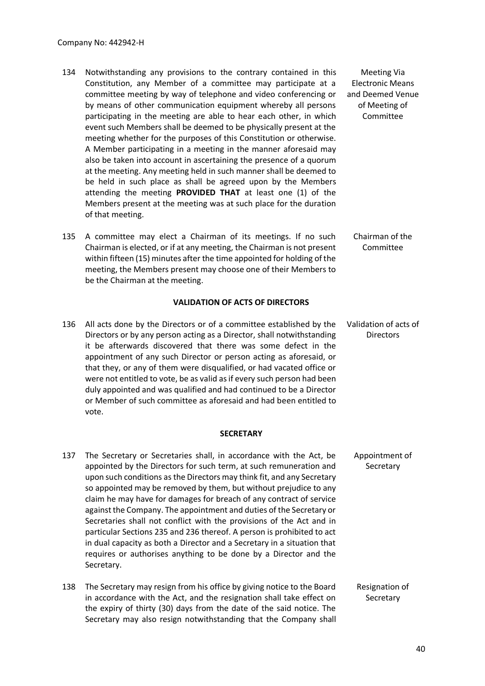- 134 Notwithstanding any provisions to the contrary contained in this Constitution, any Member of a committee may participate at a committee meeting by way of telephone and video conferencing or by means of other communication equipment whereby all persons participating in the meeting are able to hear each other, in which event such Members shall be deemed to be physically present at the meeting whether for the purposes of this Constitution or otherwise. A Member participating in a meeting in the manner aforesaid may also be taken into account in ascertaining the presence of a quorum at the meeting. Any meeting held in such manner shall be deemed to be held in such place as shall be agreed upon by the Members attending the meeting **PROVIDED THAT** at least one (1) of the Members present at the meeting was at such place for the duration of that meeting.
- 135 A committee may elect a Chairman of its meetings. If no such Chairman is elected, or if at any meeting, the Chairman is not present within fifteen (15) minutes after the time appointed for holding of the meeting, the Members present may choose one of their Members to be the Chairman at the meeting. Chairman of the Committee

#### **VALIDATION OF ACTS OF DIRECTORS**

136 All acts done by the Directors or of a committee established by the Directors or by any person acting as a Director, shall notwithstanding it be afterwards discovered that there was some defect in the appointment of any such Director or person acting as aforesaid, or that they, or any of them were disqualified, or had vacated office or were not entitled to vote, be as valid as if every such person had been duly appointed and was qualified and had continued to be a Director or Member of such committee as aforesaid and had been entitled to vote. Validation of acts of **Directors** 

#### **SECRETARY**

- 137 The Secretary or Secretaries shall, in accordance with the Act, be appointed by the Directors for such term, at such remuneration and upon such conditions as the Directors may think fit, and any Secretary so appointed may be removed by them, but without prejudice to any claim he may have for damages for breach of any contract of service against the Company. The appointment and duties of the Secretary or Secretaries shall not conflict with the provisions of the Act and in particular Sections 235 and 236 thereof. A person is prohibited to act in dual capacity as both a Director and a Secretary in a situation that requires or authorises anything to be done by a Director and the Secretary. Appointment of **Secretary**
- 138 The Secretary may resign from his office by giving notice to the Board in accordance with the Act, and the resignation shall take effect on the expiry of thirty (30) days from the date of the said notice. The Secretary may also resign notwithstanding that the Company shall Resignation of **Secretary**

Meeting Via Electronic Means and Deemed Venue of Meeting of Committee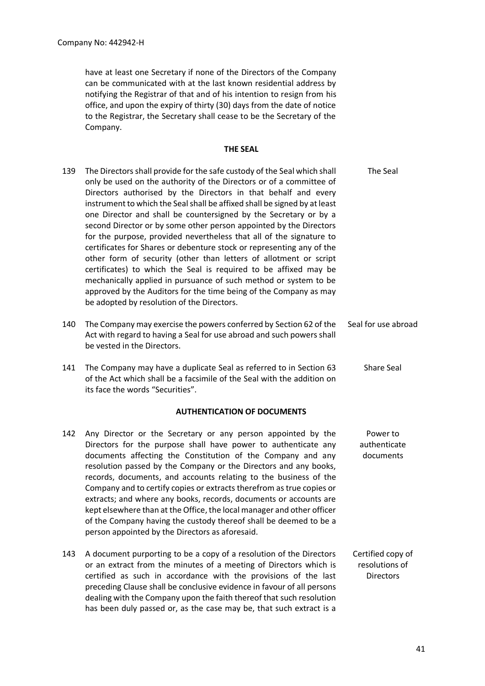have at least one Secretary if none of the Directors of the Company can be communicated with at the last known residential address by notifying the Registrar of that and of his intention to resign from his office, and upon the expiry of thirty (30) days from the date of notice to the Registrar, the Secretary shall cease to be the Secretary of the Company.

#### **THE SEAL**

- 139 The Directors shall provide for the safe custody of the Seal which shall only be used on the authority of the Directors or of a committee of Directors authorised by the Directors in that behalf and every instrument to which the Seal shall be affixed shall be signed by at least one Director and shall be countersigned by the Secretary or by a second Director or by some other person appointed by the Directors for the purpose, provided nevertheless that all of the signature to certificates for Shares or debenture stock or representing any of the other form of security (other than letters of allotment or script certificates) to which the Seal is required to be affixed may be mechanically applied in pursuance of such method or system to be approved by the Auditors for the time being of the Company as may be adopted by resolution of the Directors. The Seal 140 The Company may exercise the powers conferred by Section 62 of the Act with regard to having a Seal for use abroad and such powers shall be vested in the Directors. Seal for use abroad
- 141 The Company may have a duplicate Seal as referred to in Section 63 of the Act which shall be a facsimile of the Seal with the addition on its face the words "Securities". Share Seal

#### **AUTHENTICATION OF DOCUMENTS**

- 142 Any Director or the Secretary or any person appointed by the Directors for the purpose shall have power to authenticate any documents affecting the Constitution of the Company and any resolution passed by the Company or the Directors and any books, records, documents, and accounts relating to the business of the Company and to certify copies or extracts therefrom as true copies or extracts; and where any books, records, documents or accounts are kept elsewhere than at the Office, the local manager and other officer of the Company having the custody thereof shall be deemed to be a person appointed by the Directors as aforesaid. Power to authenticate documents
- 143 A document purporting to be a copy of a resolution of the Directors or an extract from the minutes of a meeting of Directors which is certified as such in accordance with the provisions of the last preceding Clause shall be conclusive evidence in favour of all persons dealing with the Company upon the faith thereof that such resolution has been duly passed or, as the case may be, that such extract is a Certified copy of resolutions of **Directors**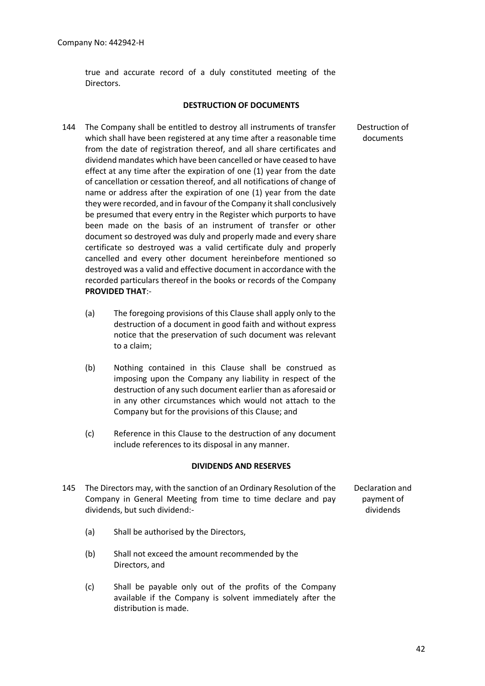true and accurate record of a duly constituted meeting of the Directors.

#### **DESTRUCTION OF DOCUMENTS**

- 144 The Company shall be entitled to destroy all instruments of transfer which shall have been registered at any time after a reasonable time from the date of registration thereof, and all share certificates and dividend mandates which have been cancelled or have ceased to have effect at any time after the expiration of one (1) year from the date of cancellation or cessation thereof, and all notifications of change of name or address after the expiration of one (1) year from the date they were recorded, and in favour of the Company it shall conclusively be presumed that every entry in the Register which purports to have been made on the basis of an instrument of transfer or other document so destroyed was duly and properly made and every share certificate so destroyed was a valid certificate duly and properly cancelled and every other document hereinbefore mentioned so destroyed was a valid and effective document in accordance with the recorded particulars thereof in the books or records of the Company **PROVIDED THAT**:-
	- (a) The foregoing provisions of this Clause shall apply only to the destruction of a document in good faith and without express notice that the preservation of such document was relevant to a claim;
	- (b) Nothing contained in this Clause shall be construed as imposing upon the Company any liability in respect of the destruction of any such document earlier than as aforesaid or in any other circumstances which would not attach to the Company but for the provisions of this Clause; and
	- (c) Reference in this Clause to the destruction of any document include references to its disposal in any manner.

#### **DIVIDENDS AND RESERVES**

- 145 The Directors may, with the sanction of an Ordinary Resolution of the Company in General Meeting from time to time declare and pay dividends, but such dividend:-
- Declaration and payment of dividends

- (a) Shall be authorised by the Directors,
- (b) Shall not exceed the amount recommended by the Directors, and
- (c) Shall be payable only out of the profits of the Company available if the Company is solvent immediately after the distribution is made.

Destruction of documents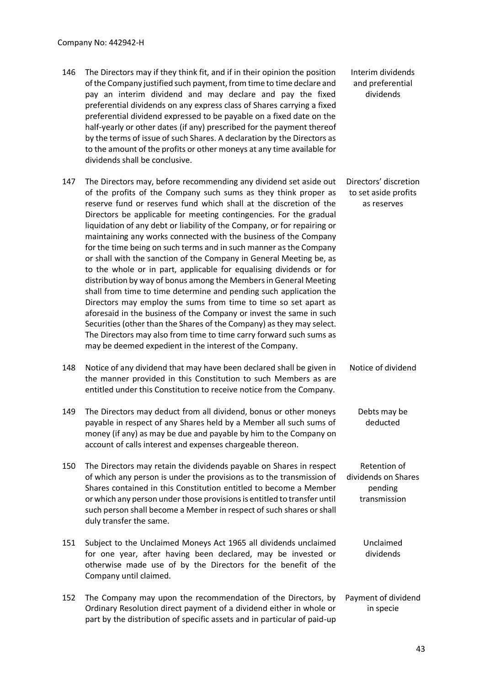- 146 The Directors may if they think fit, and if in their opinion the position of the Company justified such payment, from time to time declare and pay an interim dividend and may declare and pay the fixed preferential dividends on any express class of Shares carrying a fixed preferential dividend expressed to be payable on a fixed date on the half-yearly or other dates (if any) prescribed for the payment thereof by the terms of issue of such Shares. A declaration by the Directors as to the amount of the profits or other moneys at any time available for dividends shall be conclusive. Interim dividends and preferential dividends
- 147 The Directors may, before recommending any dividend set aside out of the profits of the Company such sums as they think proper as reserve fund or reserves fund which shall at the discretion of the Directors be applicable for meeting contingencies. For the gradual liquidation of any debt or liability of the Company, or for repairing or maintaining any works connected with the business of the Company for the time being on such terms and in such manner as the Company or shall with the sanction of the Company in General Meeting be, as to the whole or in part, applicable for equalising dividends or for distribution by way of bonus among the Members in General Meeting shall from time to time determine and pending such application the Directors may employ the sums from time to time so set apart as aforesaid in the business of the Company or invest the same in such Securities (other than the Shares of the Company) as they may select. The Directors may also from time to time carry forward such sums as may be deemed expedient in the interest of the Company. Directors' discretion to set aside profits as reserves
- 148 Notice of any dividend that may have been declared shall be given in the manner provided in this Constitution to such Members as are entitled under this Constitution to receive notice from the Company. Notice of dividend
- 149 The Directors may deduct from all dividend, bonus or other moneys payable in respect of any Shares held by a Member all such sums of money (if any) as may be due and payable by him to the Company on account of calls interest and expenses chargeable thereon. Debts may be deducted
- 150 The Directors may retain the dividends payable on Shares in respect of which any person is under the provisions as to the transmission of Shares contained in this Constitution entitled to become a Member or which any person under those provisions is entitled to transfer until such person shall become a Member in respect of such shares or shall duly transfer the same. Retention of dividends on Shares pending transmission
- 151 Subject to the Unclaimed Moneys Act 1965 all dividends unclaimed for one year, after having been declared, may be invested or otherwise made use of by the Directors for the benefit of the Company until claimed. Unclaimed dividends
- 152 The Company may upon the recommendation of the Directors, by Ordinary Resolution direct payment of a dividend either in whole or part by the distribution of specific assets and in particular of paid-up Payment of dividend in specie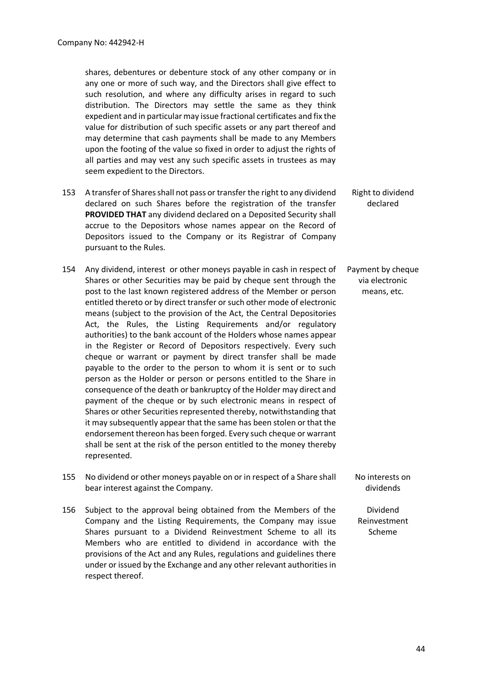shares, debentures or debenture stock of any other company or in any one or more of such way, and the Directors shall give effect to such resolution, and where any difficulty arises in regard to such distribution. The Directors may settle the same as they think expedient and in particular may issue fractional certificates and fix the value for distribution of such specific assets or any part thereof and may determine that cash payments shall be made to any Members upon the footing of the value so fixed in order to adjust the rights of all parties and may vest any such specific assets in trustees as may seem expedient to the Directors.

- 153 A transfer of Shares shall not pass or transfer the right to any dividend declared on such Shares before the registration of the transfer **PROVIDED THAT** any dividend declared on a Deposited Security shall accrue to the Depositors whose names appear on the Record of Depositors issued to the Company or its Registrar of Company pursuant to the Rules. Right to dividend declared
- 154 Any dividend, interest or other moneys payable in cash in respect of Shares or other Securities may be paid by cheque sent through the post to the last known registered address of the Member or person entitled thereto or by direct transfer or such other mode of electronic means (subject to the provision of the Act, the Central Depositories Act, the Rules, the Listing Requirements and/or regulatory authorities) to the bank account of the Holders whose names appear in the Register or Record of Depositors respectively. Every such cheque or warrant or payment by direct transfer shall be made payable to the order to the person to whom it is sent or to such person as the Holder or person or persons entitled to the Share in consequence of the death or bankruptcy of the Holder may direct and payment of the cheque or by such electronic means in respect of Shares or other Securities represented thereby, notwithstanding that it may subsequently appear that the same has been stolen or that the endorsement thereon has been forged. Every such cheque or warrant shall be sent at the risk of the person entitled to the money thereby represented. via electronic means, etc.
- 155 No dividend or other moneys payable on or in respect of a Share shall bear interest against the Company.
- 156 Subject to the approval being obtained from the Members of the Company and the Listing Requirements, the Company may issue Shares pursuant to a Dividend Reinvestment Scheme to all its Members who are entitled to dividend in accordance with the provisions of the Act and any Rules, regulations and guidelines there under or issued by the Exchange and any other relevant authorities in respect thereof.

Payment by cheque

No interests on dividends

Dividend Reinvestment Scheme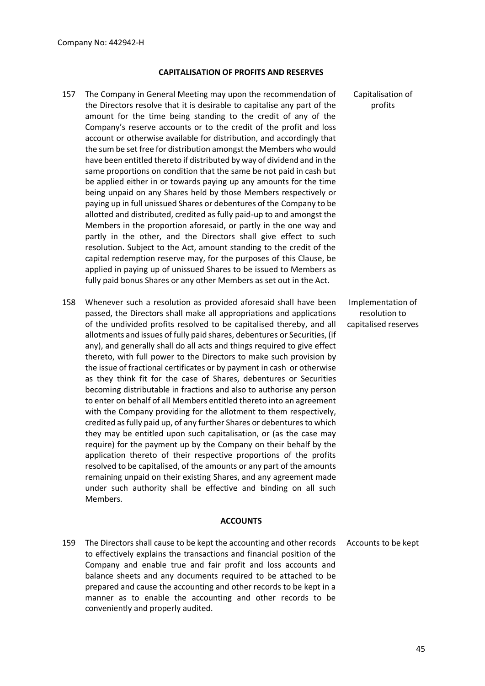#### **CAPITALISATION OF PROFITS AND RESERVES**

- 157 The Company in General Meeting may upon the recommendation of the Directors resolve that it is desirable to capitalise any part of the amount for the time being standing to the credit of any of the Company's reserve accounts or to the credit of the profit and loss account or otherwise available for distribution, and accordingly that the sum be set free for distribution amongst the Members who would have been entitled thereto if distributed by way of dividend and in the same proportions on condition that the same be not paid in cash but be applied either in or towards paying up any amounts for the time being unpaid on any Shares held by those Members respectively or paying up in full unissued Shares or debentures of the Company to be allotted and distributed, credited as fully paid-up to and amongst the Members in the proportion aforesaid, or partly in the one way and partly in the other, and the Directors shall give effect to such resolution. Subject to the Act, amount standing to the credit of the capital redemption reserve may, for the purposes of this Clause, be applied in paying up of unissued Shares to be issued to Members as fully paid bonus Shares or any other Members as set out in the Act.
- 158 Whenever such a resolution as provided aforesaid shall have been passed, the Directors shall make all appropriations and applications of the undivided profits resolved to be capitalised thereby, and all allotments and issues of fully paid shares, debentures or Securities, (if any), and generally shall do all acts and things required to give effect thereto, with full power to the Directors to make such provision by the issue of fractional certificates or by payment in cash or otherwise as they think fit for the case of Shares, debentures or Securities becoming distributable in fractions and also to authorise any person to enter on behalf of all Members entitled thereto into an agreement with the Company providing for the allotment to them respectively, credited as fully paid up, of any further Shares or debentures to which they may be entitled upon such capitalisation, or (as the case may require) for the payment up by the Company on their behalf by the application thereto of their respective proportions of the profits resolved to be capitalised, of the amounts or any part of the amounts remaining unpaid on their existing Shares, and any agreement made under such authority shall be effective and binding on all such Members.

#### **ACCOUNTS**

159 The Directors shall cause to be kept the accounting and other records to effectively explains the transactions and financial position of the Company and enable true and fair profit and loss accounts and balance sheets and any documents required to be attached to be prepared and cause the accounting and other records to be kept in a manner as to enable the accounting and other records to be conveniently and properly audited. Accounts to be kept

Capitalisation of profits

Implementation of resolution to capitalised reserves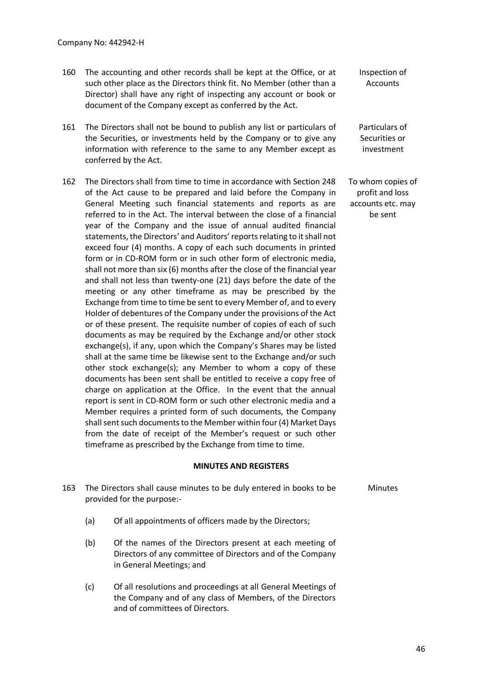- 160 The accounting and other records shall be kept at the Office, or at such other place as the Directors think fit. No Member (other than a Director) shall have any right of inspecting any account or book or document of the Company except as conferred by the Act.
- 161 The Directors shall not be bound to publish any list or particulars of the Securities, or investments held by the Company or to give any information with reference to the same to any Member except as conferred by the Act.
- 162 The Directors shall from time to time in accordance with Section 248 of the Act cause to be prepared and laid before the Company in General Meeting such financial statements and reports as are referred to in the Act. The interval between the close of a financial year of the Company and the issue of annual audited financial statements, the Directors' and Auditors' reports relating to it shall not exceed four (4) months. A copy of each such documents in printed form or in CD-ROM form or in such other form of electronic media, shall not more than six (6) months after the close of the financial year and shall not less than twenty-one (21) days before the date of the meeting or any other timeframe as may be prescribed by the Exchange from time to time be sent to every Member of, and to every Holder of debentures of the Company under the provisions of the Act or of these present. The requisite number of copies of each of such documents as may be required by the Exchange and/or other stock exchange(s), if any, upon which the Company's Shares may be listed shall at the same time be likewise sent to the Exchange and/or such other stock exchange(s); any Member to whom a copy of these documents has been sent shall be entitled to receive a copy free of charge on application at the Office. In the event that the annual report is sent in CD-ROM form or such other electronic media and a Member requires a printed form of such documents, the Company shall sent such documents to the Member within four (4) Market Days from the date of receipt of the Member's request or such other timeframe as prescribed by the Exchange from time to time.

#### **MINUTES AND REGISTERS**

- 163 The Directors shall cause minutes to be duly entered in books to be provided for the purpose:-
	- (a) Of all appointments of officers made by the Directors;
	- (b) Of the names of the Directors present at each meeting of Directors of any committee of Directors and of the Company in General Meetings; and
	- (c) Of all resolutions and proceedings at all General Meetings of the Company and of any class of Members, of the Directors and of committees of Directors.

Inspection of **Accounts** 

Particulars of Securities or investment

To whom copies of profit and loss accounts etc. may be sent

Minutes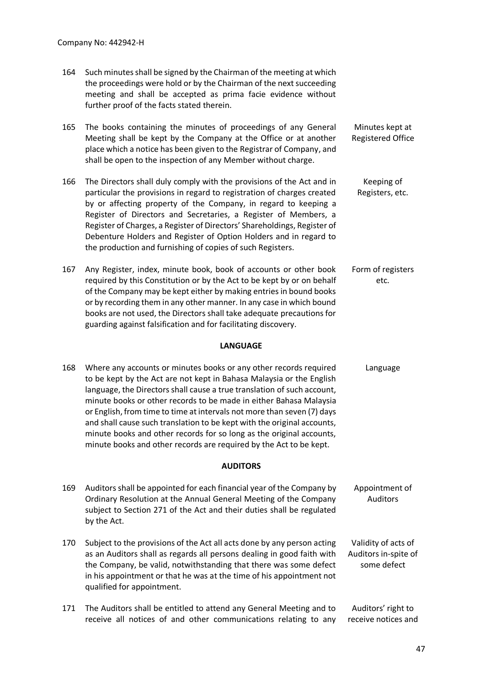- 164 Such minutes shall be signed by the Chairman of the meeting at which the proceedings were hold or by the Chairman of the next succeeding meeting and shall be accepted as prima facie evidence without further proof of the facts stated therein.
- 165 The books containing the minutes of proceedings of any General Meeting shall be kept by the Company at the Office or at another place which a notice has been given to the Registrar of Company, and shall be open to the inspection of any Member without charge. Minutes kept at Registered Office
- 166 The Directors shall duly comply with the provisions of the Act and in particular the provisions in regard to registration of charges created by or affecting property of the Company, in regard to keeping a Register of Directors and Secretaries, a Register of Members, a Register of Charges, a Register of Directors' Shareholdings, Register of Debenture Holders and Register of Option Holders and in regard to the production and furnishing of copies of such Registers. Keeping of Registers, etc.
- 167 Any Register, index, minute book, book of accounts or other book required by this Constitution or by the Act to be kept by or on behalf of the Company may be kept either by making entries in bound books or by recording them in any other manner. In any case in which bound books are not used, the Directors shall take adequate precautions for guarding against falsification and for facilitating discovery. Form of registers etc.

#### **LANGUAGE**

168 Where any accounts or minutes books or any other records required to be kept by the Act are not kept in Bahasa Malaysia or the English language, the Directors shall cause a true translation of such account, minute books or other records to be made in either Bahasa Malaysia or English, from time to time at intervals not more than seven (7) days and shall cause such translation to be kept with the original accounts, minute books and other records for so long as the original accounts, minute books and other records are required by the Act to be kept. Language

#### **AUDITORS**

- 169 Auditors shall be appointed for each financial year of the Company by Ordinary Resolution at the Annual General Meeting of the Company subject to Section 271 of the Act and their duties shall be regulated by the Act. Appointment of Auditors 170 Subject to the provisions of the Act all acts done by any person acting as an Auditors shall as regards all persons dealing in good faith with the Company, be valid, notwithstanding that there was some defect in his appointment or that he was at the time of his appointment not qualified for appointment. Validity of acts of Auditors in-spite of some defect
- 171 The Auditors shall be entitled to attend any General Meeting and to receive all notices of and other communications relating to any Auditors' right to receive notices and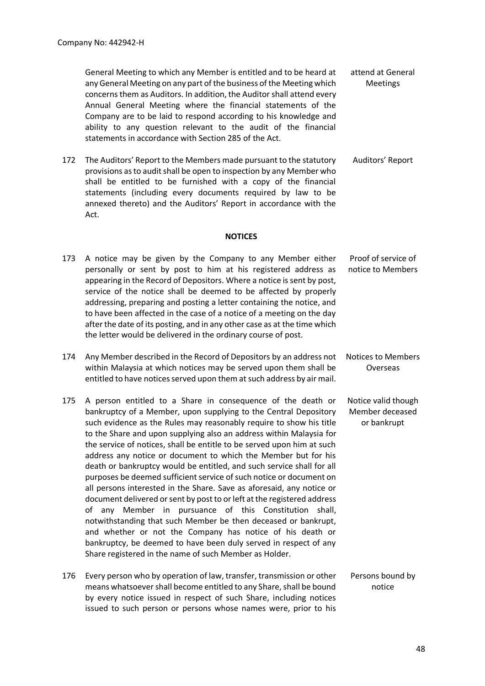General Meeting to which any Member is entitled and to be heard at any General Meeting on any part of the business of the Meeting which concerns them as Auditors. In addition, the Auditor shall attend every Annual General Meeting where the financial statements of the Company are to be laid to respond according to his knowledge and ability to any question relevant to the audit of the financial statements in accordance with Section 285 of the Act. attend at General Meetings

172 The Auditors' Report to the Members made pursuant to the statutory provisions as to audit shall be open to inspection by any Member who shall be entitled to be furnished with a copy of the financial statements (including every documents required by law to be annexed thereto) and the Auditors' Report in accordance with the Act. Auditors' Report

#### **NOTICES**

- 173 A notice may be given by the Company to any Member either personally or sent by post to him at his registered address as appearing in the Record of Depositors. Where a notice is sent by post, service of the notice shall be deemed to be affected by properly addressing, preparing and posting a letter containing the notice, and to have been affected in the case of a notice of a meeting on the day after the date of its posting, and in any other case as at the time which the letter would be delivered in the ordinary course of post. Proof of service of notice to Members
- 174 Any Member described in the Record of Depositors by an address not within Malaysia at which notices may be served upon them shall be entitled to have notices served upon them at such address by air mail. Notices to Members Overseas
- 175 A person entitled to a Share in consequence of the death or bankruptcy of a Member, upon supplying to the Central Depository such evidence as the Rules may reasonably require to show his title to the Share and upon supplying also an address within Malaysia for the service of notices, shall be entitle to be served upon him at such address any notice or document to which the Member but for his death or bankruptcy would be entitled, and such service shall for all purposes be deemed sufficient service of such notice or document on all persons interested in the Share. Save as aforesaid, any notice or document delivered or sent by post to or left at the registered address of any Member in pursuance of this Constitution shall, notwithstanding that such Member be then deceased or bankrupt, and whether or not the Company has notice of his death or bankruptcy, be deemed to have been duly served in respect of any Share registered in the name of such Member as Holder. Notice valid though Member deceased or bankrupt
- 176 Every person who by operation of law, transfer, transmission or other means whatsoever shall become entitled to any Share, shall be bound by every notice issued in respect of such Share, including notices issued to such person or persons whose names were, prior to his Persons bound by notice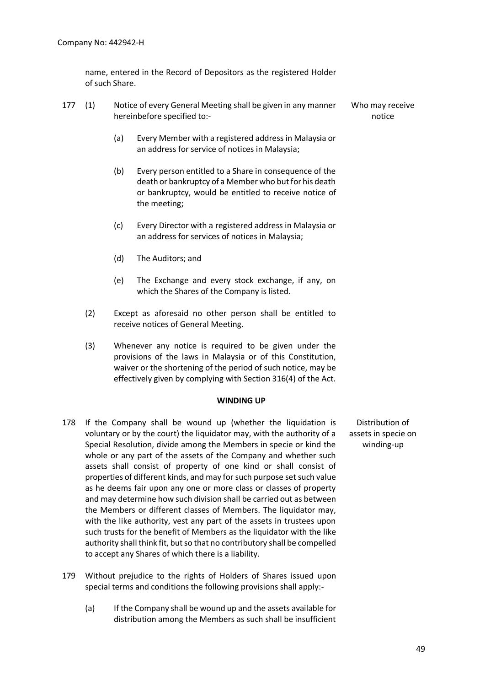name, entered in the Record of Depositors as the registered Holder of such Share.

- 177 (1) Notice of every General Meeting shall be given in any manner hereinbefore specified to:-
	- (a) Every Member with a registered address in Malaysia or an address for service of notices in Malaysia;
	- (b) Every person entitled to a Share in consequence of the death or bankruptcy of a Member who but for his death or bankruptcy, would be entitled to receive notice of the meeting;
	- (c) Every Director with a registered address in Malaysia or an address for services of notices in Malaysia;
	- (d) The Auditors; and
	- (e) The Exchange and every stock exchange, if any, on which the Shares of the Company is listed.
	- (2) Except as aforesaid no other person shall be entitled to receive notices of General Meeting.
	- (3) Whenever any notice is required to be given under the provisions of the laws in Malaysia or of this Constitution, waiver or the shortening of the period of such notice, may be effectively given by complying with Section 316(4) of the Act.

#### **WINDING UP**

- 178 If the Company shall be wound up (whether the liquidation is voluntary or by the court) the liquidator may, with the authority of a Special Resolution, divide among the Members in specie or kind the whole or any part of the assets of the Company and whether such assets shall consist of property of one kind or shall consist of properties of different kinds, and may for such purpose set such value as he deems fair upon any one or more class or classes of property and may determine how such division shall be carried out as between the Members or different classes of Members. The liquidator may, with the like authority, vest any part of the assets in trustees upon such trusts for the benefit of Members as the liquidator with the like authority shall think fit, but so that no contributory shall be compelled to accept any Shares of which there is a liability.
- 179 Without prejudice to the rights of Holders of Shares issued upon special terms and conditions the following provisions shall apply:-
	- (a) If the Company shall be wound up and the assets available for distribution among the Members as such shall be insufficient

Distribution of assets in specie on winding-up

Who may receive notice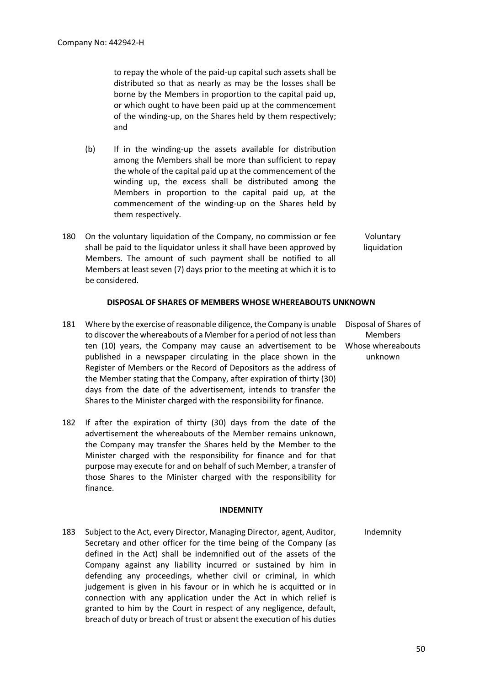to repay the whole of the paid-up capital such assets shall be distributed so that as nearly as may be the losses shall be borne by the Members in proportion to the capital paid up, or which ought to have been paid up at the commencement of the winding-up, on the Shares held by them respectively; and

- (b) If in the winding-up the assets available for distribution among the Members shall be more than sufficient to repay the whole of the capital paid up at the commencement of the winding up, the excess shall be distributed among the Members in proportion to the capital paid up, at the commencement of the winding-up on the Shares held by them respectively.
- 180 On the voluntary liquidation of the Company, no commission or fee shall be paid to the liquidator unless it shall have been approved by Members. The amount of such payment shall be notified to all Members at least seven (7) days prior to the meeting at which it is to be considered. Voluntary liquidation

#### **DISPOSAL OF SHARES OF MEMBERS WHOSE WHEREABOUTS UNKNOWN**

- 181 Where by the exercise of reasonable diligence, the Company is unable to discover the whereabouts of a Member for a period of not less than ten (10) years, the Company may cause an advertisement to be published in a newspaper circulating in the place shown in the Register of Members or the Record of Depositors as the address of the Member stating that the Company, after expiration of thirty (30) days from the date of the advertisement, intends to transfer the Shares to the Minister charged with the responsibility for finance. Disposal of Shares of Members Whose whereabouts unknown
- 182 If after the expiration of thirty (30) days from the date of the advertisement the whereabouts of the Member remains unknown, the Company may transfer the Shares held by the Member to the Minister charged with the responsibility for finance and for that purpose may execute for and on behalf of such Member, a transfer of those Shares to the Minister charged with the responsibility for finance.

#### **INDEMNITY**

183 Subject to the Act, every Director, Managing Director, agent, Auditor, Secretary and other officer for the time being of the Company (as defined in the Act) shall be indemnified out of the assets of the Company against any liability incurred or sustained by him in defending any proceedings, whether civil or criminal, in which judgement is given in his favour or in which he is acquitted or in connection with any application under the Act in which relief is granted to him by the Court in respect of any negligence, default, breach of duty or breach of trust or absent the execution of his duties Indemnity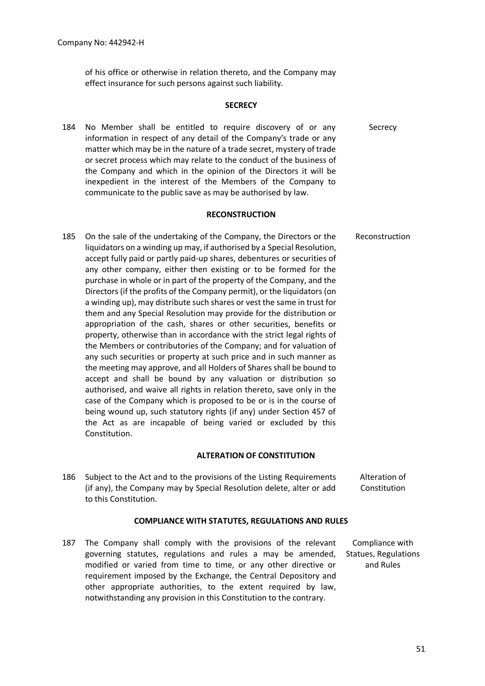of his office or otherwise in relation thereto, and the Company may effect insurance for such persons against such liability.

#### **SECRECY**

184 No Member shall be entitled to require discovery of or any information in respect of any detail of the Company's trade or any matter which may be in the nature of a trade secret, mystery of trade or secret process which may relate to the conduct of the business of the Company and which in the opinion of the Directors it will be inexpedient in the interest of the Members of the Company to communicate to the public save as may be authorised by law. Secrecy

#### **RECONSTRUCTION**

185 On the sale of the undertaking of the Company, the Directors or the liquidators on a winding up may, if authorised by a Special Resolution, accept fully paid or partly paid-up shares, debentures or securities of any other company, either then existing or to be formed for the purchase in whole or in part of the property of the Company, and the Directors (if the profits of the Company permit), or the liquidators (on a winding up), may distribute such shares or vest the same in trust for them and any Special Resolution may provide for the distribution or appropriation of the cash, shares or other securities, benefits or property, otherwise than in accordance with the strict legal rights of the Members or contributories of the Company; and for valuation of any such securities or property at such price and in such manner as the meeting may approve, and all Holders of Shares shall be bound to accept and shall be bound by any valuation or distribution so authorised, and waive all rights in relation thereto, save only in the case of the Company which is proposed to be or is in the course of being wound up, such statutory rights (if any) under Section 457 of the Act as are incapable of being varied or excluded by this Constitution. Reconstruction

#### **ALTERATION OF CONSTITUTION**

186 Subject to the Act and to the provisions of the Listing Requirements (if any), the Company may by Special Resolution delete, alter or add to this Constitution. Alteration of Constitution

#### **COMPLIANCE WITH STATUTES, REGULATIONS AND RULES**

187 The Company shall comply with the provisions of the relevant governing statutes, regulations and rules a may be amended, modified or varied from time to time, or any other directive or requirement imposed by the Exchange, the Central Depository and other appropriate authorities, to the extent required by law, notwithstanding any provision in this Constitution to the contrary.

Compliance with Statues, Regulations and Rules